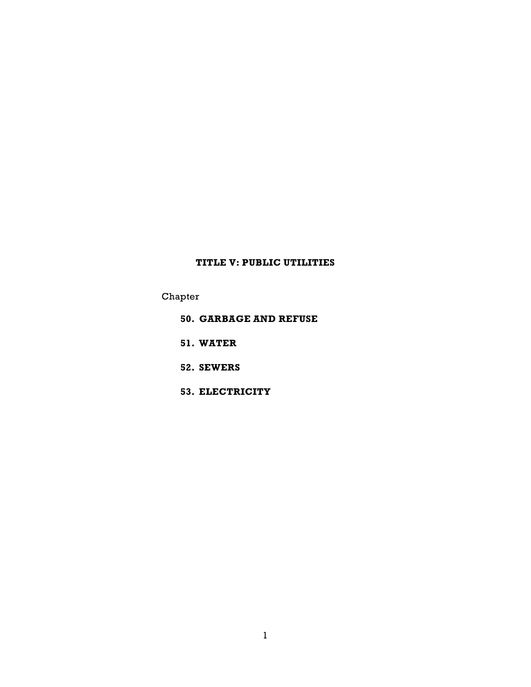### **TITLE V: PUBLIC UTILITIES**

Chapter

**50. GARBAGE AND REFUSE**

**51. WATER**

- **52. SEWERS**
- **53. ELECTRICITY**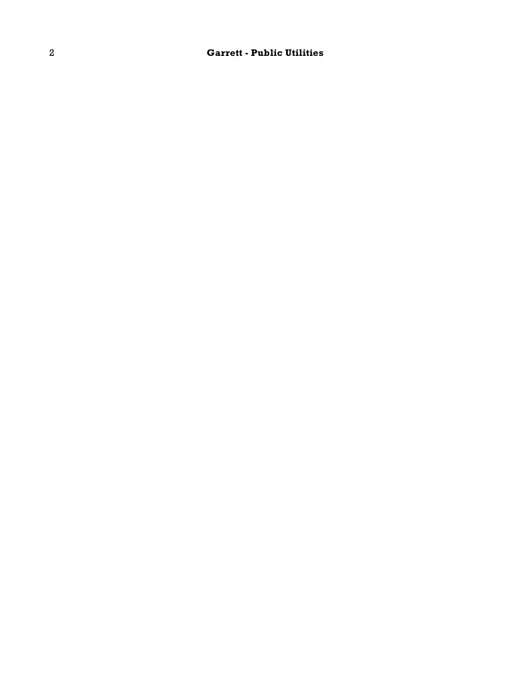# **Garrett - Public Utilities**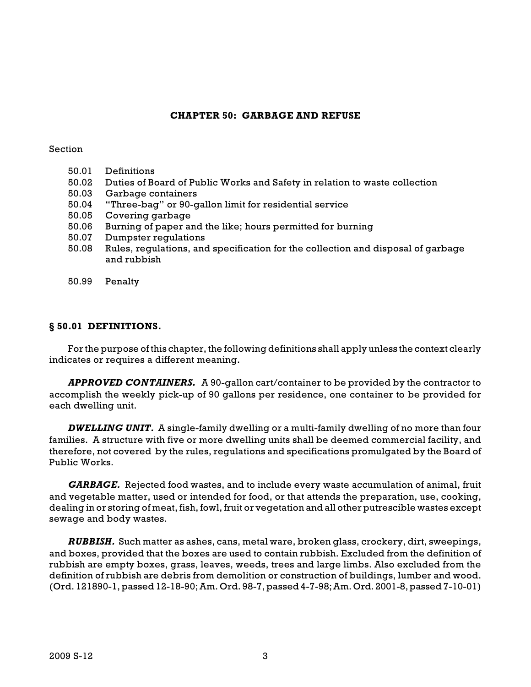## **CHAPTER 50: GARBAGE AND REFUSE**

#### Section

- 50.01 Definitions
- 50.02 Duties of Board of Public Works and Safety in relation to waste collection
- 50.03 Garbage containers
- 50.04 "Three-bag" or 90-gallon limit for residential service
- 50.05 Covering garbage
- 50.06 Burning of paper and the like; hours permitted for burning
- 50.07 Dumpster regulations
- 50.08 Rules, regulations, and specification for the collection and disposal of garbage and rubbish
- 50.99 Penalty

#### **§ 50.01 DEFINITIONS.**

For the purpose of this chapter, the following definitions shall apply unless the context clearly indicates or requires a different meaning.

*APPROVED CONTAINERS.* A 90-gallon cart/container to be provided by the contractor to accomplish the weekly pick-up of 90 gallons per residence, one container to be provided for each dwelling unit.

*DWELLING UNIT.* A single-family dwelling or a multi-family dwelling of no more than four families. A structure with five or more dwelling units shall be deemed commercial facility, and therefore, not covered by the rules, regulations and specifications promulgated by the Board of Public Works.

*GARBAGE.* Rejected food wastes, and to include every waste accumulation of animal, fruit and vegetable matter, used or intended for food, or that attends the preparation, use, cooking, dealing in or storing of meat, fish, fowl, fruit or vegetation and all other putrescible wastes except sewage and body wastes.

*RUBBISH.* Such matter as ashes, cans, metal ware, broken glass, crockery, dirt, sweepings, and boxes, provided that the boxes are used to contain rubbish. Excluded from the definition of rubbish are empty boxes, grass, leaves, weeds, trees and large limbs. Also excluded from the definition of rubbish are debris from demolition or construction of buildings, lumber and wood. (Ord. 121890-1, passed 12-18-90; Am. Ord. 98-7, passed 4-7-98; Am. Ord. 2001-8, passed 7-10-01)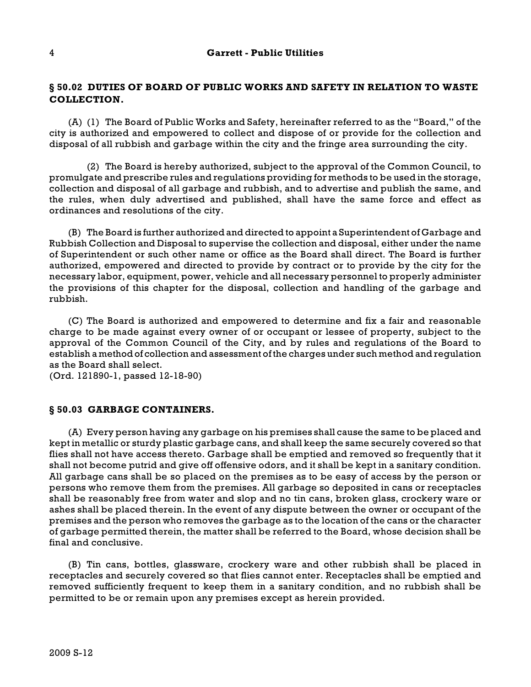# **§ 50.02 DUTIES OF BOARD OF PUBLIC WORKS AND SAFETY IN RELATION TO WASTE COLLECTION.**

(A) (1) The Board of Public Works and Safety, hereinafter referred to as the "Board," of the city is authorized and empowered to collect and dispose of or provide for the collection and disposal of all rubbish and garbage within the city and the fringe area surrounding the city.

(2) The Board is hereby authorized, subject to the approval of the Common Council, to promulgate and prescribe rules and regulations providing for methods to be used in the storage, collection and disposal of all garbage and rubbish, and to advertise and publish the same, and the rules, when duly advertised and published, shall have the same force and effect as ordinances and resolutions of the city.

(B) The Board is further authorized and directed to appoint a Superintendent of Garbage and Rubbish Collection and Disposal to supervise the collection and disposal, either under the name of Superintendent or such other name or office as the Board shall direct. The Board is further authorized, empowered and directed to provide by contract or to provide by the city for the necessary labor, equipment, power, vehicle and all necessary personnel to properly administer the provisions of this chapter for the disposal, collection and handling of the garbage and rubbish.

(C) The Board is authorized and empowered to determine and fix a fair and reasonable charge to be made against every owner of or occupant or lessee of property, subject to the approval of the Common Council of the City, and by rules and regulations of the Board to establish a method of collection and assessment of the charges under such method and regulation as the Board shall select.

(Ord. 121890-1, passed 12-18-90)

### **§ 50.03 GARBAGE CONTAINERS.**

(A) Every person having any garbage on his premises shall cause the same to be placed and kept in metallic or sturdy plastic garbage cans, and shall keep the same securely covered so that flies shall not have access thereto. Garbage shall be emptied and removed so frequently that it shall not become putrid and give off offensive odors, and it shall be kept in a sanitary condition. All garbage cans shall be so placed on the premises as to be easy of access by the person or persons who remove them from the premises. All garbage so deposited in cans or receptacles shall be reasonably free from water and slop and no tin cans, broken glass, crockery ware or ashes shall be placed therein. In the event of any dispute between the owner or occupant of the premises and the person who removes the garbage as to the location of the cans or the character of garbage permitted therein, the matter shall be referred to the Board, whose decision shall be final and conclusive.

(B) Tin cans, bottles, glassware, crockery ware and other rubbish shall be placed in receptacles and securely covered so that flies cannot enter. Receptacles shall be emptied and removed sufficiently frequent to keep them in a sanitary condition, and no rubbish shall be permitted to be or remain upon any premises except as herein provided.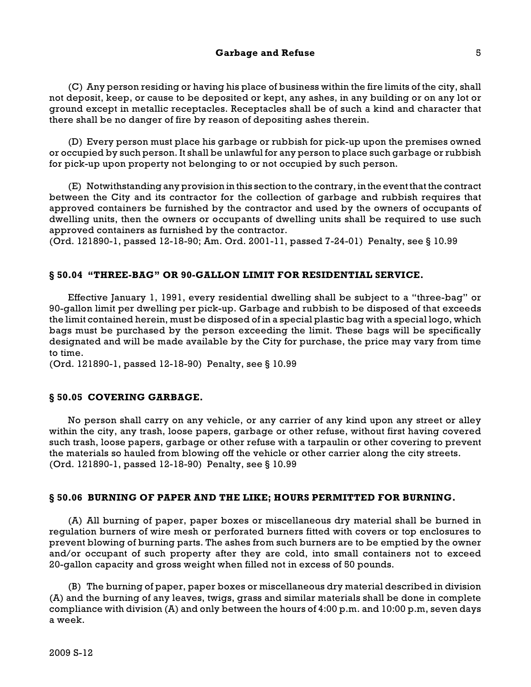(C) Any person residing or having his place of business within the fire limits of the city, shall not deposit, keep, or cause to be deposited or kept, any ashes, in any building or on any lot or ground except in metallic receptacles. Receptacles shall be of such a kind and character that there shall be no danger of fire by reason of depositing ashes therein.

(D) Every person must place his garbage or rubbish for pick-up upon the premises owned or occupied by such person. It shall be unlawful for any person to place such garbage or rubbish for pick-up upon property not belonging to or not occupied by such person.

(E) Notwithstanding any provision in this section to the contrary, in the event that the contract between the City and its contractor for the collection of garbage and rubbish requires that approved containers be furnished by the contractor and used by the owners of occupants of dwelling units, then the owners or occupants of dwelling units shall be required to use such approved containers as furnished by the contractor.

(Ord. 121890-1, passed 12-18-90; Am. Ord. 2001-11, passed 7-24-01) Penalty, see § 10.99

#### **§ 50.04 "THREE-BAG" OR 90-GALLON LIMIT FOR RESIDENTIAL SERVICE.**

Effective January 1, 1991, every residential dwelling shall be subject to a "three-bag" or 90-gallon limit per dwelling per pick-up. Garbage and rubbish to be disposed of that exceeds the limit contained herein, must be disposed of in a special plastic bag with a special logo, which bags must be purchased by the person exceeding the limit. These bags will be specifically designated and will be made available by the City for purchase, the price may vary from time to time.

(Ord. 121890-1, passed 12-18-90) Penalty, see § 10.99

#### **§ 50.05 COVERING GARBAGE.**

No person shall carry on any vehicle, or any carrier of any kind upon any street or alley within the city, any trash, loose papers, garbage or other refuse, without first having covered such trash, loose papers, garbage or other refuse with a tarpaulin or other covering to prevent the materials so hauled from blowing off the vehicle or other carrier along the city streets. (Ord. 121890-1, passed 12-18-90) Penalty, see § 10.99

#### **§ 50.06 BURNING OF PAPER AND THE LIKE; HOURS PERMITTED FOR BURNING.**

(A) All burning of paper, paper boxes or miscellaneous dry material shall be burned in regulation burners of wire mesh or perforated burners fitted with covers or top enclosures to prevent blowing of burning parts. The ashes from such burners are to be emptied by the owner and/or occupant of such property after they are cold, into small containers not to exceed 20-gallon capacity and gross weight when filled not in excess of 50 pounds.

(B) The burning of paper, paper boxes or miscellaneous dry material described in division (A) and the burning of any leaves, twigs, grass and similar materials shall be done in complete compliance with division (A) and only between the hours of 4:00 p.m. and 10:00 p.m, seven days a week.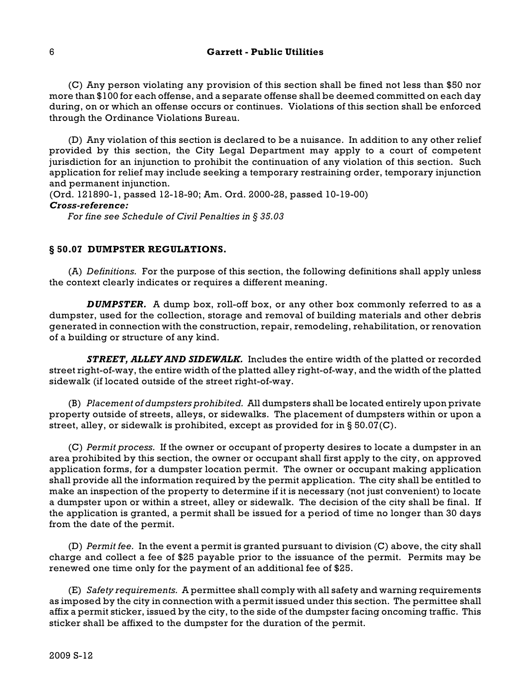(C) Any person violating any provision of this section shall be fined not less than \$50 nor more than \$100 for each offense, and a separate offense shall be deemed committed on each day during, on or which an offense occurs or continues. Violations of this section shall be enforced through the Ordinance Violations Bureau.

(D) Any violation of this section is declared to be a nuisance. In addition to any other relief provided by this section, the City Legal Department may apply to a court of competent jurisdiction for an injunction to prohibit the continuation of any violation of this section. Such application for relief may include seeking a temporary restraining order, temporary injunction and permanent injunction.

(Ord. 121890-1, passed 12-18-90; Am. Ord. 2000-28, passed 10-19-00) *Cross-reference:*

*For fine see Schedule of Civil Penalties in § 35.03*

#### **§ 50.07 DUMPSTER REGULATIONS.**

(A) *Definitions.* For the purpose of this section, the following definitions shall apply unless the context clearly indicates or requires a different meaning.

*DUMPSTER.* A dump box, roll-off box, or any other box commonly referred to as a dumpster, used for the collection, storage and removal of building materials and other debris generated in connection with the construction, repair, remodeling, rehabilitation, or renovation of a building or structure of any kind.

*STREET, ALLEY AND SIDEWALK.* Includes the entire width of the platted or recorded street right-of-way, the entire width of the platted alley right-of-way, and the width of the platted sidewalk (if located outside of the street right-of-way.

(B) *Placement of dumpsters prohibited.* All dumpsters shall be located entirely upon private property outside of streets, alleys, or sidewalks. The placement of dumpsters within or upon a street, alley, or sidewalk is prohibited, except as provided for in § 50.07(C).

(C) *Permit process.* If the owner or occupant of property desires to locate a dumpster in an area prohibited by this section, the owner or occupant shall first apply to the city, on approved application forms, for a dumpster location permit. The owner or occupant making application shall provide all the information required by the permit application. The city shall be entitled to make an inspection of the property to determine if it is necessary (not just convenient) to locate a dumpster upon or within a street, alley or sidewalk. The decision of the city shall be final. If the application is granted, a permit shall be issued for a period of time no longer than 30 days from the date of the permit.

(D) *Permit fee.* In the event a permit is granted pursuant to division (C) above, the city shall charge and collect a fee of \$25 payable prior to the issuance of the permit. Permits may be renewed one time only for the payment of an additional fee of \$25.

(E) *Safety requirements.* A permittee shall comply with all safety and warning requirements as imposed by the city in connection with a permit issued under this section. The permittee shall affix a permit sticker, issued by the city, to the side of the dumpster facing oncoming traffic. This sticker shall be affixed to the dumpster for the duration of the permit.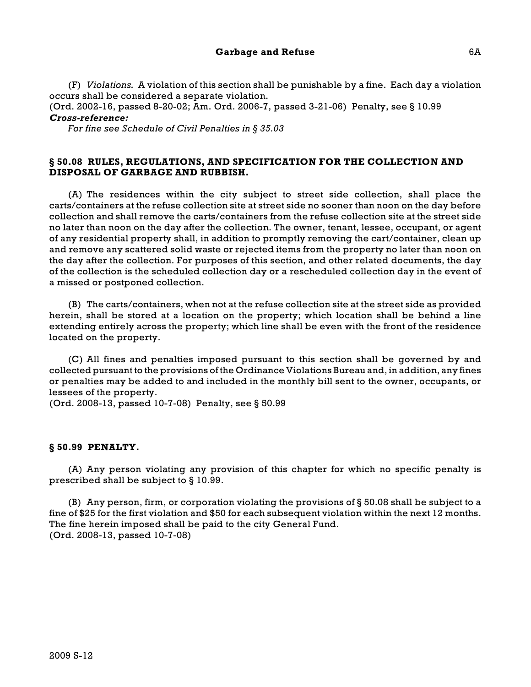(F) *Violations.* A violation of this section shall be punishable by a fine. Each day a violation occurs shall be considered a separate violation.

(Ord. 2002-16, passed 8-20-02; Am. Ord. 2006-7, passed 3-21-06) Penalty, see § 10.99 *Cross-reference:*

*For fine see Schedule of Civil Penalties in § 35.03*

### **§ 50.08 RULES, REGULATIONS, AND SPECIFICATION FOR THE COLLECTION AND DISPOSAL OF GARBAGE AND RUBBISH.**

(A) The residences within the city subject to street side collection, shall place the carts/containers at the refuse collection site at street side no sooner than noon on the day before collection and shall remove the carts/containers from the refuse collection site at the street side no later than noon on the day after the collection. The owner, tenant, lessee, occupant, or agent of any residential property shall, in addition to promptly removing the cart/container, clean up and remove any scattered solid waste or rejected items from the property no later than noon on the day after the collection. For purposes of this section, and other related documents, the day of the collection is the scheduled collection day or a rescheduled collection day in the event of a missed or postponed collection.

(B) The carts/containers, when not at the refuse collection site at the street side as provided herein, shall be stored at a location on the property; which location shall be behind a line extending entirely across the property; which line shall be even with the front of the residence located on the property.

(C) All fines and penalties imposed pursuant to this section shall be governed by and collected pursuant to the provisions of the Ordinance Violations Bureau and, in addition, any fines or penalties may be added to and included in the monthly bill sent to the owner, occupants, or lessees of the property.

(Ord. 2008-13, passed 10-7-08) Penalty, see § 50.99

#### **§ 50.99 PENALTY.**

(A) Any person violating any provision of this chapter for which no specific penalty is prescribed shall be subject to § 10.99.

(B) Any person, firm, or corporation violating the provisions of § 50.08 shall be subject to a fine of \$25 for the first violation and \$50 for each subsequent violation within the next 12 months. The fine herein imposed shall be paid to the city General Fund. (Ord. 2008-13, passed 10-7-08)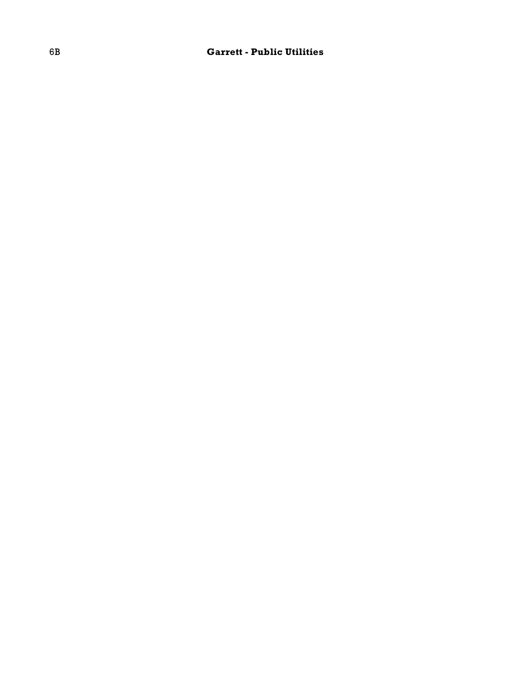# 6B **Garrett - Public Utilities**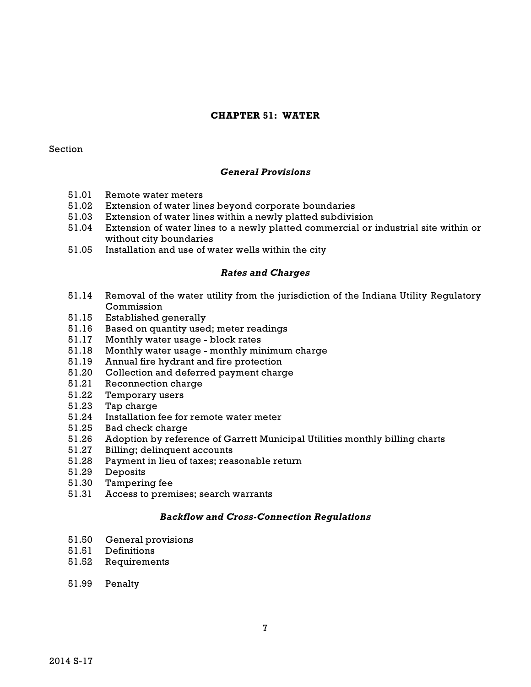# **CHAPTER 51: WATER**

#### Section

# *General Provisions*

- 51.01 Remote water meters
- 51.02 Extension of water lines beyond corporate boundaries
- 51.03 Extension of water lines within a newly platted subdivision
- 51.04 Extension of water lines to a newly platted commercial or industrial site within or without city boundaries
- 51.05 Installation and use of water wells within the city

#### *Rates and Charges*

- 51.14 Removal of the water utility from the jurisdiction of the Indiana Utility Regulatory Commission
- 51.15 Established generally
- 51.16 Based on quantity used; meter readings
- 51.17 Monthly water usage block rates
- 51.18 Monthly water usage monthly minimum charge
- 51.19 Annual fire hydrant and fire protection
- 51.20 Collection and deferred payment charge
- 51.21 Reconnection charge
- 51.22 Temporary users
- 51.23 Tap charge
- 51.24 Installation fee for remote water meter
- 51.25 Bad check charge
- 51.26 Adoption by reference of Garrett Municipal Utilities monthly billing charts
- 51.27 Billing; delinquent accounts
- 51.28 Payment in lieu of taxes; reasonable return
- 51.29 Deposits
- 51.30 Tampering fee
- 51.31 Access to premises; search warrants

#### *Backflow and Cross-Connection Regulations*

- 51.50 General provisions
- 51.51 Definitions
- 51.52 Requirements
- 51.99 Penalty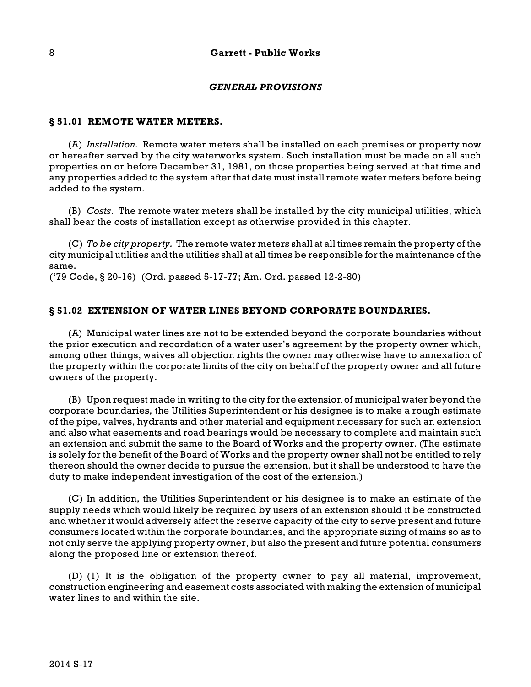### *GENERAL PROVISIONS*

#### **§ 51.01 REMOTE WATER METERS.**

(A) *Installation.* Remote water meters shall be installed on each premises or property now or hereafter served by the city waterworks system. Such installation must be made on all such properties on or before December 31, 1981, on those properties being served at that time and any properties added to the system after that date must install remote water meters before being added to the system.

(B) *Costs*. The remote water meters shall be installed by the city municipal utilities, which shall bear the costs of installation except as otherwise provided in this chapter.

(C) *To be city property.* The remote water meters shall at all times remain the property of the city municipal utilities and the utilities shall at all times be responsible for the maintenance of the same.

('79 Code, § 20-16) (Ord. passed 5-17-77; Am. Ord. passed 12-2-80)

### **§ 51.02 EXTENSION OF WATER LINES BEYOND CORPORATE BOUNDARIES.**

(A) Municipal water lines are not to be extended beyond the corporate boundaries without the prior execution and recordation of a water user's agreement by the property owner which, among other things, waives all objection rights the owner may otherwise have to annexation of the property within the corporate limits of the city on behalf of the property owner and all future owners of the property.

(B) Upon request made in writing to the city for the extension of municipal water beyond the corporate boundaries, the Utilities Superintendent or his designee is to make a rough estimate of the pipe, valves, hydrants and other material and equipment necessary for such an extension and also what easements and road bearings would be necessary to complete and maintain such an extension and submit the same to the Board of Works and the property owner. (The estimate is solely for the benefit of the Board of Works and the property owner shall not be entitled to rely thereon should the owner decide to pursue the extension, but it shall be understood to have the duty to make independent investigation of the cost of the extension.)

(C) In addition, the Utilities Superintendent or his designee is to make an estimate of the supply needs which would likely be required by users of an extension should it be constructed and whether it would adversely affect the reserve capacity of the city to serve present and future consumers located within the corporate boundaries, and the appropriate sizing of mains so as to not only serve the applying property owner, but also the present and future potential consumers along the proposed line or extension thereof.

(D) (1) It is the obligation of the property owner to pay all material, improvement, construction engineering and easement costs associated with making the extension of municipal water lines to and within the site.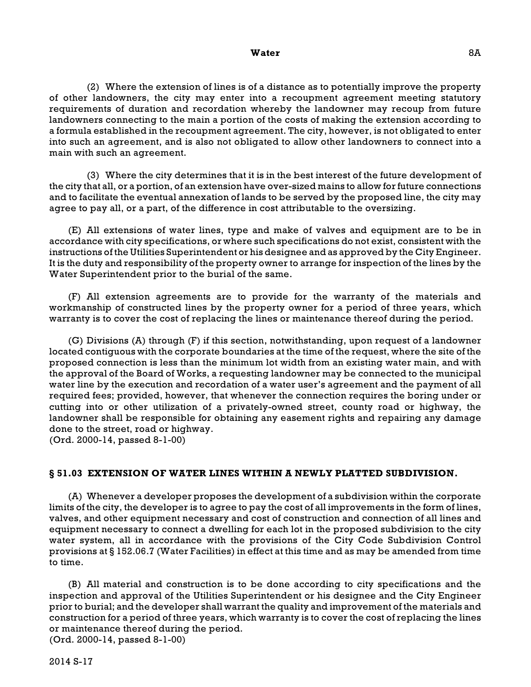# **Water** 8A

(2) Where the extension of lines is of a distance as to potentially improve the property of other landowners, the city may enter into a recoupment agreement meeting statutory requirements of duration and recordation whereby the landowner may recoup from future landowners connecting to the main a portion of the costs of making the extension according to a formula established in the recoupment agreement. The city, however, is not obligated to enter into such an agreement, and is also not obligated to allow other landowners to connect into a main with such an agreement.

(3) Where the city determines that it is in the best interest of the future development of the city that all, or a portion, of an extension have over-sized mains to allow for future connections and to facilitate the eventual annexation of lands to be served by the proposed line, the city may agree to pay all, or a part, of the difference in cost attributable to the oversizing.

(E) All extensions of water lines, type and make of valves and equipment are to be in accordance with city specifications, or where such specifications do not exist, consistent with the instructions of the Utilities Superintendent or his designee and as approved by the City Engineer. It is the duty and responsibility of the property owner to arrange for inspection of the lines by the Water Superintendent prior to the burial of the same.

(F) All extension agreements are to provide for the warranty of the materials and workmanship of constructed lines by the property owner for a period of three years, which warranty is to cover the cost of replacing the lines or maintenance thereof during the period.

(G) Divisions (A) through (F) if this section, notwithstanding, upon request of a landowner located contiguous with the corporate boundaries at the time of the request, where the site of the proposed connection is less than the minimum lot width from an existing water main, and with the approval of the Board of Works, a requesting landowner may be connected to the municipal water line by the execution and recordation of a water user's agreement and the payment of all required fees; provided, however, that whenever the connection requires the boring under or cutting into or other utilization of a privately-owned street, county road or highway, the landowner shall be responsible for obtaining any easement rights and repairing any damage done to the street, road or highway.

(Ord. 2000-14, passed 8-1-00)

# **§ 51.03 EXTENSION OF WATER LINES WITHIN A NEWLY PLATTED SUBDIVISION.**

(A) Whenever a developer proposes the development of a subdivision within the corporate limits of the city, the developer is to agree to pay the cost of all improvements in the form of lines, valves, and other equipment necessary and cost of construction and connection of all lines and equipment necessary to connect a dwelling for each lot in the proposed subdivision to the city water system, all in accordance with the provisions of the City Code Subdivision Control provisions at § 152.06.7 (Water Facilities) in effect at this time and as may be amended from time to time.

(B) All material and construction is to be done according to city specifications and the inspection and approval of the Utilities Superintendent or his designee and the City Engineer prior to burial; and the developer shall warrant the quality and improvement of the materials and construction for a period of three years, which warranty is to cover the cost of replacing the lines or maintenance thereof during the period.

(Ord. 2000-14, passed 8-1-00)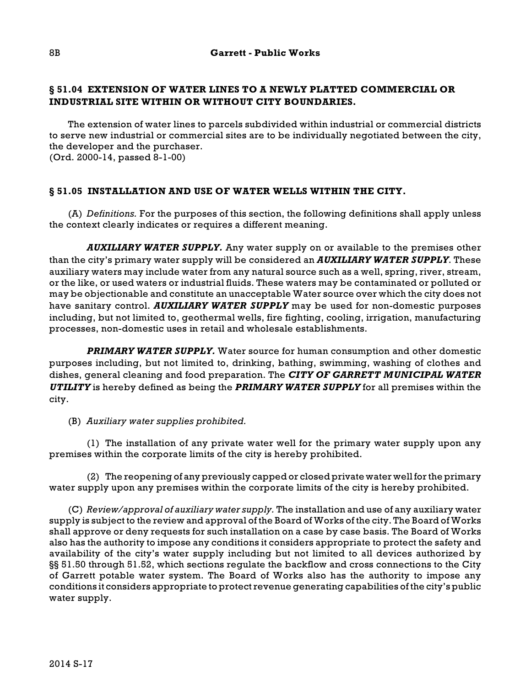# **§ 51.04 EXTENSION OF WATER LINES TO A NEWLY PLATTED COMMERCIAL OR INDUSTRIAL SITE WITHIN OR WITHOUT CITY BOUNDARIES.**

The extension of water lines to parcels subdivided within industrial or commercial districts to serve new industrial or commercial sites are to be individually negotiated between the city, the developer and the purchaser.

(Ord. 2000-14, passed 8-1-00)

# **§ 51.05 INSTALLATION AND USE OF WATER WELLS WITHIN THE CITY.**

(A) *Definitions.* For the purposes of this section, the following definitions shall apply unless the context clearly indicates or requires a different meaning.

*AUXILIARY WATER SUPPLY.* Any water supply on or available to the premises other than the city's primary water supply will be considered an *AUXILIARY WATER SUPPLY*. These auxiliary waters may include water from any natural source such as a well, spring, river, stream, or the like, or used waters or industrial fluids. These waters may be contaminated or polluted or may be objectionable and constitute an unacceptable Water source over which the city does not have sanitary control. *AUXILIARY WATER SUPPLY* may be used for non-domestic purposes including, but not limited to, geothermal wells, fire fighting, cooling, irrigation, manufacturing processes, non-domestic uses in retail and wholesale establishments.

*PRIMARY WATER SUPPLY.* Water source for human consumption and other domestic purposes including, but not limited to, drinking, bathing, swimming, washing of clothes and dishes, general cleaning and food preparation. The *CITY OF GARRETT MUNICIPAL WATER UTILITY* is hereby defined as being the *PRIMARY WATER SUPPLY* for all premises within the city.

(B) *Auxiliary water supplies prohibited.*

(1) The installation of any private water well for the primary water supply upon any premises within the corporate limits of the city is hereby prohibited.

(2) The reopening of any previously capped or closed private water well for the primary water supply upon any premises within the corporate limits of the city is hereby prohibited.

(C) *Review/approval of auxiliary water supply.* The installation and use of any auxiliary water supply is subject to the review and approval of the Board of Works of the city. The Board of Works shall approve or deny requests for such installation on a case by case basis. The Board of Works also has the authority to impose any conditions it considers appropriate to protect the safety and availability of the city's water supply including but not limited to all devices authorized by §§ 51.50 through 51.52, which sections regulate the backflow and cross connections to the City of Garrett potable water system. The Board of Works also has the authority to impose any conditions it considers appropriate to protect revenue generating capabilities of the city's public water supply.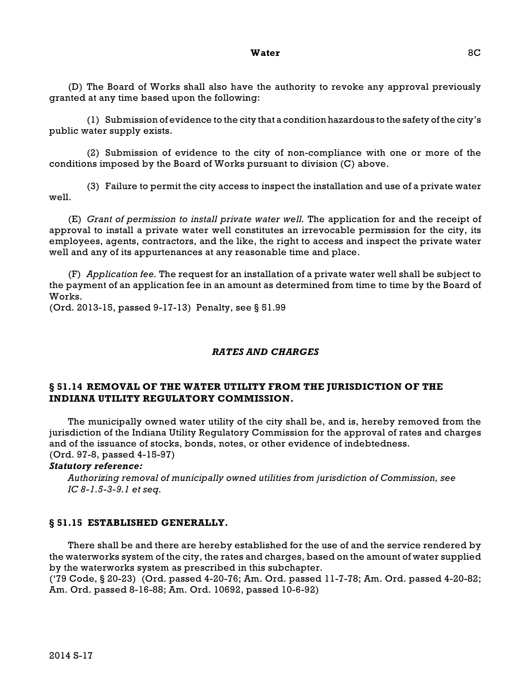# **Water** 8C

(D) The Board of Works shall also have the authority to revoke any approval previously granted at any time based upon the following:

(1) Submission of evidence to the city that a condition hazardous to the safety of the city's public water supply exists.

(2) Submission of evidence to the city of non-compliance with one or more of the conditions imposed by the Board of Works pursuant to division (C) above.

(3) Failure to permit the city access to inspect the installation and use of a private water well.

(E) *Grant of permission to install private water well.* The application for and the receipt of approval to install a private water well constitutes an irrevocable permission for the city, its employees, agents, contractors, and the like, the right to access and inspect the private water well and any of its appurtenances at any reasonable time and place.

(F) *Application fee.* The request for an installation of a private water well shall be subject to the payment of an application fee in an amount as determined from time to time by the Board of Works.

(Ord. 2013-15, passed 9-17-13) Penalty, see § 51.99

#### *RATES AND CHARGES*

# **§ 51.14 REMOVAL OF THE WATER UTILITY FROM THE JURISDICTION OF THE INDIANA UTILITY REGULATORY COMMISSION.**

The municipally owned water utility of the city shall be, and is, hereby removed from the jurisdiction of the Indiana Utility Regulatory Commission for the approval of rates and charges and of the issuance of stocks, bonds, notes, or other evidence of indebtedness. (Ord. 97-8, passed 4-15-97)

#### *Statutory reference:*

*Authorizing removal of municipally owned utilities from jurisdiction of Commission, see IC 8-1.5-3-9.1 et seq.*

#### **§ 51.15 ESTABLISHED GENERALLY.**

There shall be and there are hereby established for the use of and the service rendered by the waterworks system of the city, the rates and charges, based on the amount of water supplied by the waterworks system as prescribed in this subchapter.

('79 Code, § 20-23) (Ord. passed 4-20-76; Am. Ord. passed 11-7-78; Am. Ord. passed 4-20-82; Am. Ord. passed 8-16-88; Am. Ord. 10692, passed 10-6-92)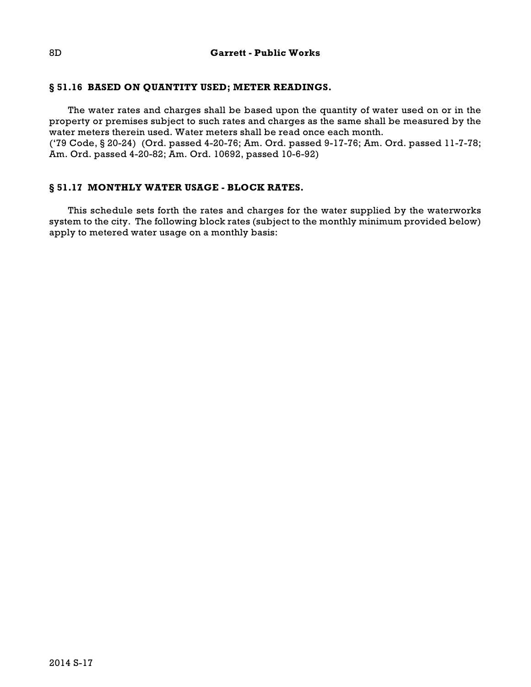## **§ 51.16 BASED ON QUANTITY USED; METER READINGS.**

The water rates and charges shall be based upon the quantity of water used on or in the property or premises subject to such rates and charges as the same shall be measured by the water meters therein used. Water meters shall be read once each month.

('79 Code, § 20-24) (Ord. passed 4-20-76; Am. Ord. passed 9-17-76; Am. Ord. passed 11-7-78; Am. Ord. passed 4-20-82; Am. Ord. 10692, passed 10-6-92)

# **§ 51.17 MONTHLY WATER USAGE - BLOCK RATES.**

This schedule sets forth the rates and charges for the water supplied by the waterworks system to the city. The following block rates (subject to the monthly minimum provided below) apply to metered water usage on a monthly basis: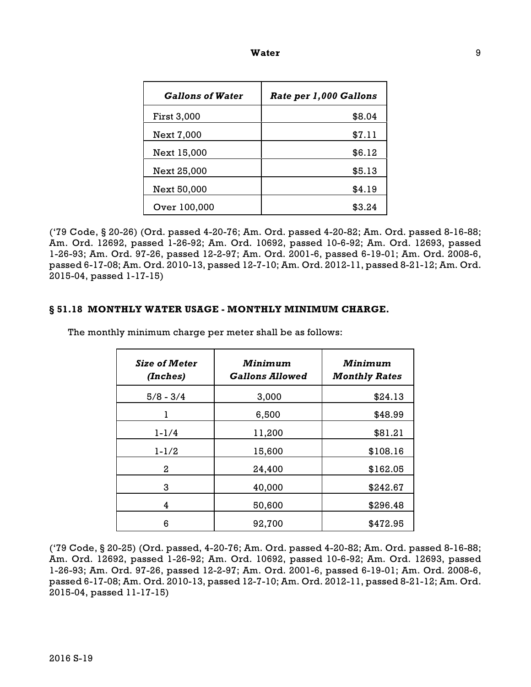| <b>Gallons of Water</b> | Rate per 1,000 Gallons |
|-------------------------|------------------------|
| <b>First 3,000</b>      | \$8.04                 |
| Next 7,000              | \$7.11                 |
| Next 15,000             | \$6.12                 |
| Next 25,000             | \$5.13                 |
| Next 50,000             | \$4.19                 |
| Over 100,000            | \$3.24                 |

('79 Code, § 20-26) (Ord. passed 4-20-76; Am. Ord. passed 4-20-82; Am. Ord. passed 8-16-88; Am. Ord. 12692, passed 1-26-92; Am. Ord. 10692, passed 10-6-92; Am. Ord. 12693, passed 1-26-93; Am. Ord. 97-26, passed 12-2-97; Am. Ord. 2001-6, passed 6-19-01; Am. Ord. 2008-6, passed 6-17-08; Am. Ord. 2010-13, passed 12-7-10; Am. Ord. 2012-11, passed 8-21-12; Am. Ord. 2015-04, passed 1-17-15)

### **§ 51.18 MONTHLY WATER USAGE - MONTHLY MINIMUM CHARGE.**

| <b>Size of Meter</b><br>(Inches) | Minimum<br><i><b>Gallons Allowed</b></i> | Minimum<br><b>Monthly Rates</b> |
|----------------------------------|------------------------------------------|---------------------------------|
| $5/8 - 3/4$                      | 3,000                                    | \$24.13                         |
| 1                                | 6,500                                    | \$48.99                         |
| $1 - 1/4$                        | 11,200                                   | \$81.21                         |
| $1 - 1/2$                        | 15,600                                   | \$108.16                        |
| 2                                | 24,400                                   | \$162.05                        |
| 3                                | 40,000                                   | \$242.67                        |
| 4                                | 50,600                                   | \$296.48                        |
| 6                                | 92,700                                   | \$472.95                        |

The monthly minimum charge per meter shall be as follows:

('79 Code, § 20-25) (Ord. passed, 4-20-76; Am. Ord. passed 4-20-82; Am. Ord. passed 8-16-88; Am. Ord. 12692, passed 1-26-92; Am. Ord. 10692, passed 10-6-92; Am. Ord. 12693, passed 1-26-93; Am. Ord. 97-26, passed 12-2-97; Am. Ord. 2001-6, passed 6-19-01; Am. Ord. 2008-6, passed 6-17-08; Am. Ord. 2010-13, passed 12-7-10; Am. Ord. 2012-11, passed 8-21-12; Am. Ord. 2015-04, passed 11-17-15)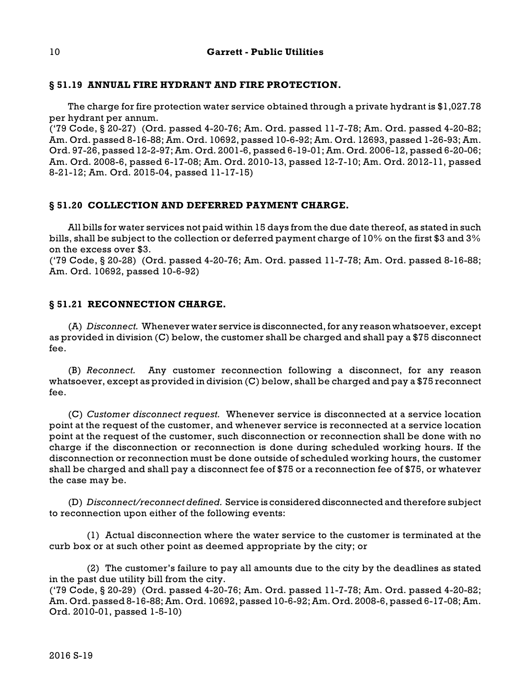## **§ 51.19 ANNUAL FIRE HYDRANT AND FIRE PROTECTION.**

The charge for fire protection water service obtained through a private hydrant is \$1,027.78 per hydrant per annum.

('79 Code, § 20-27) (Ord. passed 4-20-76; Am. Ord. passed 11-7-78; Am. Ord. passed 4-20-82; Am. Ord. passed 8-16-88; Am. Ord. 10692, passed 10-6-92; Am. Ord. 12693, passed 1-26-93; Am. Ord. 97-26, passed 12-2-97; Am. Ord. 2001-6, passed 6-19-01; Am. Ord. 2006-12, passed 6-20-06; Am. Ord. 2008-6, passed 6-17-08; Am. Ord. 2010-13, passed 12-7-10; Am. Ord. 2012-11, passed 8-21-12; Am. Ord. 2015-04, passed 11-17-15)

# **§ 51.20 COLLECTION AND DEFERRED PAYMENT CHARGE.**

All bills for water services not paid within 15 days from the due date thereof, as stated in such bills, shall be subject to the collection or deferred payment charge of 10% on the first \$3 and 3% on the excess over \$3.

('79 Code, § 20-28) (Ord. passed 4-20-76; Am. Ord. passed 11-7-78; Am. Ord. passed 8-16-88; Am. Ord. 10692, passed 10-6-92)

# **§ 51.21 RECONNECTION CHARGE.**

(A) *Disconnect.* Whenever water service is disconnected, for any reason whatsoever, except as provided in division (C) below, the customer shall be charged and shall pay a \$75 disconnect fee.

(B) *Reconnect.* Any customer reconnection following a disconnect, for any reason whatsoever, except as provided in division (C) below, shall be charged and pay a \$75 reconnect fee.

(C) *Customer disconnect request.* Whenever service is disconnected at a service location point at the request of the customer, and whenever service is reconnected at a service location point at the request of the customer, such disconnection or reconnection shall be done with no charge if the disconnection or reconnection is done during scheduled working hours. If the disconnection or reconnection must be done outside of scheduled working hours, the customer shall be charged and shall pay a disconnect fee of \$75 or a reconnection fee of \$75, or whatever the case may be.

(D) *Disconnect/reconnect defined.* Service is considered disconnected and therefore subject to reconnection upon either of the following events:

(1) Actual disconnection where the water service to the customer is terminated at the curb box or at such other point as deemed appropriate by the city; or

(2) The customer's failure to pay all amounts due to the city by the deadlines as stated in the past due utility bill from the city.

('79 Code, § 20-29) (Ord. passed 4-20-76; Am. Ord. passed 11-7-78; Am. Ord. passed 4-20-82; Am. Ord. passed 8-16-88; Am. Ord. 10692, passed 10-6-92;Am. Ord. 2008-6, passed 6-17-08; Am. Ord. 2010-01, passed 1-5-10)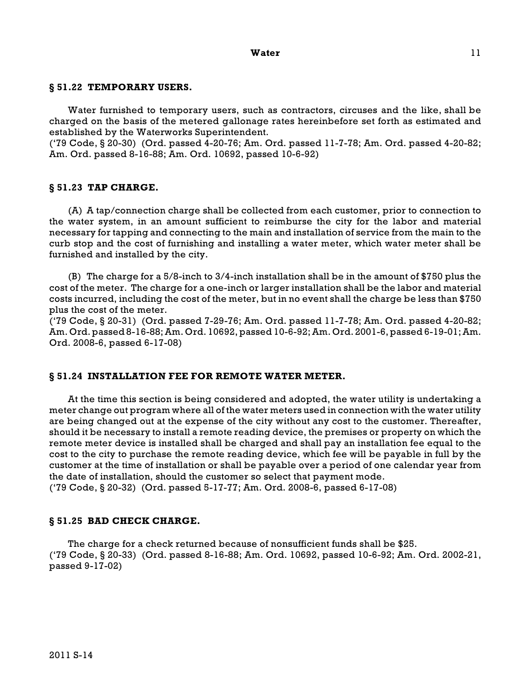# **Water** 11

#### **§ 51.22 TEMPORARY USERS.**

Water furnished to temporary users, such as contractors, circuses and the like, shall be charged on the basis of the metered gallonage rates hereinbefore set forth as estimated and established by the Waterworks Superintendent.

('79 Code, § 20-30) (Ord. passed 4-20-76; Am. Ord. passed 11-7-78; Am. Ord. passed 4-20-82; Am. Ord. passed 8-16-88; Am. Ord. 10692, passed 10-6-92)

### **§ 51.23 TAP CHARGE.**

(A) A tap/connection charge shall be collected from each customer, prior to connection to the water system, in an amount sufficient to reimburse the city for the labor and material necessary for tapping and connecting to the main and installation of service from the main to the curb stop and the cost of furnishing and installing a water meter, which water meter shall be furnished and installed by the city.

(B) The charge for a 5/8-inch to 3/4-inch installation shall be in the amount of \$750 plus the cost of the meter. The charge for a one-inch or larger installation shall be the labor and material costs incurred, including the cost of the meter, but in no event shall the charge be less than \$750 plus the cost of the meter.

('79 Code, § 20-31) (Ord. passed 7-29-76; Am. Ord. passed 11-7-78; Am. Ord. passed 4-20-82; Am. Ord. passed 8-16-88; Am. Ord. 10692, passed 10-6-92; Am. Ord. 2001-6, passed 6-19-01; Am. Ord. 2008-6, passed 6-17-08)

### **§ 51.24 INSTALLATION FEE FOR REMOTE WATER METER.**

At the time this section is being considered and adopted, the water utility is undertaking a meter change out program where all of the water meters used in connection with the water utility are being changed out at the expense of the city without any cost to the customer. Thereafter, should it be necessary to install a remote reading device, the premises or property on which the remote meter device is installed shall be charged and shall pay an installation fee equal to the cost to the city to purchase the remote reading device, which fee will be payable in full by the customer at the time of installation or shall be payable over a period of one calendar year from the date of installation, should the customer so select that payment mode.

('79 Code, § 20-32) (Ord. passed 5-17-77; Am. Ord. 2008-6, passed 6-17-08)

#### **§ 51.25 BAD CHECK CHARGE.**

The charge for a check returned because of nonsufficient funds shall be \$25. ('79 Code, § 20-33) (Ord. passed 8-16-88; Am. Ord. 10692, passed 10-6-92; Am. Ord. 2002-21, passed 9-17-02)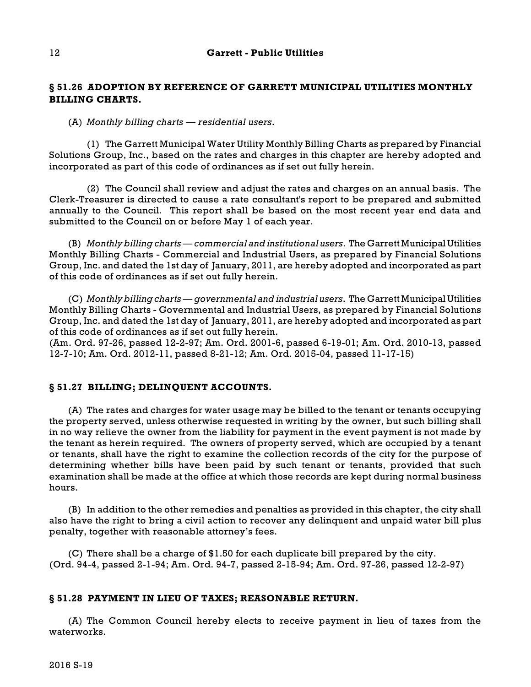# **§ 51.26 ADOPTION BY REFERENCE OF GARRETT MUNICIPAL UTILITIES MONTHLY BILLING CHARTS.**

### (A) *Monthly billing charts — residential users*.

(1) The Garrett Municipal Water Utility Monthly Billing Charts as prepared by Financial Solutions Group, Inc., based on the rates and charges in this chapter are hereby adopted and incorporated as part of this code of ordinances as if set out fully herein.

(2) The Council shall review and adjust the rates and charges on an annual basis. The Clerk-Treasurer is directed to cause a rate consultant's report to be prepared and submitted annually to the Council. This report shall be based on the most recent year end data and submitted to the Council on or before May 1 of each year.

(B) *Monthly billing charts — commercial and institutional users*. The Garrett Municipal Utilities Monthly Billing Charts - Commercial and Industrial Users, as prepared by Financial Solutions Group, Inc. and dated the 1st day of January, 2011, are hereby adopted and incorporated as part of this code of ordinances as if set out fully herein.

(C) *Monthly billing charts — governmental and industrial users*. The Garrett Municipal Utilities Monthly Billing Charts - Governmental and Industrial Users, as prepared by Financial Solutions Group, Inc. and dated the 1st day of January, 2011, are hereby adopted and incorporated as part of this code of ordinances as if set out fully herein.

(Am. Ord. 97-26, passed 12-2-97; Am. Ord. 2001-6, passed 6-19-01; Am. Ord. 2010-13, passed 12-7-10; Am. Ord. 2012-11, passed 8-21-12; Am. Ord. 2015-04, passed 11-17-15)

# **§ 51.27 BILLING; DELINQUENT ACCOUNTS.**

(A) The rates and charges for water usage may be billed to the tenant or tenants occupying the property served, unless otherwise requested in writing by the owner, but such billing shall in no way relieve the owner from the liability for payment in the event payment is not made by the tenant as herein required. The owners of property served, which are occupied by a tenant or tenants, shall have the right to examine the collection records of the city for the purpose of determining whether bills have been paid by such tenant or tenants, provided that such examination shall be made at the office at which those records are kept during normal business hours.

(B) In addition to the other remedies and penalties as provided in this chapter, the city shall also have the right to bring a civil action to recover any delinquent and unpaid water bill plus penalty, together with reasonable attorney's fees.

(C) There shall be a charge of \$1.50 for each duplicate bill prepared by the city. (Ord. 94-4, passed 2-1-94; Am. Ord. 94-7, passed 2-15-94; Am. Ord. 97-26, passed 12-2-97)

### **§ 51.28 PAYMENT IN LIEU OF TAXES; REASONABLE RETURN.**

(A) The Common Council hereby elects to receive payment in lieu of taxes from the waterworks.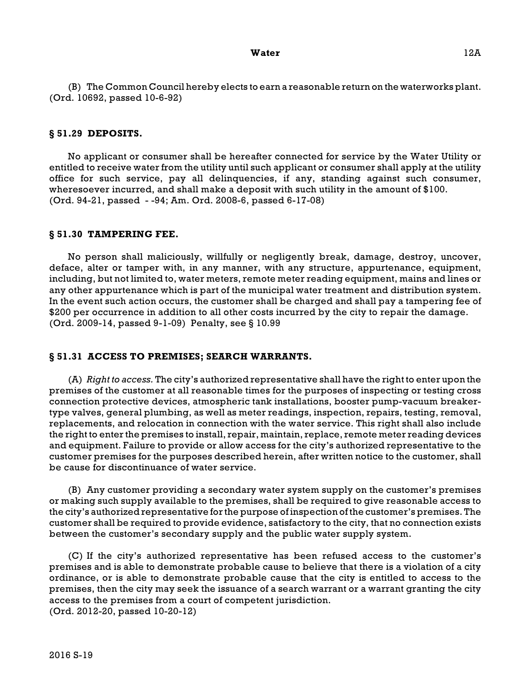## **Water** 12A

(B) The Common Council hereby elects to earn a reasonable return on the waterworks plant. (Ord. 10692, passed 10-6-92)

### **§ 51.29 DEPOSITS.**

No applicant or consumer shall be hereafter connected for service by the Water Utility or entitled to receive water from the utility until such applicant or consumer shall apply at the utility office for such service, pay all delinquencies, if any, standing against such consumer, wheresoever incurred, and shall make a deposit with such utility in the amount of \$100. (Ord. 94-21, passed - -94; Am. Ord. 2008-6, passed 6-17-08)

#### **§ 51.30 TAMPERING FEE.**

No person shall maliciously, willfully or negligently break, damage, destroy, uncover, deface, alter or tamper with, in any manner, with any structure, appurtenance, equipment, including, but not limited to, water meters, remote meter reading equipment, mains and lines or any other appurtenance which is part of the municipal water treatment and distribution system. In the event such action occurs, the customer shall be charged and shall pay a tampering fee of \$200 per occurrence in addition to all other costs incurred by the city to repair the damage. (Ord. 2009-14, passed 9-1-09) Penalty, see § 10.99

#### **§ 51.31 ACCESS TO PREMISES; SEARCH WARRANTS.**

(A) *Right to access.* The city's authorized representative shall have the right to enter upon the premises of the customer at all reasonable times for the purposes of inspecting or testing cross connection protective devices, atmospheric tank installations, booster pump-vacuum breakertype valves, general plumbing, as well as meter readings, inspection, repairs, testing, removal, replacements, and relocation in connection with the water service. This right shall also include the right to enter the premises to install, repair, maintain, replace, remote meter reading devices and equipment. Failure to provide or allow access for the city's authorized representative to the customer premises for the purposes described herein, after written notice to the customer, shall be cause for discontinuance of water service.

(B) Any customer providing a secondary water system supply on the customer's premises or making such supply available to the premises, shall be required to give reasonable access to the city's authorized representative for the purpose of inspection of the customer's premises. The customer shall be required to provide evidence, satisfactory to the city, that no connection exists between the customer's secondary supply and the public water supply system.

(C) If the city's authorized representative has been refused access to the customer's premises and is able to demonstrate probable cause to believe that there is a violation of a city ordinance, or is able to demonstrate probable cause that the city is entitled to access to the premises, then the city may seek the issuance of a search warrant or a warrant granting the city access to the premises from a court of competent jurisdiction. (Ord. 2012-20, passed 10-20-12)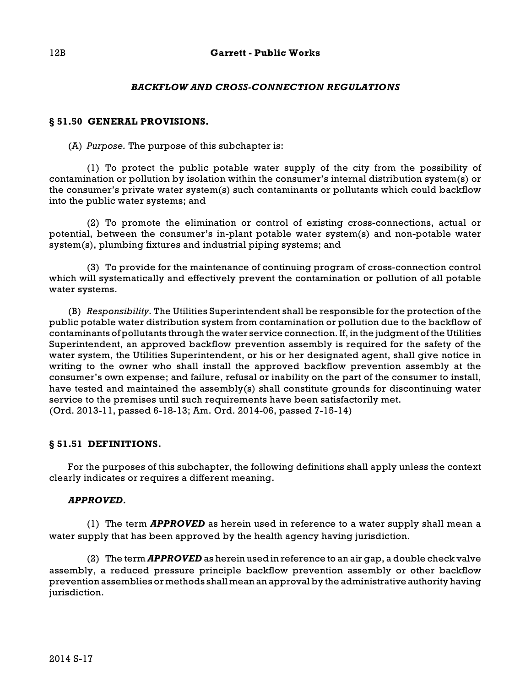## *BACKFLOW AND CROSS-CONNECTION REGULATIONS*

## **§ 51.50 GENERAL PROVISIONS.**

(A) *Purpose.* The purpose of this subchapter is:

(1) To protect the public potable water supply of the city from the possibility of contamination or pollution by isolation within the consumer's internal distribution system(s) or the consumer's private water system(s) such contaminants or pollutants which could backflow into the public water systems; and

(2) To promote the elimination or control of existing cross-connections, actual or potential, between the consumer's in-plant potable water system(s) and non-potable water system(s), plumbing fixtures and industrial piping systems; and

(3) To provide for the maintenance of continuing program of cross-connection control which will systematically and effectively prevent the contamination or pollution of all potable water systems.

(B) *Responsibility.* The Utilities Superintendent shall be responsible for the protection of the public potable water distribution system from contamination or pollution due to the backflow of contaminants of pollutants through the water service connection. If, in the judgment of the Utilities Superintendent, an approved backflow prevention assembly is required for the safety of the water system, the Utilities Superintendent, or his or her designated agent, shall give notice in writing to the owner who shall install the approved backflow prevention assembly at the consumer's own expense; and failure, refusal or inability on the part of the consumer to install, have tested and maintained the assembly(s) shall constitute grounds for discontinuing water service to the premises until such requirements have been satisfactorily met. (Ord. 2013-11, passed 6-18-13; Am. Ord. 2014-06, passed 7-15-14)

### **§ 51.51 DEFINITIONS.**

For the purposes of this subchapter, the following definitions shall apply unless the context clearly indicates or requires a different meaning.

### *APPROVED.*

(1) The term *APPROVED* as herein used in reference to a water supply shall mean a water supply that has been approved by the health agency having jurisdiction.

(2) The term *APPROVED* as herein used in reference to an air gap, a double check valve assembly, a reduced pressure principle backflow prevention assembly or other backflow prevention assemblies or methods shall mean an approval by the administrative authority having jurisdiction.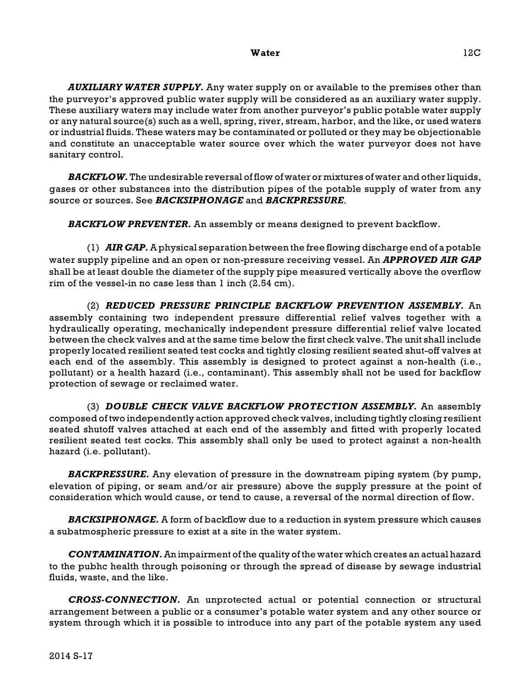# **Water** 12C

*AUXILIARY WATER SUPPLY.* Any water supply on or available to the premises other than the purveyor's approved public water supply will be considered as an auxiliary water supply. These auxiliary waters may include water from another purveyor's public potable water supply or any natural source(s) such as a well, spring, river, stream, harbor, and the like, or used waters or industrial fluids. These waters may be contaminated or polluted or they may be objectionable and constitute an unacceptable water source over which the water purveyor does not have sanitary control.

*BACKFLOW.* The undesirable reversal of flow of water or mixtures of water and other liquids, gases or other substances into the distribution pipes of the potable supply of water from any source or sources. See *BACKSIPHONAGE* and *BACKPRESSURE*.

*BACKFLOW PREVENTER.* An assembly or means designed to prevent backflow.

(1) *AIR GAP.* A physical separation between the free flowing discharge end of a potable water supply pipeline and an open or non-pressure receiving vessel. An *APPROVED AIR GAP* shall be at least double the diameter of the supply pipe measured vertically above the overflow rim of the vessel-in no case less than 1 inch (2.54 cm).

(2) *REDUCED PRESSURE PRINCIPLE BACKFLOW PREVENTION ASSEMBLY.* An assembly containing two independent pressure differential relief valves together with a hydraulically operating, mechanically independent pressure differential relief valve located between the check valves and at the same time below the first check valve. The unit shall include properly located resilient seated test cocks and tightly closing resilient seated shut-off valves at each end of the assembly. This assembly is designed to protect against a non-health (i.e., pollutant) or a health hazard (i.e., contaminant). This assembly shall not be used for backflow protection of sewage or reclaimed water.

(3) *DOUBLE CHECK VALVE BACKFLOW PROTECTION ASSEMBLY.* An assembly composed of two independently action approved check valves, including tightly closing resilient seated shutoff valves attached at each end of the assembly and fitted with properly located resilient seated test cocks. This assembly shall only be used to protect against a non-health hazard (i.e. pollutant).

*BACKPRESSURE.* Any elevation of pressure in the downstream piping system (by pump, elevation of piping, or seam and/or air pressure) above the supply pressure at the point of consideration which would cause, or tend to cause, a reversal of the normal direction of flow.

*BACKSIPHONAGE.* A form of backflow due to a reduction in system pressure which causes a subatmospheric pressure to exist at a site in the water system.

*CONTAMINATION.* An impairment of the quality of the water which creates an actual hazard to the pubhc health through poisoning or through the spread of disease by sewage industrial fluids, waste, and the like.

*CROSS-CONNECTION.* An unprotected actual or potential connection or structural arrangement between a public or a consumer's potable water system and any other source or system through which it is possible to introduce into any part of the potable system any used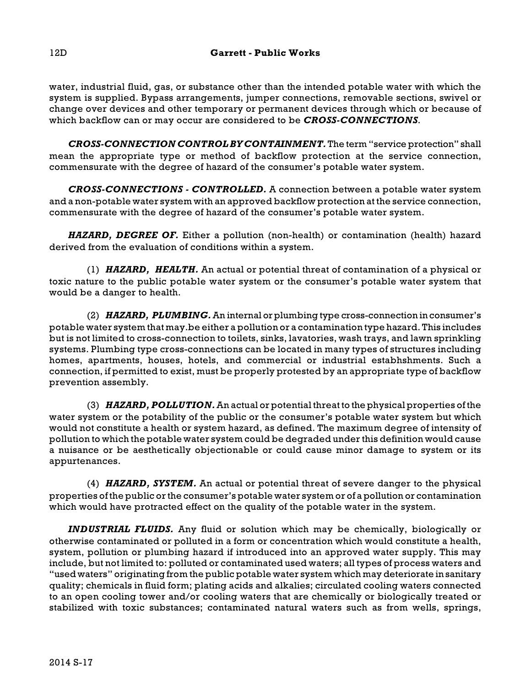water, industrial fluid, gas, or substance other than the intended potable water with which the system is supplied. Bypass arrangements, jumper connections, removable sections, swivel or change over devices and other temporary or permanent devices through which or because of which backflow can or may occur are considered to be *CROSS-CONNECTIONS*.

*CROSS-CONNECTION CONTROL BY CONTAINMENT.* The term "service protection" shall mean the appropriate type or method of backflow protection at the service connection, commensurate with the degree of hazard of the consumer's potable water system.

*CROSS-CONNECTIONS - CONTROLLED.* A connection between a potable water system and a non-potable water system with an approved backflow protection at the service connection, commensurate with the degree of hazard of the consumer's potable water system.

*HAZARD, DEGREE OF.* Either a pollution (non-health) or contamination (health) hazard derived from the evaluation of conditions within a system.

(1) *HAZARD, HEALTH.* An actual or potential threat of contamination of a physical or toxic nature to the public potable water system or the consumer's potable water system that would be a danger to health.

(2) *HAZARD, PLUMBING.* An internal or plumbing type cross-connection in consumer's potable water system that may.be either a pollution or a contamination type hazard. This includes but is not limited to cross-connection to toilets, sinks, lavatories, wash trays, and lawn sprinkling systems. Plumbing type cross-connections can be located in many types of structures including homes, apartments, houses, hotels, and commercial or industrial estabhshments. Such a connection, if permitted to exist, must be properly protested by an appropriate type of backflow prevention assembly.

(3) *HAZARD, POLLUTION.* An actual or potential threat to the physical properties of the water system or the potability of the public or the consumer's potable water system but which would not constitute a health or system hazard, as defined. The maximum degree of intensity of pollution to which the potable water system could be degraded under this definition would cause a nuisance or be aesthetically objectionable or could cause minor damage to system or its appurtenances.

(4) *HAZARD, SYSTEM.* An actual or potential threat of severe danger to the physical properties of the public or the consumer's potable water system or of a pollution or contamination which would have protracted effect on the quality of the potable water in the system.

*INDUSTRIAL FLUIDS.* Any fluid or solution which may be chemically, biologically or otherwise contaminated or polluted in a form or concentration which would constitute a health, system, pollution or plumbing hazard if introduced into an approved water supply. This may include, but not limited to: polluted or contaminated used waters; all types of process waters and "used waters" originating from the public potable water system which may deteriorate in sanitary quality; chemicals in fluid form; plating acids and alkalies; circulated cooling waters connected to an open cooling tower and/or cooling waters that are chemically or biologically treated or stabilized with toxic substances; contaminated natural waters such as from wells, springs,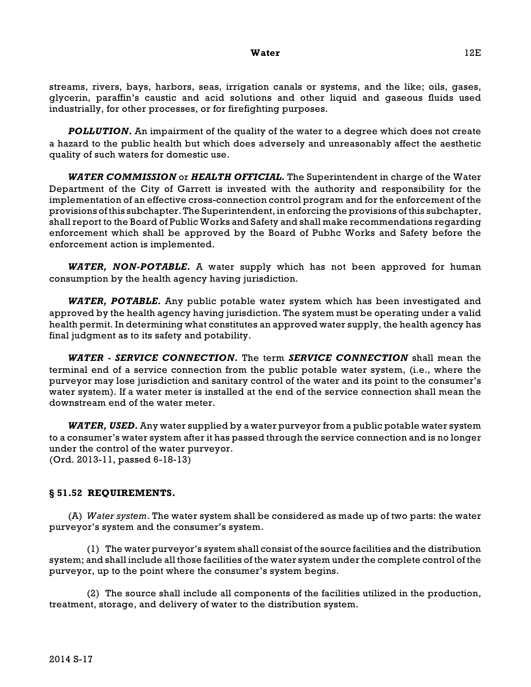# **Water** 12E

streams, rivers, bays, harbors, seas, irrigation canals or systems, and the like; oils, gases, glycerin, paraffin's caustic and acid solutions and other liquid and gaseous fluids used industrially, for other processes, or for firefighting purposes.

**POLLUTION.** An impairment of the quality of the water to a degree which does not create a hazard to the public health but which does adversely and unreasonably affect the aesthetic quality of such waters for domestic use.

*WATER COMMISSION* or *HEALTH OFFICIAL.* The Superintendent in charge of the Water Department of the City of Garrett is invested with the authority and responsibility for the implementation of an effective cross-connection control program and for the enforcement of the provisions of this subchapter. The Superintendent, in enforcing the provisions of this subchapter, shall report to the Board of Public Works and Safety and shall make recommendations regarding enforcement which shall be approved by the Board of Pubhc Works and Safety before the enforcement action is implemented.

*WATER, NON-POTABLE.* A water supply which has not been approved for human consumption by the health agency having jurisdiction.

*WATER, POTABLE.* Any public potable water system which has been investigated and approved by the health agency having jurisdiction. The system must be operating under a valid health permit. In determining what constitutes an approved water supply, the health agency has final judgment as to its safety and potability.

*WATER - SERVICE CONNECTION.* The term *SERVICE CONNECTION* shall mean the terminal end of a service connection from the public potable water system, (i.e., where the purveyor may lose jurisdiction and sanitary control of the water and its point to the consumer's water system). If a water meter is installed at the end of the service connection shall mean the downstream end of the water meter.

*WATER, USED.* Any water supplied by a water purveyor from a public potable water system to a consumer's water system after it has passed through the service connection and is no longer under the control of the water purveyor. (Ord. 2013-11, passed 6-18-13)

# **§ 51.52 REQUIREMENTS.**

(A) *Water system*. The water system shall be considered as made up of two parts: the water purveyor's system and the consumer's system.

(1) The water purveyor's system shall consist of the source facilities and the distribution system; and shall include all those facilities of the water system under the complete control of the purveyor, up to the point where the consumer's system begins.

(2) The source shall include all components of the facilities utilized in the production, treatment, storage, and delivery of water to the distribution system.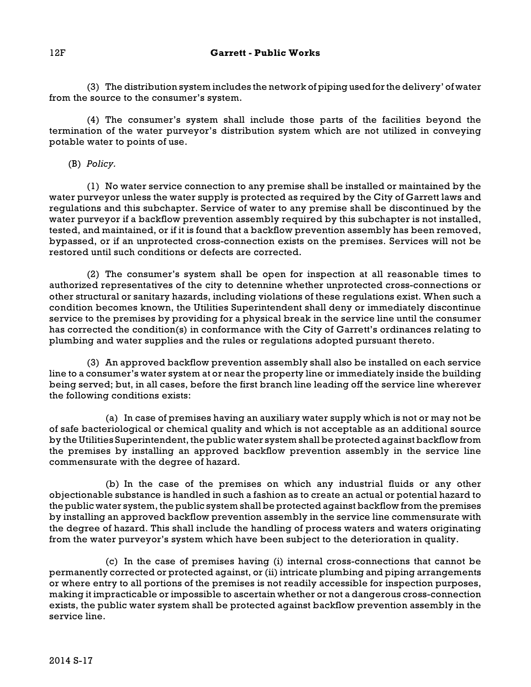(3) The distribution system includes the network of piping used for the delivery' of water from the source to the consumer's system.

(4) The consumer's system shall include those parts of the facilities beyond the termination of the water purveyor's distribution system which are not utilized in conveying potable water to points of use.

(B) *Policy.*

(1) No water service connection to any premise shall be installed or maintained by the water purveyor unless the water supply is protected as required by the City of Garrett laws and regulations and this subchapter. Service of water to any premise shall be discontinued by the water purveyor if a backflow prevention assembly required by this subchapter is not installed, tested, and maintained, or if it is found that a backflow prevention assembly has been removed, bypassed, or if an unprotected cross-connection exists on the premises. Services will not be restored until such conditions or defects are corrected.

(2) The consumer's system shall be open for inspection at all reasonable times to authorized representatives of the city to detennine whether unprotected cross-connections or other structural or sanitary hazards, including violations of these regulations exist. When such a condition becomes known, the Utilities Superintendent shall deny or immediately discontinue service to the premises by providing for a physical break in the service line until the consumer has corrected the condition(s) in conformance with the City of Garrett's ordinances relating to plumbing and water supplies and the rules or regulations adopted pursuant thereto.

(3) An approved backflow prevention assembly shall also be installed on each service line to a consumer's water system at or near the property line or immediately inside the building being served; but, in all cases, before the first branch line leading off the service line wherever the following conditions exists:

(a) In case of premises having an auxiliary water supply which is not or may not be of safe bacteriological or chemical quality and which is not acceptable as an additional source by the Utilities Superintendent, the public water system shall be protected against backflow from the premises by installing an approved backflow prevention assembly in the service line commensurate with the degree of hazard.

(b) In the case of the premises on which any industrial fluids or any other objectionable substance is handled in such a fashion as to create an actual or potential hazard to the public water system, the public system shall be protected against backflow from the premises by installing an approved backflow prevention assembly in the service line commensurate with the degree of hazard. This shall include the handling of process waters and waters originating from the water purveyor's system which have been subject to the deterioration in quality.

(c) In the case of premises having (i) internal cross-connections that cannot be permanently corrected or protected against, or (ii) intricate plumbing and piping arrangements or where entry to all portions of the premises is not readily accessible for inspection purposes, making it impracticable or impossible to ascertain whether or not a dangerous cross-connection exists, the public water system shall be protected against backflow prevention assembly in the service line.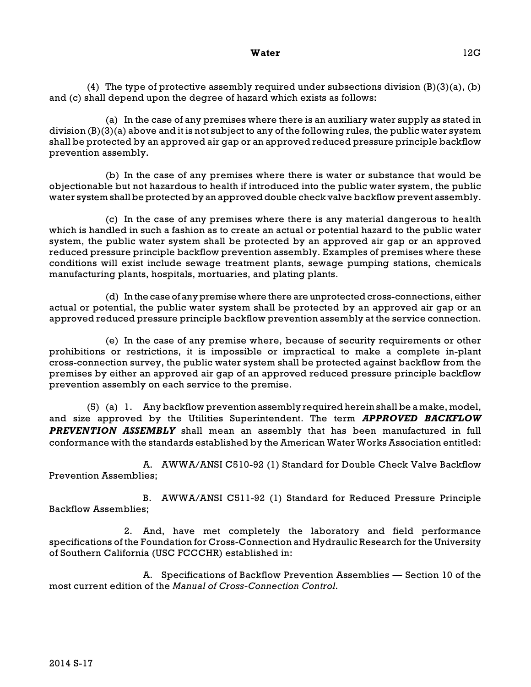(4) The type of protective assembly required under subsections division  $(B)(3)(a)$ ,  $(b)$ and (c) shall depend upon the degree of hazard which exists as follows:

(a) In the case of any premises where there is an auxiliary water supply as stated in division (B)(3)(a) above and it is not subject to any of the following rules, the public water system shall be protected by an approved air gap or an approved reduced pressure principle backflow prevention assembly.

(b) In the case of any premises where there is water or substance that would be objectionable but not hazardous to health if introduced into the public water system, the public water system shall be protected by an approved double check valve backflow prevent assembly.

(c) In the case of any premises where there is any material dangerous to health which is handled in such a fashion as to create an actual or potential hazard to the public water system, the public water system shall be protected by an approved air gap or an approved reduced pressure principle backflow prevention assembly. Examples of premises where these conditions will exist include sewage treatment plants, sewage pumping stations, chemicals manufacturing plants, hospitals, mortuaries, and plating plants.

(d) In the case of any premise where there are unprotected cross-connections, either actual or potential, the public water system shall be protected by an approved air gap or an approved reduced pressure principle backflow prevention assembly at the service connection.

(e) In the case of any premise where, because of security requirements or other prohibitions or restrictions, it is impossible or impractical to make a complete in-plant cross-connection survey, the public water system shall be protected against backflow from the premises by either an approved air gap of an approved reduced pressure principle backflow prevention assembly on each service to the premise.

(5) (a) 1. Any backflow prevention assembly required herein shall be a make, model, and size approved by the Utilities Superintendent. The term *APPROVED BACKFLOW PREVENTION ASSEMBLY* shall mean an assembly that has been manufactured in full conformance with the standards established by the American Water Works Association entitled:

A. AWWA/ANSI C510-92 (1) Standard for Double Check Valve Backflow Prevention Assemblies;

B. AWWA/ANSI C511-92 (1) Standard for Reduced Pressure Principle Backflow Assemblies;

2. And, have met completely the laboratory and field performance specifications of the Foundation for Cross-Connection and Hydraulic Research for the University of Southern California (USC FCCCHR) established in:

A. Specifications of Backflow Prevention Assemblies — Section 10 of the most current edition of the *Manual of Cross-Connection Control*.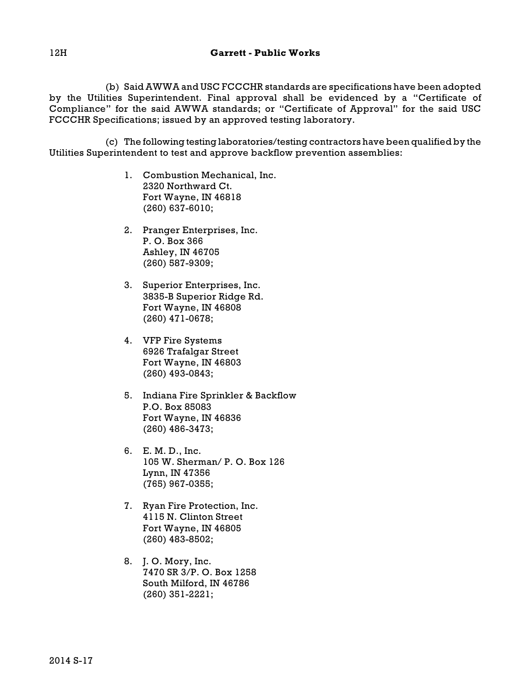(b) Said AWWA and USC FCCCHR standards are specifications have been adopted by the Utilities Superintendent. Final approval shall be evidenced by a "Certificate of Compliance" for the said AWWA standards; or "Certificate of Approval" for the said USC FCCCHR Specifications; issued by an approved testing laboratory.

(c) The following testing laboratories/testing contractors have been qualified by the Utilities Superintendent to test and approve backflow prevention assemblies:

- 1. Combustion Mechanical, Inc. 2320 Northward Ct. Fort Wayne, IN 46818 (260) 637-6010;
- 2. Pranger Enterprises, Inc. P. O. Box 366 Ashley, IN 46705 (260) 587-9309;
- 3. Superior Enterprises, Inc. 3835-B Superior Ridge Rd. Fort Wayne, IN 46808 (260) 471-0678;
- 4. VFP Fire Systems 6926 Trafalgar Street Fort Wayne, IN 46803 (260) 493-0843;
- 5. Indiana Fire Sprinkler & Backflow P.O. Box 85083 Fort Wayne, IN 46836 (260) 486-3473;
- 6. E. M. D., Inc. 105 W. Sherman/ P. O. Box 126 Lynn, IN 47356 (765) 967-0355;
- 7. Ryan Fire Protection, Inc. 4115 N. Clinton Street Fort Wayne, IN 46805 (260) 483-8502;
- 8. J. O. Mory, Inc. 7470 SR 3/P. O. Box 1258 South Milford, IN 46786 (260) 351-2221;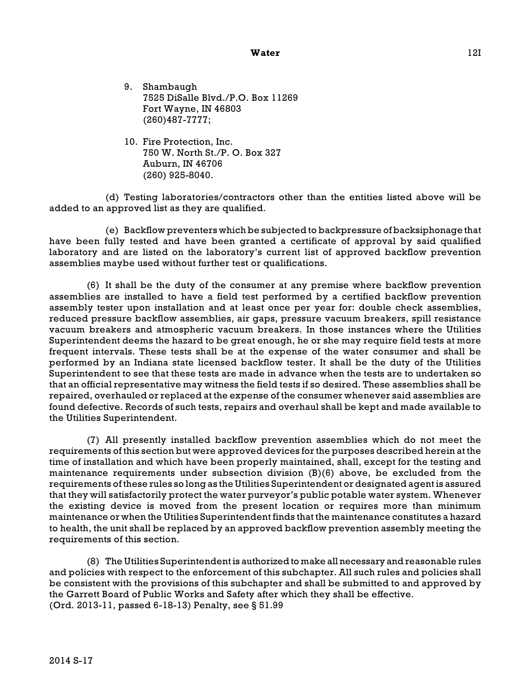- 9. Shambaugh 7525 DiSalle Blvd./P.O. Box 11269 Fort Wayne, IN 46803 (260)487-7777;
- 10. Fire Protection, Inc. 750 W. North St./P. O. Box 327 Auburn, IN 46706 (260) 925-8040.

(d) Testing laboratories/contractors other than the entities listed above will be added to an approved list as they are qualified.

(e) Backflow preventers which be subjected to backpressure of backsiphonage that have been fully tested and have been granted a certificate of approval by said qualified laboratory and are listed on the laboratory's current list of approved backflow prevention assemblies maybe used without further test or qualifications.

(6) It shall be the duty of the consumer at any premise where backflow prevention assemblies are installed to have a field test performed by a certified backflow prevention assembly tester upon installation and at least once per year for: double check assemblies, reduced pressure backflow assemblies, air gaps, pressure vacuum breakers, spill resistance vacuum breakers and atmospheric vacuum breakers. In those instances where the Utilities Superintendent deems the hazard to be great enough, he or she may require field tests at more frequent intervals. These tests shall be at the expense of the water consumer and shall be performed by an Indiana state licensed backflow tester. It shall be the duty of the Utilities Superintendent to see that these tests are made in advance when the tests are to undertaken so that an official representative may witness the field tests if so desired. These assemblies shall be repaired, overhauled or replaced at the expense of the consumer whenever said assemblies are found defective. Records of such tests, repairs and overhaul shall be kept and made available to the Utilities Superintendent.

(7) All presently installed backflow prevention assemblies which do not meet the requirements of this section but were approved devices for the purposes described herein at the time of installation and which have been properly maintained, shall, except for the testing and maintenance requirements under subsection division (B)(6) above, be excluded from the requirements of these rules so long as the Utilities Superintendent or designated agent is assured that they will satisfactorily protect the water purveyor's public potable water system. Whenever the existing device is moved from the present location or requires more than minimum maintenance or when the Utilities Superintendent finds that the maintenance constitutes a hazard to health, the unit shall be replaced by an approved backflow prevention assembly meeting the requirements of this section.

(8) The Utilities Superintendent is authorized to make all necessary and reasonable rules and policies with respect to the enforcement of this subchapter. All such rules and policies shall be consistent with the provisions of this subchapter and shall be submitted to and approved by the Garrett Board of Public Works and Safety after which they shall be effective. (Ord. 2013-11, passed 6-18-13) Penalty, see § 51.99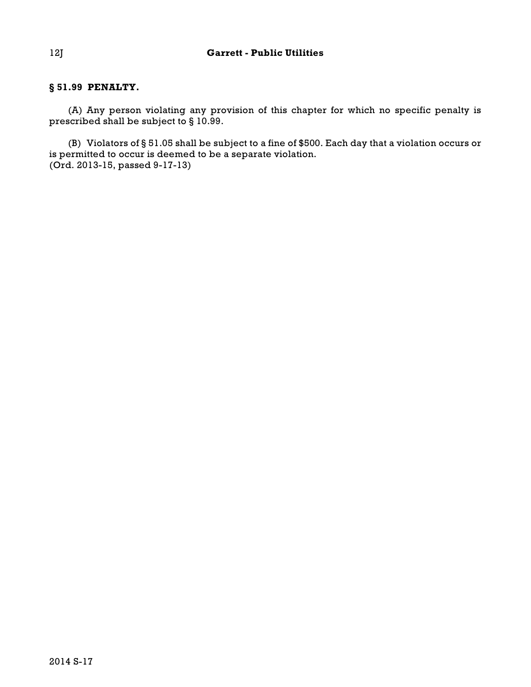# **§ 51.99 PENALTY.**

(A) Any person violating any provision of this chapter for which no specific penalty is prescribed shall be subject to § 10.99.

(B) Violators of § 51.05 shall be subject to a fine of \$500. Each day that a violation occurs or is permitted to occur is deemed to be a separate violation. (Ord. 2013-15, passed 9-17-13)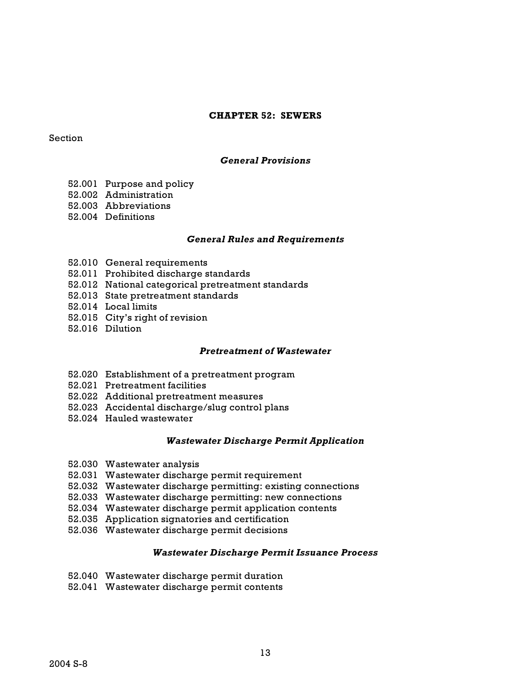## **CHAPTER 52: SEWERS**

#### Section

#### *General Provisions*

- 52.001 Purpose and policy
- 52.002 Administration
- 52.003 Abbreviations
- 52.004 Definitions

#### *General Rules and Requirements*

- 52.010 General requirements
- 52.011 Prohibited discharge standards
- 52.012 National categorical pretreatment standards
- 52.013 State pretreatment standards
- 52.014 Local limits
- 52.015 City's right of revision
- 52.016 Dilution

#### *Pretreatment of Wastewater*

- 52.020 Establishment of a pretreatment program
- 52.021 Pretreatment facilities
- 52.022 Additional pretreatment measures
- 52.023 Accidental discharge/slug control plans
- 52.024 Hauled wastewater

#### *Wastewater Discharge Permit Application*

- 52.030 Wastewater analysis
- 52.031 Wastewater discharge permit requirement
- 52.032 Wastewater discharge permitting: existing connections
- 52.033 Wastewater discharge permitting: new connections
- 52.034 Wastewater discharge permit application contents
- 52.035 Application signatories and certification
- 52.036 Wastewater discharge permit decisions

### *Wastewater Discharge Permit Issuance Process*

- 52.040 Wastewater discharge permit duration
- 52.041 Wastewater discharge permit contents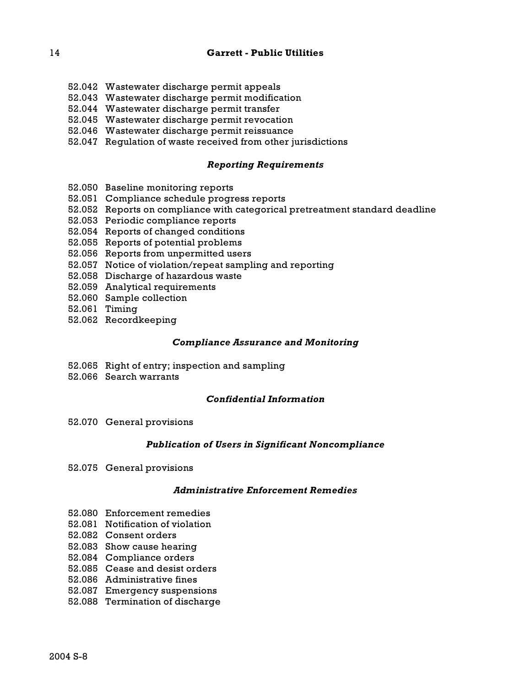- 52.042 Wastewater discharge permit appeals
- 52.043 Wastewater discharge permit modification
- 52.044 Wastewater discharge permit transfer
- 52.045 Wastewater discharge permit revocation
- 52.046 Wastewater discharge permit reissuance
- 52.047 Regulation of waste received from other jurisdictions

#### *Reporting Requirements*

- 52.050 Baseline monitoring reports
- 52.051 Compliance schedule progress reports
- 52.052 Reports on compliance with categorical pretreatment standard deadline
- 52.053 Periodic compliance reports
- 52.054 Reports of changed conditions
- 52.055 Reports of potential problems
- 52.056 Reports from unpermitted users
- 52.057 Notice of violation/repeat sampling and reporting
- 52.058 Discharge of hazardous waste
- 52.059 Analytical requirements
- 52.060 Sample collection
- 52.061 Timing
- 52.062 Recordkeeping

#### *Compliance Assurance and Monitoring*

- 52.065 Right of entry; inspection and sampling
- 52.066 Search warrants

### *Confidential Information*

52.070 General provisions

### *Publication of Users in Significant Noncompliance*

52.075 General provisions

#### *Administrative Enforcement Remedies*

- 52.080 Enforcement remedies
- 52.081 Notification of violation
- 52.082 Consent orders
- 52.083 Show cause hearing
- 52.084 Compliance orders
- 52.085 Cease and desist orders
- 52.086 Administrative fines
- 52.087 Emergency suspensions
- 52.088 Termination of discharge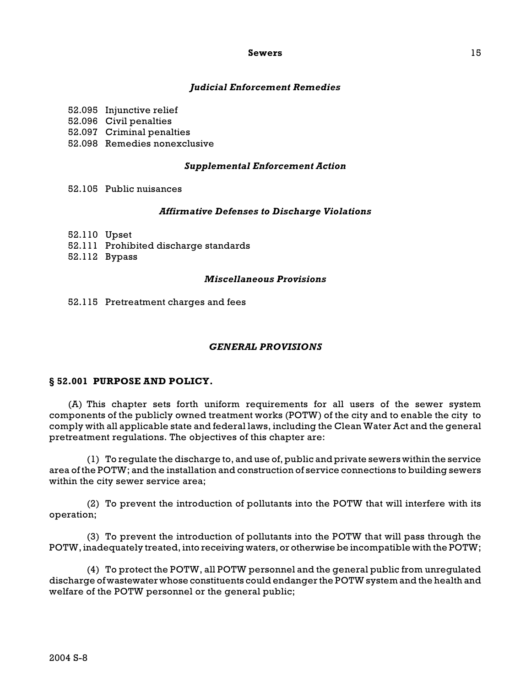#### **Sewers** 15

# *Judicial Enforcement Remedies*

- 52.095 Injunctive relief
- 52.096 Civil penalties
- 52.097 Criminal penalties
- 52.098 Remedies nonexclusive

### *Supplemental Enforcement Action*

52.105 Public nuisances

### *Affirmative Defenses to Discharge Violations*

- 52.110 Upset
- 52.111 Prohibited discharge standards
- 52.112 Bypass

### *Miscellaneous Provisions*

52.115 Pretreatment charges and fees

# *GENERAL PROVISIONS*

### **§ 52.001 PURPOSE AND POLICY.**

(A) This chapter sets forth uniform requirements for all users of the sewer system components of the publicly owned treatment works (POTW) of the city and to enable the city to comply with all applicable state and federal laws, including the Clean Water Act and the general pretreatment regulations. The objectives of this chapter are:

(1) To regulate the discharge to, and use of, public and private sewers within the service area of the POTW; and the installation and construction of service connections to building sewers within the city sewer service area;

(2) To prevent the introduction of pollutants into the POTW that will interfere with its operation;

(3) To prevent the introduction of pollutants into the POTW that will pass through the POTW, inadequately treated, into receiving waters, or otherwise be incompatible with the POTW;

(4) To protect the POTW, all POTW personnel and the general public from unregulated discharge of wastewater whose constituents could endanger the POTW system and the health and welfare of the POTW personnel or the general public;

2004 S-8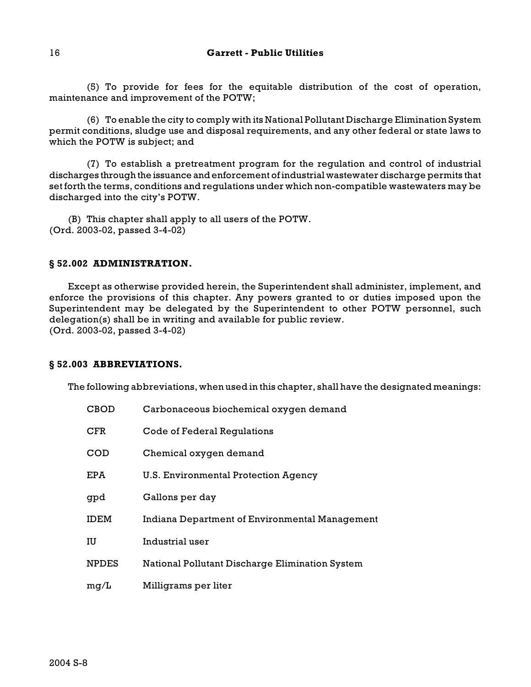(5) To provide for fees for the equitable distribution of the cost of operation, maintenance and improvement of the POTW;

(6) To enable the city to comply with its National Pollutant Discharge Elimination System permit conditions, sludge use and disposal requirements, and any other federal or state laws to which the POTW is subject; and

(7) To establish a pretreatment program for the regulation and control of industrial discharges through the issuance and enforcement of industrial wastewater discharge permits that set forth the terms, conditions and regulations under which non-compatible wastewaters may be discharged into the city's POTW.

(B) This chapter shall apply to all users of the POTW. (Ord. 2003-02, passed 3-4-02)

#### **§ 52.002 ADMINISTRATION.**

Except as otherwise provided herein, the Superintendent shall administer, implement, and enforce the provisions of this chapter. Any powers granted to or duties imposed upon the Superintendent may be delegated by the Superintendent to other POTW personnel, such delegation(s) shall be in writing and available for public review. (Ord. 2003-02, passed 3-4-02)

### **§ 52.003 ABBREVIATIONS.**

The following abbreviations, when used in this chapter, shall have the designated meanings:

| <b>CBOD</b>  | Carbonaceous biochemical oxygen demand          |  |
|--------------|-------------------------------------------------|--|
| <b>CFR</b>   | Code of Federal Regulations                     |  |
| <b>COD</b>   | Chemical oxygen demand                          |  |
| EPA          | U.S. Environmental Protection Agency            |  |
| gpd          | Gallons per day                                 |  |
| <b>IDEM</b>  | Indiana Department of Environmental Management  |  |
| IU           | Industrial user                                 |  |
| <b>NPDES</b> | National Pollutant Discharge Elimination System |  |
| mq/L         | Milligrams per liter                            |  |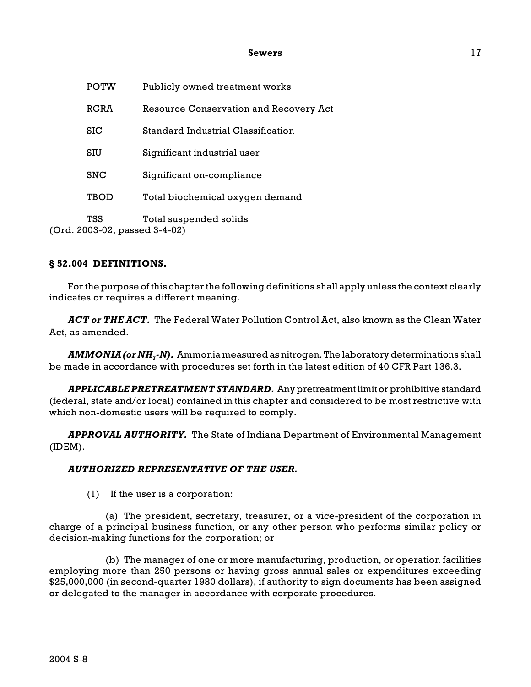### **Sewers** 17

| <b>POTW</b>                          | Publicly owned treatment works                |
|--------------------------------------|-----------------------------------------------|
| RCRA                                 | <b>Resource Conservation and Recovery Act</b> |
| <b>SIC</b>                           | Standard Industrial Classification            |
| SIU                                  | Significant industrial user                   |
| <b>SNC</b>                           | Significant on-compliance                     |
| TBOD                                 | Total biochemical oxygen demand               |
| TSS<br>(Ord. 2003-02, passed 3-4-02) | Total suspended solids                        |

### **§ 52.004 DEFINITIONS.**

For the purpose of this chapter the following definitions shall apply unless the context clearly indicates or requires a different meaning.

*ACT or THE ACT.* The Federal Water Pollution Control Act, also known as the Clean Water Act, as amended.

*AMMON <sup>3</sup> IA (or NH -N).* Ammonia measured as nitrogen. The laboratory determinations shall be made in accordance with procedures set forth in the latest edition of 40 CFR Part 136.3.

*APPLICABLE PRETREATMENT STANDARD.* Any pretreatment limit or prohibitive standard (federal, state and/or local) contained in this chapter and considered to be most restrictive with which non-domestic users will be required to comply.

*APPROVAL AUTHORITY.* The State of Indiana Department of Environmental Management (IDEM).

### *AUTHORIZED REPRESENTATIVE OF THE USER.*

(1) If the user is a corporation:

(a) The president, secretary, treasurer, or a vice-president of the corporation in charge of a principal business function, or any other person who performs similar policy or decision-making functions for the corporation; or

(b) The manager of one or more manufacturing, production, or operation facilities employing more than 250 persons or having gross annual sales or expenditures exceeding \$25,000,000 (in second-quarter 1980 dollars), if authority to sign documents has been assigned or delegated to the manager in accordance with corporate procedures.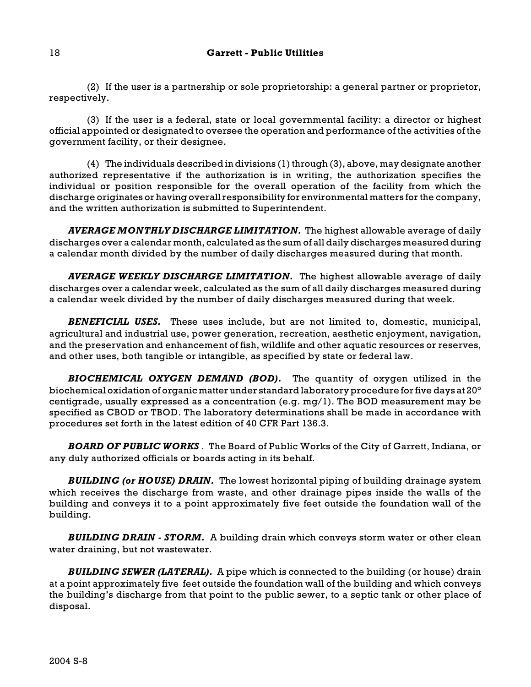(2) If the user is a partnership or sole proprietorship: a general partner or proprietor, respectively.

(3) If the user is a federal, state or local governmental facility: a director or highest official appointed or designated to oversee the operation and performance of the activities of the government facility, or their designee.

(4) The individuals described in divisions (1) through (3), above, may designate another authorized representative if the authorization is in writing, the authorization specifies the individual or position responsible for the overall operation of the facility from which the discharge originates or having overall responsibility for environmental matters for the company, and the written authorization is submitted to Superintendent.

*AVERAGE MONTHLY DISCHARGE LIMITATION.* The highest allowable average of daily discharges over a calendar month, calculated as the sum of all daily discharges measured during a calendar month divided by the number of daily discharges measured during that month.

*AVERAGE WEEKLY DISCHARGE LIMITATION.* The highest allowable average of daily discharges over a calendar week, calculated as the sum of all daily discharges measured during a calendar week divided by the number of daily discharges measured during that week.

*BENEFICIAL USES.* These uses include, but are not limited to, domestic, municipal, agricultural and industrial use, power generation, recreation, aesthetic enjoyment, navigation, and the preservation and enhancement of fish, wildlife and other aquatic resources or reserves, and other uses, both tangible or intangible, as specified by state or federal law.

*BIOCHEMICAL OXYGEN DEMAND (BOD).* The quantity of oxygen utilized in the biochemical oxidation of organic matter under standard laboratory procedure for five days at 20° centigrade, usually expressed as a concentration (e.g.  $mq/1$ ). The BOD measurement may be specified as CBOD or TBOD. The laboratory determinations shall be made in accordance with procedures set forth in the latest edition of 40 CFR Part 136.3.

*BOARD OF PUBLIC WORKS* . The Board of Public Works of the City of Garrett, Indiana, or any duly authorized officials or boards acting in its behalf.

*BUILDING (or HOUSE) DRAIN.* The lowest horizontal piping of building drainage system which receives the discharge from waste, and other drainage pipes inside the walls of the building and conveys it to a point approximately five feet outside the foundation wall of the building.

*BUILDING DRAIN - STORM.* A building drain which conveys storm water or other clean water draining, but not wastewater.

**BUILDING SEWER (LATERAL).** A pipe which is connected to the building (or house) drain at a point approximately five feet outside the foundation wall of the building and which conveys the building's discharge from that point to the public sewer, to a septic tank or other place of disposal.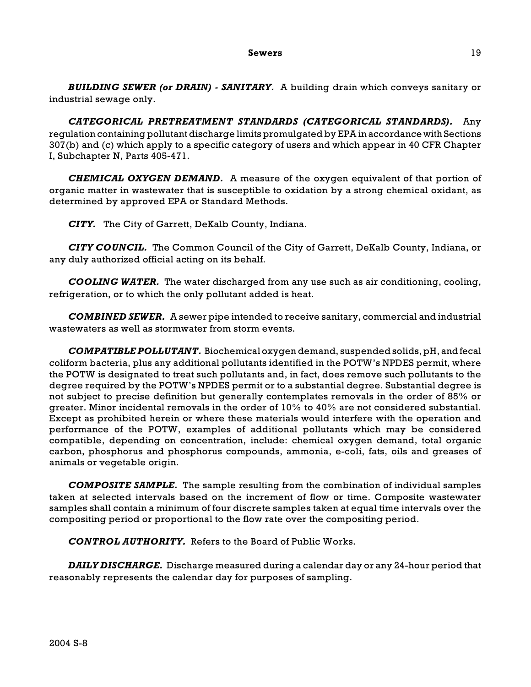*BUILDING SEWER (or DRAIN) - SANITARY.* A building drain which conveys sanitary or industrial sewage only.

*CATEGORICAL PRETREATMENT STANDARDS (CATEGORICAL STANDARDS).* Any regulation containing pollutant discharge limits promulgated by EPA in accordance with Sections 307(b) and (c) which apply to a specific category of users and which appear in 40 CFR Chapter I, Subchapter N, Parts 405-471.

*CHEMICAL OXYGEN DEMAND.* A measure of the oxygen equivalent of that portion of organic matter in wastewater that is susceptible to oxidation by a strong chemical oxidant, as determined by approved EPA or Standard Methods.

*CITY.* The City of Garrett, DeKalb County, Indiana.

*CITY COUNCIL.* The Common Council of the City of Garrett, DeKalb County, Indiana, or any duly authorized official acting on its behalf.

*COOLING WATER.* The water discharged from any use such as air conditioning, cooling, refrigeration, or to which the only pollutant added is heat.

*COMBINED SEWER.* A sewer pipe intended to receive sanitary, commercial and industrial wastewaters as well as stormwater from storm events.

*COMPATIBLE POLLUTANT.* Biochemical oxygen demand, suspended solids, pH, and fecal coliform bacteria, plus any additional pollutants identified in the POTW's NPDES permit, where the POTW is designated to treat such pollutants and, in fact, does remove such pollutants to the degree required by the POTW's NPDES permit or to a substantial degree. Substantial degree is not subject to precise definition but generally contemplates removals in the order of 85% or greater. Minor incidental removals in the order of 10% to 40% are not considered substantial. Except as prohibited herein or where these materials would interfere with the operation and performance of the POTW, examples of additional pollutants which may be considered compatible, depending on concentration, include: chemical oxygen demand, total organic carbon, phosphorus and phosphorus compounds, ammonia, e-coli, fats, oils and greases of animals or vegetable origin.

*COMPOSITE SAMPLE.* The sample resulting from the combination of individual samples taken at selected intervals based on the increment of flow or time. Composite wastewater samples shall contain a minimum of four discrete samples taken at equal time intervals over the compositing period or proportional to the flow rate over the compositing period.

*CONTROL AUTHORITY.* Refers to the Board of Public Works.

*DAILY DISCHARGE.* Discharge measured during a calendar day or any 24-hour period that reasonably represents the calendar day for purposes of sampling.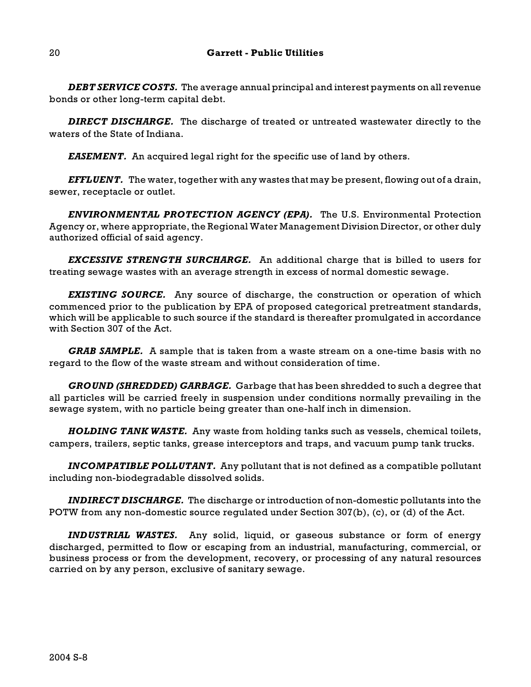*DEBT SERVICE COSTS.* The average annual principal and interest payments on all revenue bonds or other long-term capital debt.

*DIRECT DISCHARGE.* The discharge of treated or untreated wastewater directly to the waters of the State of Indiana.

*EASEMENT.* An acquired legal right for the specific use of land by others.

*EFFLUENT.* The water, together with any wastes that may be present, flowing out of a drain, sewer, receptacle or outlet.

*ENVIRONMENTAL PROTECTION AGENCY (EPA).* The U.S. Environmental Protection Agency or, where appropriate, the Regional Water Management Division Director, or other duly authorized official of said agency.

*EXCESSIVE STRENGTH SURCHARGE.* An additional charge that is billed to users for treating sewage wastes with an average strength in excess of normal domestic sewage.

*EXISTING SOURCE.* Any source of discharge, the construction or operation of which commenced prior to the publication by EPA of proposed categorical pretreatment standards, which will be applicable to such source if the standard is thereafter promulgated in accordance with Section 307 of the Act.

*GRAB SAMPLE.* A sample that is taken from a waste stream on a one-time basis with no regard to the flow of the waste stream and without consideration of time.

*GROUND (SHREDDED) GARBAGE.* Garbage that has been shredded to such a degree that all particles will be carried freely in suspension under conditions normally prevailing in the sewage system, with no particle being greater than one-half inch in dimension.

*HOLDING TANK WASTE.* Any waste from holding tanks such as vessels, chemical toilets, campers, trailers, septic tanks, grease interceptors and traps, and vacuum pump tank trucks.

*INCOMPATIBLE POLLUTANT.* Any pollutant that is not defined as a compatible pollutant including non-biodegradable dissolved solids.

*INDIRECT DISCHARGE.* The discharge or introduction of non-domestic pollutants into the POTW from any non-domestic source regulated under Section 307(b), (c), or (d) of the Act.

*INDUSTRIAL WASTES.* Any solid, liquid, or gaseous substance or form of energy discharged, permitted to flow or escaping from an industrial, manufacturing, commercial, or business process or from the development, recovery, or processing of any natural resources carried on by any person, exclusive of sanitary sewage.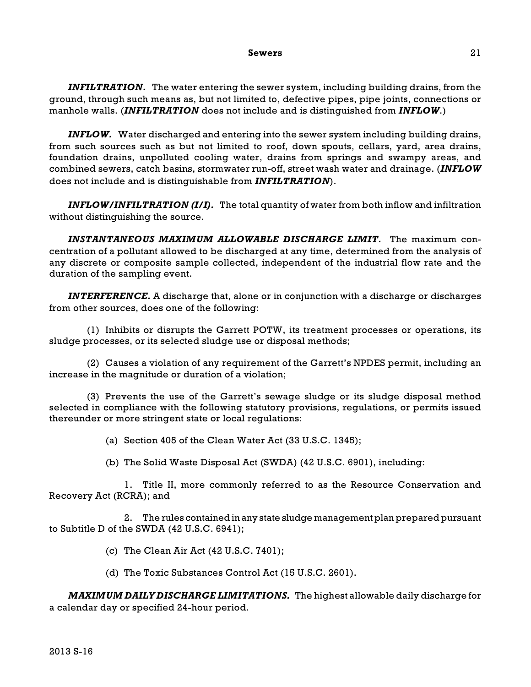*INFILTRATION.* The water entering the sewer system, including building drains, from the ground, through such means as, but not limited to, defective pipes, pipe joints, connections or manhole walls. (*INFILTRATION* does not include and is distinguished from *INFLOW*.)

*INFLOW.* Water discharged and entering into the sewer system including building drains, from such sources such as but not limited to roof, down spouts, cellars, yard, area drains, foundation drains, unpolluted cooling water, drains from springs and swampy areas, and combined sewers, catch basins, stormwater run-off, street wash water and drainage. (*INFLOW* does not include and is distinguishable from *INFILTRATION*).

*INFLOW/INFILTRATION (I/I).* The total quantity of water from both inflow and infiltration without distinguishing the source.

*INSTANTANEOUS MAXIMUM ALLOWABLE DISCHARGE LIMIT.* The maximum concentration of a pollutant allowed to be discharged at any time, determined from the analysis of any discrete or composite sample collected, independent of the industrial flow rate and the duration of the sampling event.

*INTERFERENCE.* A discharge that, alone or in conjunction with a discharge or discharges from other sources, does one of the following:

(1) Inhibits or disrupts the Garrett POTW, its treatment processes or operations, its sludge processes, or its selected sludge use or disposal methods;

(2) Causes a violation of any requirement of the Garrett's NPDES permit, including an increase in the magnitude or duration of a violation;

(3) Prevents the use of the Garrett's sewage sludge or its sludge disposal method selected in compliance with the following statutory provisions, regulations, or permits issued thereunder or more stringent state or local regulations:

(a) Section 405 of the Clean Water Act (33 U.S.C. 1345);

(b) The Solid Waste Disposal Act (SWDA) (42 U.S.C. 6901), including:

1. Title II, more commonly referred to as the Resource Conservation and Recovery Act (RCRA); and

2. The rules contained in any state sludge management plan prepared pursuant to Subtitle D of the SWDA (42 U.S.C. 6941);

(c) The Clean Air Act (42 U.S.C. 7401);

(d) The Toxic Substances Control Act (15 U.S.C. 2601).

*MAXIMUM DAILY DISCHARGE LIMITATIONS.* The highest allowable daily discharge for a calendar day or specified 24-hour period.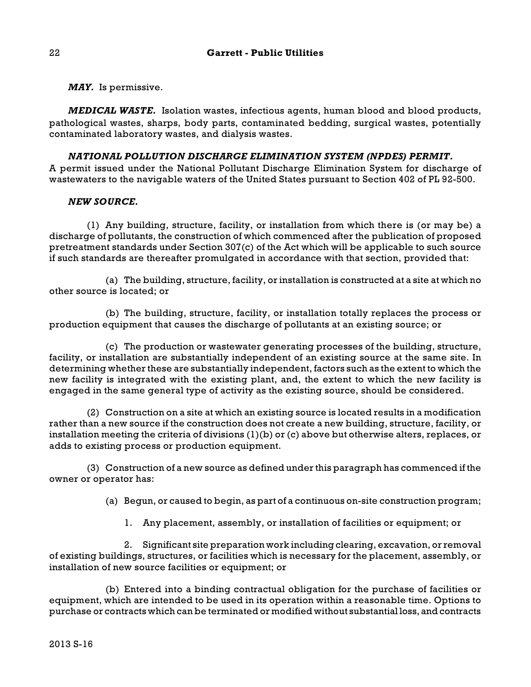*MAY.* Is permissive.

*MEDICAL WASTE.* Isolation wastes, infectious agents, human blood and blood products, pathological wastes, sharps, body parts, contaminated bedding, surgical wastes, potentially contaminated laboratory wastes, and dialysis wastes.

# *NATIONAL POLLUTION DISCHARGE ELIMINATION SYSTEM (NPDES) PERMIT.*

A permit issued under the National Pollutant Discharge Elimination System for discharge of wastewaters to the navigable waters of the United States pursuant to Section 402 of PL 92-500.

# *NEW SOURCE.*

(1) Any building, structure, facility, or installation from which there is (or may be) a discharge of pollutants, the construction of which commenced after the publication of proposed pretreatment standards under Section 307(c) of the Act which will be applicable to such source if such standards are thereafter promulgated in accordance with that section, provided that:

(a) The building, structure, facility, or installation is constructed at a site at which no other source is located; or

(b) The building, structure, facility, or installation totally replaces the process or production equipment that causes the discharge of pollutants at an existing source; or

(c) The production or wastewater generating processes of the building, structure, facility, or installation are substantially independent of an existing source at the same site. In determining whether these are substantially independent, factors such as the extent to which the new facility is integrated with the existing plant, and, the extent to which the new facility is engaged in the same general type of activity as the existing source, should be considered.

(2) Construction on a site at which an existing source is located results in a modification rather than a new source if the construction does not create a new building, structure, facility, or installation meeting the criteria of divisions  $(1)(b)$  or  $(c)$  above but otherwise alters, replaces, or adds to existing process or production equipment.

(3) Construction of a new source as defined under this paragraph has commenced if the owner or operator has:

(a) Begun, or caused to begin, as part of a continuous on-site construction program;

1. Any placement, assembly, or installation of facilities or equipment; or

2. Significant site preparation work including clearing, excavation, or removal of existing buildings, structures, or facilities which is necessary for the placement, assembly, or installation of new source facilities or equipment; or

(b) Entered into a binding contractual obligation for the purchase of facilities or equipment, which are intended to be used in its operation within a reasonable time. Options to purchase or contracts which can be terminated or modified without substantial loss, and contracts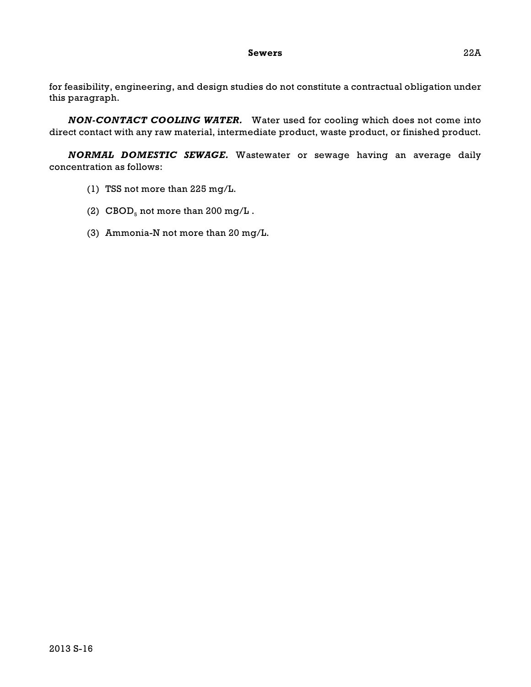### **Sewers** 22A

for feasibility, engineering, and design studies do not constitute a contractual obligation under this paragraph.

*NON-CONTACT COOLING WATER.* Water used for cooling which does not come into direct contact with any raw material, intermediate product, waste product, or finished product.

*NORMAL DOMESTIC SEWAGE.* Wastewater or sewage having an average daily concentration as follows:

- (1) TSS not more than 225 mg/L.
- (2)  $\text{CBOD}_s$  not more than 200 mg/L.
- (3) Ammonia-N not more than 20 mg/L.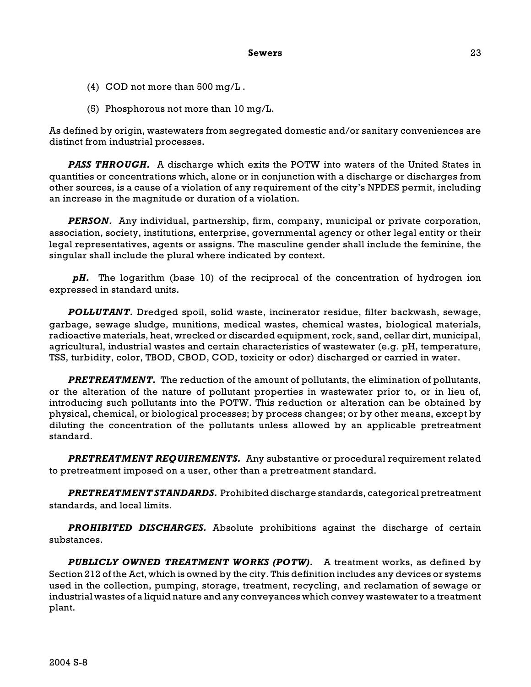- (4) COD not more than 500 mg/L .
- (5) Phosphorous not more than 10 mg/L.

As defined by origin, wastewaters from segregated domestic and/or sanitary conveniences are distinct from industrial processes.

*PASS THROUGH.* A discharge which exits the POTW into waters of the United States in quantities or concentrations which, alone or in conjunction with a discharge or discharges from other sources, is a cause of a violation of any requirement of the city's NPDES permit, including an increase in the magnitude or duration of a violation.

*PERSON.* Any individual, partnership, firm, company, municipal or private corporation, association, society, institutions, enterprise, governmental agency or other legal entity or their legal representatives, agents or assigns. The masculine gender shall include the feminine, the singular shall include the plural where indicated by context.

 *pH.* The logarithm (base 10) of the reciprocal of the concentration of hydrogen ion expressed in standard units.

*POLLUTANT.* Dredged spoil, solid waste, incinerator residue, filter backwash, sewage, garbage, sewage sludge, munitions, medical wastes, chemical wastes, biological materials, radioactive materials, heat, wrecked or discarded equipment, rock, sand, cellar dirt, municipal, agricultural, industrial wastes and certain characteristics of wastewater (e.g. pH, temperature, TSS, turbidity, color, TBOD, CBOD, COD, toxicity or odor) discharged or carried in water.

*PRETREATMENT.* The reduction of the amount of pollutants, the elimination of pollutants, or the alteration of the nature of pollutant properties in wastewater prior to, or in lieu of, introducing such pollutants into the POTW. This reduction or alteration can be obtained by physical, chemical, or biological processes; by process changes; or by other means, except by diluting the concentration of the pollutants unless allowed by an applicable pretreatment standard.

*PRETREATMENT REQUIREMENTS.* Any substantive or procedural requirement related to pretreatment imposed on a user, other than a pretreatment standard.

*PRETREATMENT STANDARDS.* Prohibited discharge standards, categorical pretreatment standards, and local limits.

*PROHIBITED DISCHARGES.* Absolute prohibitions against the discharge of certain substances.

*PUBLICLY OWNED TREATMENT WORKS (POTW).* A treatment works, as defined by Section 212 of the Act, which is owned by the city. This definition includes any devices or systems used in the collection, pumping, storage, treatment, recycling, and reclamation of sewage or industrial wastes of a liquid nature and any conveyances which convey wastewater to a treatment plant.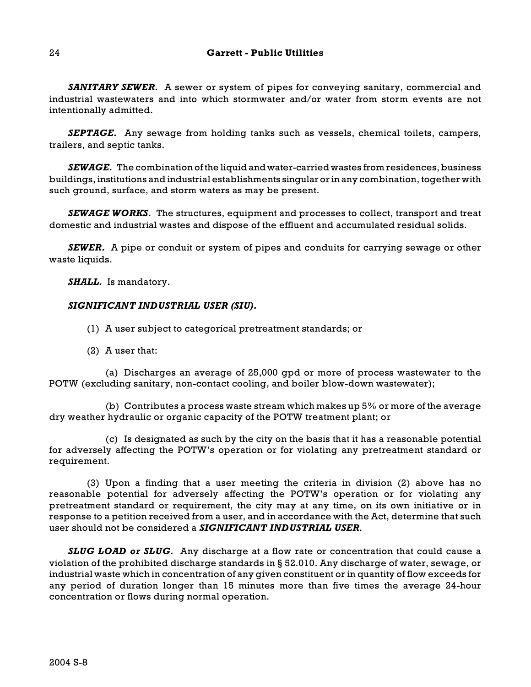# 24 **Garrett - Public Utilities**

*SANITARY SEWER.* A sewer or system of pipes for conveying sanitary, commercial and industrial wastewaters and into which stormwater and/or water from storm events are not intentionally admitted.

*SEPTAGE.* Any sewage from holding tanks such as vessels, chemical toilets, campers, trailers, and septic tanks.

*SEWAGE.* The combination of the liquid and water-carried wastes from residences, business buildings, institutions and industrial establishments singular or in any combination, together with such ground, surface, and storm waters as may be present.

*SEWAGE WORKS.* The structures, equipment and processes to collect, transport and treat domestic and industrial wastes and dispose of the effluent and accumulated residual solids.

*SEWER.* A pipe or conduit or system of pipes and conduits for carrying sewage or other waste liquids.

*SHALL.* Is mandatory.

# *SIGNIFICANT INDUSTRIAL USER (SIU).*

- (1) A user subject to categorical pretreatment standards; or
- (2) A user that:

(a) Discharges an average of 25,000 gpd or more of process wastewater to the POTW (excluding sanitary, non-contact cooling, and boiler blow-down wastewater);

(b) Contributes a process waste stream which makes up 5% or more of the average dry weather hydraulic or organic capacity of the POTW treatment plant; or

(c) Is designated as such by the city on the basis that it has a reasonable potential for adversely affecting the POTW's operation or for violating any pretreatment standard or requirement.

(3) Upon a finding that a user meeting the criteria in division (2) above has no reasonable potential for adversely affecting the POTW's operation or for violating any pretreatment standard or requirement, the city may at any time, on its own initiative or in response to a petition received from a user, and in accordance with the Act, determine that such user should not be considered a *SIGNIFICANT INDUSTRIAL USER*.

*SLUG LOAD or SLUG.* Any discharge at a flow rate or concentration that could cause a violation of the prohibited discharge standards in § 52.010. Any discharge of water, sewage, or industrial waste which in concentration of any given constituent or in quantity of flow exceeds for any period of duration longer than 15 minutes more than five times the average 24-hour concentration or flows during normal operation.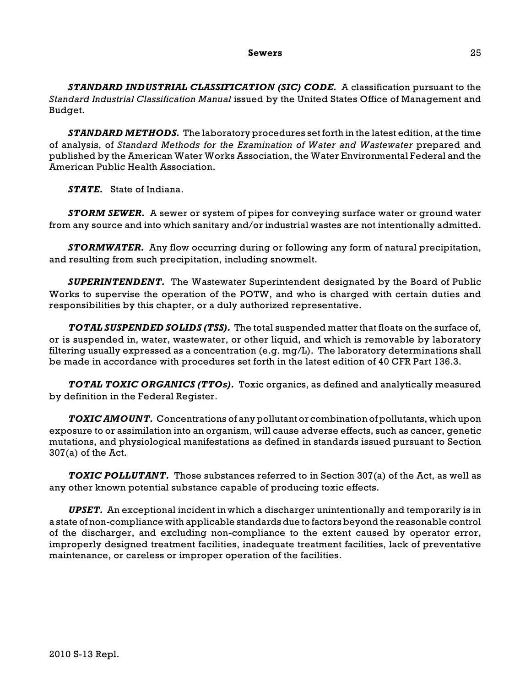*STANDARD INDUSTRIAL CLASSIFICATION (SIC) CODE.* A classification pursuant to the *Standard Industrial Classification Manual* issued by the United States Office of Management and Budget.

*STANDARD METHODS.* The laboratory procedures set forth in the latest edition, at the time of analysis, of *Standard Methods for the Examination of Water and Wastewater* prepared and published by the American Water Works Association, the Water Environmental Federal and the American Public Health Association.

*STATE.* State of Indiana.

*STORM SEWER.* A sewer or system of pipes for conveying surface water or ground water from any source and into which sanitary and/or industrial wastes are not intentionally admitted.

*STORMWATER.* Any flow occurring during or following any form of natural precipitation, and resulting from such precipitation, including snowmelt.

*SUPERINTENDENT.* The Wastewater Superintendent designated by the Board of Public Works to supervise the operation of the POTW, and who is charged with certain duties and responsibilities by this chapter, or a duly authorized representative.

*TOTAL SUSPENDED SOLIDS (TSS).* The total suspended matter that floats on the surface of, or is suspended in, water, wastewater, or other liquid, and which is removable by laboratory filtering usually expressed as a concentration (e.g. mg/L). The laboratory determinations shall be made in accordance with procedures set forth in the latest edition of 40 CFR Part 136.3.

*TOTAL TOXIC ORGANICS (TTOs).* Toxic organics, as defined and analytically measured by definition in the Federal Register.

*TOXIC AMOUNT.* Concentrations of any pollutant or combination of pollutants, which upon exposure to or assimilation into an organism, will cause adverse effects, such as cancer, genetic mutations, and physiological manifestations as defined in standards issued pursuant to Section 307(a) of the Act.

*TOXIC POLLUTANT.* Those substances referred to in Section 307(a) of the Act, as well as any other known potential substance capable of producing toxic effects.

*UPSET.* An exceptional incident in which a discharger unintentionally and temporarily is in a state of non-compliance with applicable standards due to factors beyond the reasonable control of the discharger, and excluding non-compliance to the extent caused by operator error, improperly designed treatment facilities, inadequate treatment facilities, lack of preventative maintenance, or careless or improper operation of the facilities.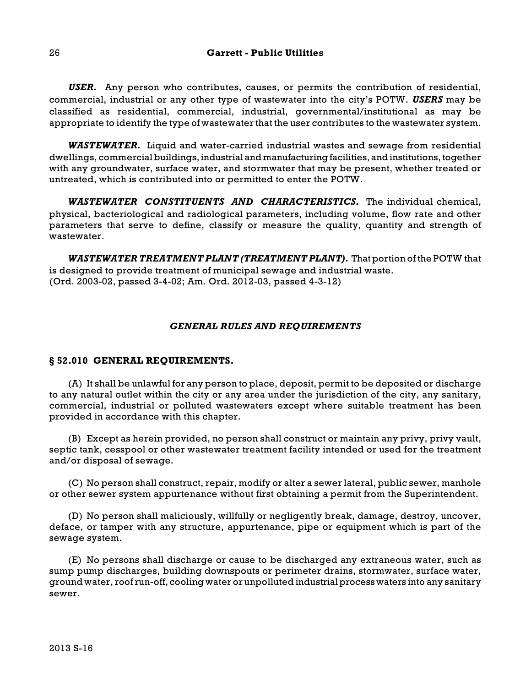*USER.* Any person who contributes, causes, or permits the contribution of residential, commercial, industrial or any other type of wastewater into the city's POTW. *USERS* may be classified as residential, commercial, industrial, governmental/institutional as may be appropriate to identify the type of wastewater that the user contributes to the wastewater system.

*WASTEWATER.* Liquid and water-carried industrial wastes and sewage from residential dwellings, commercial buildings, industrial and manufacturing facilities, and institutions, together with any groundwater, surface water, and stormwater that may be present, whether treated or untreated, which is contributed into or permitted to enter the POTW.

*WASTEWATER CONSTITUENTS AND CHARACTERISTICS.* The individual chemical, physical, bacteriological and radiological parameters, including volume, flow rate and other parameters that serve to define, classify or measure the quality, quantity and strength of wastewater.

*WASTEWATER TREATMENT PLANT (TREATMENT PLANT).* That portion of the POTW that is designed to provide treatment of municipal sewage and industrial waste. (Ord. 2003-02, passed 3-4-02; Am. Ord. 2012-03, passed 4-3-12)

# *GENERAL RULES AND REQUIREMENTS*

# **§ 52.010 GENERAL REQUIREMENTS.**

(A) It shall be unlawful for any person to place, deposit, permit to be deposited or discharge to any natural outlet within the city or any area under the jurisdiction of the city, any sanitary, commercial, industrial or polluted wastewaters except where suitable treatment has been provided in accordance with this chapter.

(B) Except as herein provided, no person shall construct or maintain any privy, privy vault, septic tank, cesspool or other wastewater treatment facility intended or used for the treatment and/or disposal of sewage.

(C) No person shall construct, repair, modify or alter a sewer lateral, public sewer, manhole or other sewer system appurtenance without first obtaining a permit from the Superintendent.

(D) No person shall maliciously, willfully or negligently break, damage, destroy, uncover, deface, or tamper with any structure, appurtenance, pipe or equipment which is part of the sewage system.

(E) No persons shall discharge or cause to be discharged any extraneous water, such as sump pump discharges, building downspouts or perimeter drains, stormwater, surface water, ground water, roof run-off, cooling water or unpolluted industrial process waters into any sanitary sewer.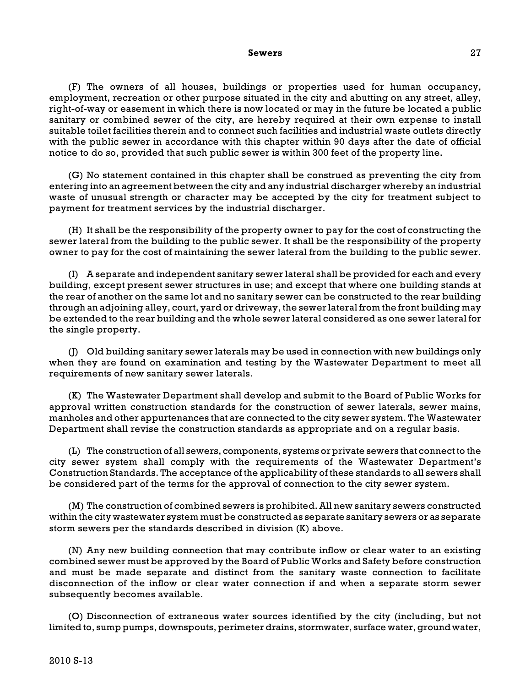(F) The owners of all houses, buildings or properties used for human occupancy, employment, recreation or other purpose situated in the city and abutting on any street, alley, right-of-way or easement in which there is now located or may in the future be located a public sanitary or combined sewer of the city, are hereby required at their own expense to install suitable toilet facilities therein and to connect such facilities and industrial waste outlets directly with the public sewer in accordance with this chapter within 90 days after the date of official notice to do so, provided that such public sewer is within 300 feet of the property line.

(G) No statement contained in this chapter shall be construed as preventing the city from entering into an agreement between the city and any industrial discharger whereby an industrial waste of unusual strength or character may be accepted by the city for treatment subject to payment for treatment services by the industrial discharger.

(H) It shall be the responsibility of the property owner to pay for the cost of constructing the sewer lateral from the building to the public sewer. It shall be the responsibility of the property owner to pay for the cost of maintaining the sewer lateral from the building to the public sewer.

(I) A separate and independent sanitary sewer lateral shall be provided for each and every building, except present sewer structures in use; and except that where one building stands at the rear of another on the same lot and no sanitary sewer can be constructed to the rear building through an adjoining alley, court, yard or driveway, the sewer lateral from the front building may be extended to the rear building and the whole sewer lateral considered as one sewer lateral for the single property.

(J) Old building sanitary sewer laterals may be used in connection with new buildings only when they are found on examination and testing by the Wastewater Department to meet all requirements of new sanitary sewer laterals.

(K) The Wastewater Department shall develop and submit to the Board of Public Works for approval written construction standards for the construction of sewer laterals, sewer mains, manholes and other appurtenances that are connected to the city sewer system. The Wastewater Department shall revise the construction standards as appropriate and on a regular basis.

(L) The construction of all sewers, components, systems or private sewers that connect to the city sewer system shall comply with the requirements of the Wastewater Department's Construction Standards. The acceptance of the applicability of these standards to all sewers shall be considered part of the terms for the approval of connection to the city sewer system.

(M) The construction of combined sewers is prohibited. All new sanitary sewers constructed within the city wastewater system must be constructed as separate sanitary sewers or as separate storm sewers per the standards described in division (K) above.

(N) Any new building connection that may contribute inflow or clear water to an existing combined sewer must be approved by the Board of Public Works and Safety before construction and must be made separate and distinct from the sanitary waste connection to facilitate disconnection of the inflow or clear water connection if and when a separate storm sewer subsequently becomes available.

(O) Disconnection of extraneous water sources identified by the city (including, but not limited to, sump pumps, downspouts, perimeter drains, stormwater, surface water, ground water,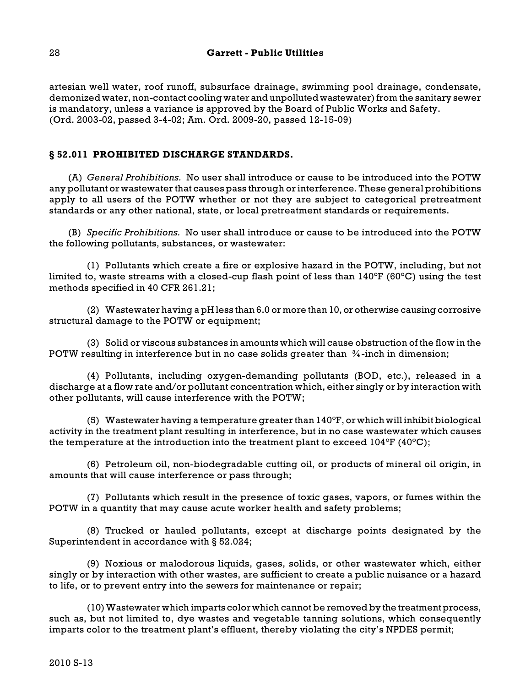artesian well water, roof runoff, subsurface drainage, swimming pool drainage, condensate, demonized water, non-contact cooling water and unpolluted wastewater) from the sanitary sewer is mandatory, unless a variance is approved by the Board of Public Works and Safety. (Ord. 2003-02, passed 3-4-02; Am. Ord. 2009-20, passed 12-15-09)

# **§ 52.011 PROHIBITED DISCHARGE STANDARDS.**

(A) *General Prohibitions.* No user shall introduce or cause to be introduced into the POTW any pollutant or wastewater that causes pass through or interference. These general prohibitions apply to all users of the POTW whether or not they are subject to categorical pretreatment standards or any other national, state, or local pretreatment standards or requirements.

(B) *Specific Prohibitions.* No user shall introduce or cause to be introduced into the POTW the following pollutants, substances, or wastewater:

(1) Pollutants which create a fire or explosive hazard in the POTW, including, but not limited to, waste streams with a closed-cup flash point of less than 140°F (60°C) using the test methods specified in 40 CFR 261.21;

(2) Wastewater having a pH less than 6.0 or more than 10, or otherwise causing corrosive structural damage to the POTW or equipment;

(3) Solid or viscous substances in amounts which will cause obstruction of the flow in the POTW resulting in interference but in no case solids greater than  $\frac{3}{4}$ -inch in dimension;

(4) Pollutants, including oxygen-demanding pollutants (BOD, etc.), released in a discharge at a flow rate and/or pollutant concentration which, either singly or by interaction with other pollutants, will cause interference with the POTW;

(5) Wastewater having a temperature greater than 140°F, or which will inhibit biological activity in the treatment plant resulting in interference, but in no case wastewater which causes the temperature at the introduction into the treatment plant to exceed  $104^{\circ}F (40^{\circ}C)$ ;

(6) Petroleum oil, non-biodegradable cutting oil, or products of mineral oil origin, in amounts that will cause interference or pass through;

(7) Pollutants which result in the presence of toxic gases, vapors, or fumes within the POTW in a quantity that may cause acute worker health and safety problems;

(8) Trucked or hauled pollutants, except at discharge points designated by the Superintendent in accordance with § 52.024;

(9) Noxious or malodorous liquids, gases, solids, or other wastewater which, either singly or by interaction with other wastes, are sufficient to create a public nuisance or a hazard to life, or to prevent entry into the sewers for maintenance or repair;

(10) Wastewater which imparts color which cannot be removed by the treatment process, such as, but not limited to, dye wastes and vegetable tanning solutions, which consequently imparts color to the treatment plant's effluent, thereby violating the city's NPDES permit;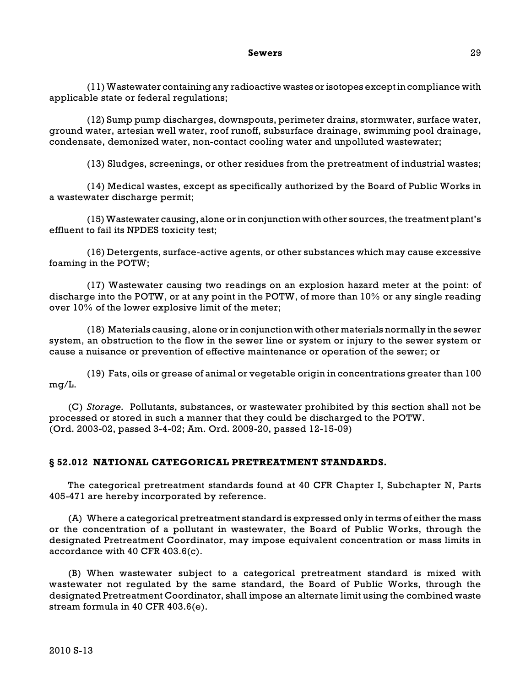(11) Wastewater containing any radioactive wastes or isotopes except in compliance with applicable state or federal regulations;

(12) Sump pump discharges, downspouts, perimeter drains, stormwater, surface water, ground water, artesian well water, roof runoff, subsurface drainage, swimming pool drainage, condensate, demonized water, non-contact cooling water and unpolluted wastewater;

(13) Sludges, screenings, or other residues from the pretreatment of industrial wastes;

(14) Medical wastes, except as specifically authorized by the Board of Public Works in a wastewater discharge permit;

(15) Wastewater causing, alone or in conjunction with other sources, the treatment plant's effluent to fail its NPDES toxicity test;

(16) Detergents, surface-active agents, or other substances which may cause excessive foaming in the POTW;

(17) Wastewater causing two readings on an explosion hazard meter at the point: of discharge into the POTW, or at any point in the POTW, of more than 10% or any single reading over 10% of the lower explosive limit of the meter;

(18) Materials causing, alone or in conjunction with other materials normally in the sewer system, an obstruction to the flow in the sewer line or system or injury to the sewer system or cause a nuisance or prevention of effective maintenance or operation of the sewer; or

(19) Fats, oils or grease of animal or vegetable origin in concentrations greater than 100 mg/L.

(C) *Storage.* Pollutants, substances, or wastewater prohibited by this section shall not be processed or stored in such a manner that they could be discharged to the POTW. (Ord. 2003-02, passed 3-4-02; Am. Ord. 2009-20, passed 12-15-09)

# **§ 52.012 NATIONAL CATEGORICAL PRETREATMENT STANDARDS.**

The categorical pretreatment standards found at 40 CFR Chapter I, Subchapter N, Parts 405-471 are hereby incorporated by reference.

(A) Where a categorical pretreatment standard is expressed only in terms of either the mass or the concentration of a pollutant in wastewater, the Board of Public Works, through the designated Pretreatment Coordinator, may impose equivalent concentration or mass limits in accordance with 40 CFR 403.6(c).

(B) When wastewater subject to a categorical pretreatment standard is mixed with wastewater not regulated by the same standard, the Board of Public Works, through the designated Pretreatment Coordinator, shall impose an alternate limit using the combined waste stream formula in 40 CFR 403.6(e).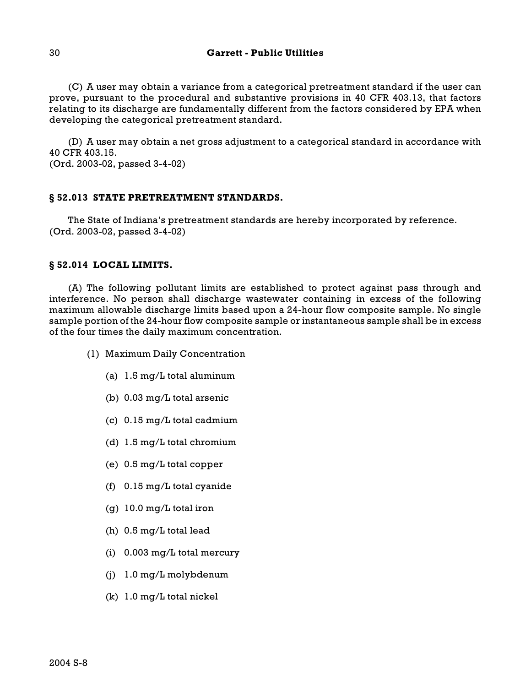(C) A user may obtain a variance from a categorical pretreatment standard if the user can prove, pursuant to the procedural and substantive provisions in 40 CFR 403.13, that factors relating to its discharge are fundamentally different from the factors considered by EPA when developing the categorical pretreatment standard.

(D) A user may obtain a net gross adjustment to a categorical standard in accordance with 40 CFR 403.15. (Ord. 2003-02, passed 3-4-02)

# **§ 52.013 STATE PRETREATMENT STANDARDS.**

The State of Indiana's pretreatment standards are hereby incorporated by reference. (Ord. 2003-02, passed 3-4-02)

### **§ 52.014 LOCAL LIMITS.**

(A) The following pollutant limits are established to protect against pass through and interference. No person shall discharge wastewater containing in excess of the following maximum allowable discharge limits based upon a 24-hour flow composite sample. No single sample portion of the 24-hour flow composite sample or instantaneous sample shall be in excess of the four times the daily maximum concentration.

- (1) Maximum Daily Concentration
	- (a) 1.5 mg/L total aluminum
	- (b) 0.03 mg/L total arsenic
	- (c) 0.15 mg/L total cadmium
	- (d) 1.5 mg/L total chromium
	- (e) 0.5 mg/L total copper
	- (f) 0.15 mg/L total cyanide
	- (g) 10.0 mg/L total iron
	- (h) 0.5 mg/L total lead
	- (i) 0.003 mg/L total mercury
	- (j) 1.0 mg/L molybdenum
	- (k) 1.0 mg/L total nickel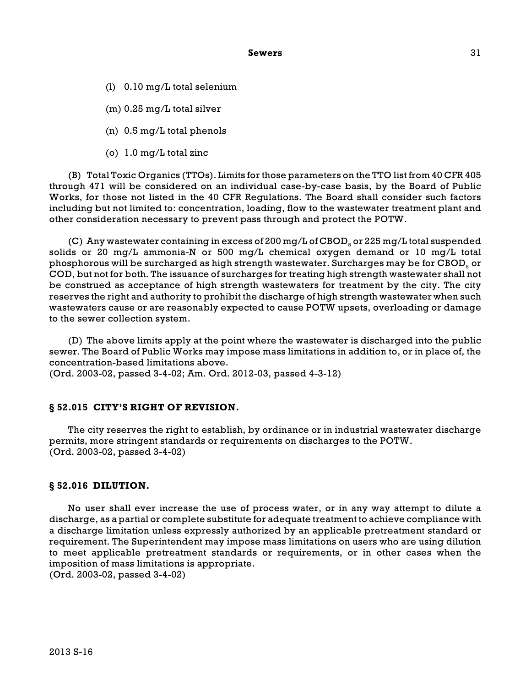(l) 0.10 mg/L total selenium

(m) 0.25 mg/L total silver

(n) 0.5 mg/L total phenols

(o) 1.0 mg/L total zinc

(B) Total Toxic Organics (TTOs). Limits for those parameters on the TTO list from 40 CFR 405 through 471 will be considered on an individual case-by-case basis, by the Board of Public Works, for those not listed in the 40 CFR Regulations. The Board shall consider such factors including but not limited to: concentration, loading, flow to the wastewater treatment plant and other consideration necessary to prevent pass through and protect the POTW.

(C)  $\,$  Any wastewater containing in excess of 200 mg/L of  $\mathrm{CBOD}_{\mathrm{s}}$  or 225 mg/L total suspended solids or 20 mg/L ammonia-N or 500 mg/L chemical oxygen demand or 10 mg/L total phosphorous will be surcharged as high strength wastewater. Surcharges may be for  $\mathbf{CBOD}_{\mathrm{s}}$  or COD, but not for both. The issuance of surcharges for treating high strength wastewater shall not be construed as acceptance of high strength wastewaters for treatment by the city. The city reserves the right and authority to prohibit the discharge of high strength wastewater when such wastewaters cause or are reasonably expected to cause POTW upsets, overloading or damage to the sewer collection system.

(D) The above limits apply at the point where the wastewater is discharged into the public sewer. The Board of Public Works may impose mass limitations in addition to, or in place of, the concentration-based limitations above.

(Ord. 2003-02, passed 3-4-02; Am. Ord. 2012-03, passed 4-3-12)

### **§ 52.015 CITY'S RIGHT OF REVISION.**

The city reserves the right to establish, by ordinance or in industrial wastewater discharge permits, more stringent standards or requirements on discharges to the POTW. (Ord. 2003-02, passed 3-4-02)

### **§ 52.016 DILUTION.**

No user shall ever increase the use of process water, or in any way attempt to dilute a discharge, as a partial or complete substitute for adequate treatment to achieve compliance with a discharge limitation unless expressly authorized by an applicable pretreatment standard or requirement. The Superintendent may impose mass limitations on users who are using dilution to meet applicable pretreatment standards or requirements, or in other cases when the imposition of mass limitations is appropriate.

(Ord. 2003-02, passed 3-4-02)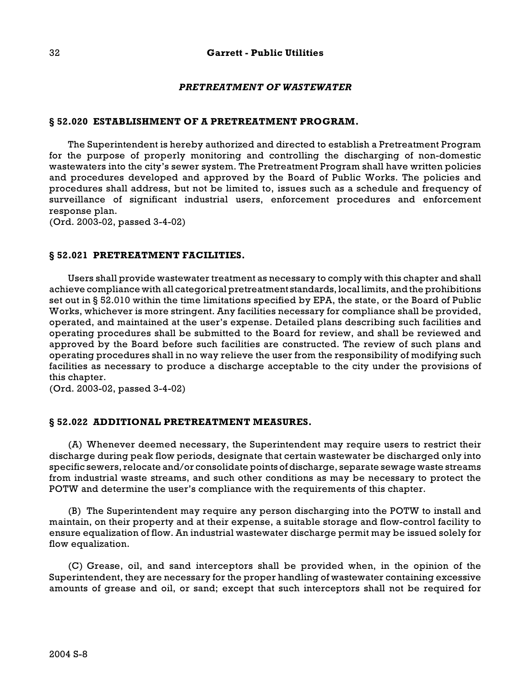### 32 **Garrett - Public Utilities**

### *PRETREATMENT OF WASTEWATER*

#### **§ 52.020 ESTABLISHMENT OF A PRETREATMENT PROGRAM.**

The Superintendent is hereby authorized and directed to establish a Pretreatment Program for the purpose of properly monitoring and controlling the discharging of non-domestic wastewaters into the city's sewer system. The Pretreatment Program shall have written policies and procedures developed and approved by the Board of Public Works. The policies and procedures shall address, but not be limited to, issues such as a schedule and frequency of surveillance of significant industrial users, enforcement procedures and enforcement response plan.

(Ord. 2003-02, passed 3-4-02)

#### **§ 52.021 PRETREATMENT FACILITIES.**

Users shall provide wastewater treatment as necessary to comply with this chapter and shall achieve compliance with all categorical pretreatment standards, local limits, and the prohibitions set out in § 52.010 within the time limitations specified by EPA, the state, or the Board of Public Works, whichever is more stringent. Any facilities necessary for compliance shall be provided, operated, and maintained at the user's expense. Detailed plans describing such facilities and operating procedures shall be submitted to the Board for review, and shall be reviewed and approved by the Board before such facilities are constructed. The review of such plans and operating procedures shall in no way relieve the user from the responsibility of modifying such facilities as necessary to produce a discharge acceptable to the city under the provisions of this chapter.

(Ord. 2003-02, passed 3-4-02)

#### **§ 52.022 ADDITIONAL PRETREATMENT MEASURES.**

(A) Whenever deemed necessary, the Superintendent may require users to restrict their discharge during peak flow periods, designate that certain wastewater be discharged only into specific sewers, relocate and/or consolidate points of discharge, separate sewage waste streams from industrial waste streams, and such other conditions as may be necessary to protect the POTW and determine the user's compliance with the requirements of this chapter.

(B) The Superintendent may require any person discharging into the POTW to install and maintain, on their property and at their expense, a suitable storage and flow-control facility to ensure equalization of flow. An industrial wastewater discharge permit may be issued solely for flow equalization.

(C) Grease, oil, and sand interceptors shall be provided when, in the opinion of the Superintendent, they are necessary for the proper handling of wastewater containing excessive amounts of grease and oil, or sand; except that such interceptors shall not be required for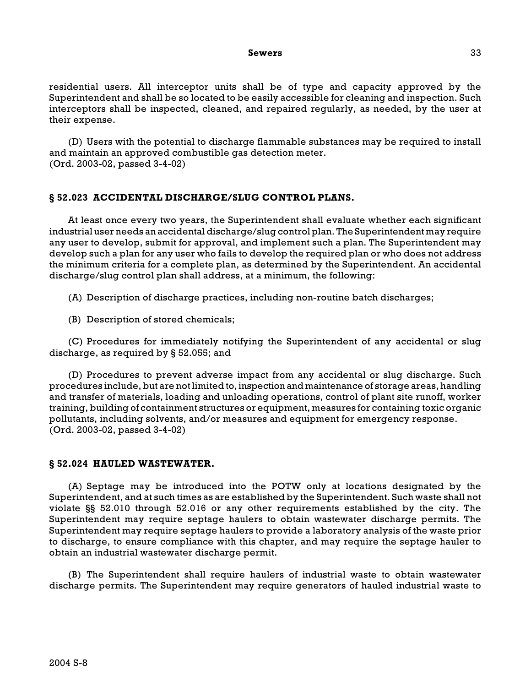residential users. All interceptor units shall be of type and capacity approved by the Superintendent and shall be so located to be easily accessible for cleaning and inspection. Such interceptors shall be inspected, cleaned, and repaired regularly, as needed, by the user at their expense.

(D) Users with the potential to discharge flammable substances may be required to install and maintain an approved combustible gas detection meter. (Ord. 2003-02, passed 3-4-02)

# **§ 52.023 ACCIDENTAL DISCHARGE/SLUG CONTROL PLANS.**

At least once every two years, the Superintendent shall evaluate whether each significant industrial user needs an accidental discharge/slug control plan. The Superintendent may require any user to develop, submit for approval, and implement such a plan. The Superintendent may develop such a plan for any user who fails to develop the required plan or who does not address the minimum criteria for a complete plan, as determined by the Superintendent. An accidental discharge/slug control plan shall address, at a minimum, the following:

(A) Description of discharge practices, including non-routine batch discharges;

(B) Description of stored chemicals;

(C) Procedures for immediately notifying the Superintendent of any accidental or slug discharge, as required by § 52.055; and

(D) Procedures to prevent adverse impact from any accidental or slug discharge. Such procedures include, but are not limited to, inspection and maintenance of storage areas, handling and transfer of materials, loading and unloading operations, control of plant site runoff, worker training, building of containment structures or equipment, measures for containing toxic organic pollutants, including solvents, and/or measures and equipment for emergency response. (Ord. 2003-02, passed 3-4-02)

### **§ 52.024 HAULED WASTEWATER.**

(A) Septage may be introduced into the POTW only at locations designated by the Superintendent, and at such times as are established by the Superintendent. Such waste shall not violate §§ 52.010 through 52.016 or any other requirements established by the city. The Superintendent may require septage haulers to obtain wastewater discharge permits. The Superintendent may require septage haulers to provide a laboratory analysis of the waste prior to discharge, to ensure compliance with this chapter, and may require the septage hauler to obtain an industrial wastewater discharge permit.

(B) The Superintendent shall require haulers of industrial waste to obtain wastewater discharge permits. The Superintendent may require generators of hauled industrial waste to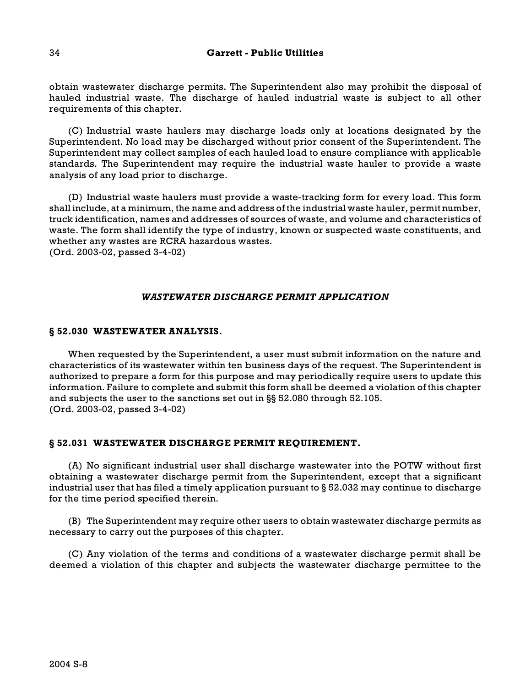obtain wastewater discharge permits. The Superintendent also may prohibit the disposal of hauled industrial waste. The discharge of hauled industrial waste is subject to all other requirements of this chapter.

(C) Industrial waste haulers may discharge loads only at locations designated by the Superintendent. No load may be discharged without prior consent of the Superintendent. The Superintendent may collect samples of each hauled load to ensure compliance with applicable standards. The Superintendent may require the industrial waste hauler to provide a waste analysis of any load prior to discharge.

(D) Industrial waste haulers must provide a waste-tracking form for every load. This form shall include, at a minimum, the name and address of the industrial waste hauler, permit number, truck identification, names and addresses of sources of waste, and volume and characteristics of waste. The form shall identify the type of industry, known or suspected waste constituents, and whether any wastes are RCRA hazardous wastes. (Ord. 2003-02, passed 3-4-02)

# *WASTEWATER DISCHARGE PERMIT APPLICATION*

# **§ 52.030 WASTEWATER ANALYSIS.**

When requested by the Superintendent, a user must submit information on the nature and characteristics of its wastewater within ten business days of the request. The Superintendent is authorized to prepare a form for this purpose and may periodically require users to update this information. Failure to complete and submit this form shall be deemed a violation of this chapter and subjects the user to the sanctions set out in §§ 52.080 through 52.105. (Ord. 2003-02, passed 3-4-02)

# **§ 52.031 WASTEWATER DISCHARGE PERMIT REQUIREMENT.**

(A) No significant industrial user shall discharge wastewater into the POTW without first obtaining a wastewater discharge permit from the Superintendent, except that a significant industrial user that has filed a timely application pursuant to § 52.032 may continue to discharge for the time period specified therein.

(B) The Superintendent may require other users to obtain wastewater discharge permits as necessary to carry out the purposes of this chapter.

(C) Any violation of the terms and conditions of a wastewater discharge permit shall be deemed a violation of this chapter and subjects the wastewater discharge permittee to the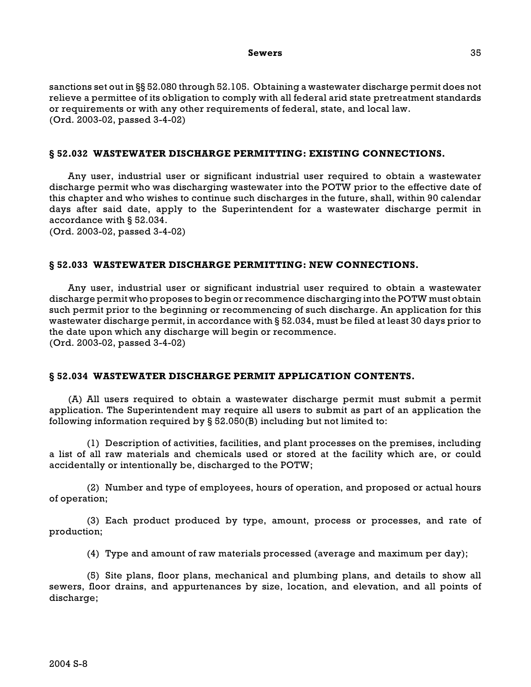sanctions set out in §§ 52.080 through 52.105. Obtaining a wastewater discharge permit does not relieve a permittee of its obligation to comply with all federal arid state pretreatment standards or requirements or with any other requirements of federal, state, and local law. (Ord. 2003-02, passed 3-4-02)

# **§ 52.032 WASTEWATER DISCHARGE PERMITTING: EXISTING CONNECTIONS.**

Any user, industrial user or significant industrial user required to obtain a wastewater discharge permit who was discharging wastewater into the POTW prior to the effective date of this chapter and who wishes to continue such discharges in the future, shall, within 90 calendar days after said date, apply to the Superintendent for a wastewater discharge permit in accordance with § 52.034.

(Ord. 2003-02, passed 3-4-02)

### **§ 52.033 WASTEWATER DISCHARGE PERMITTING: NEW CONNECTIONS.**

Any user, industrial user or significant industrial user required to obtain a wastewater discharge permit who proposes to begin or recommence discharging into the POTW must obtain such permit prior to the beginning or recommencing of such discharge. An application for this wastewater discharge permit, in accordance with § 52.034, must be filed at least 30 days prior to the date upon which any discharge will begin or recommence. (Ord. 2003-02, passed 3-4-02)

# **§ 52.034 WASTEWATER DISCHARGE PERMIT APPLICATION CONTENTS.**

(A) All users required to obtain a wastewater discharge permit must submit a permit application. The Superintendent may require all users to submit as part of an application the following information required by § 52.050(B) including but not limited to:

(1) Description of activities, facilities, and plant processes on the premises, including a list of all raw materials and chemicals used or stored at the facility which are, or could accidentally or intentionally be, discharged to the POTW;

(2) Number and type of employees, hours of operation, and proposed or actual hours of operation;

(3) Each product produced by type, amount, process or processes, and rate of production;

(4) Type and amount of raw materials processed (average and maximum per day);

(5) Site plans, floor plans, mechanical and plumbing plans, and details to show all sewers, floor drains, and appurtenances by size, location, and elevation, and all points of discharge;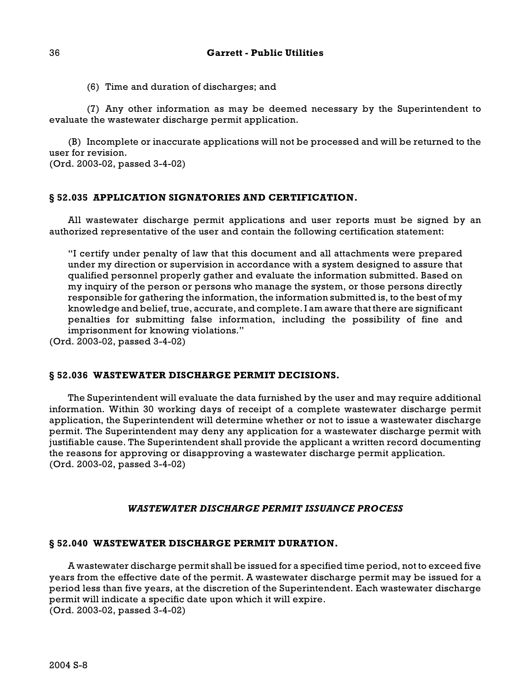(6) Time and duration of discharges; and

(7) Any other information as may be deemed necessary by the Superintendent to evaluate the wastewater discharge permit application.

(B) Incomplete or inaccurate applications will not be processed and will be returned to the user for revision. (Ord. 2003-02, passed 3-4-02)

# **§ 52.035 APPLICATION SIGNATORIES AND CERTIFICATION.**

All wastewater discharge permit applications and user reports must be signed by an authorized representative of the user and contain the following certification statement:

"I certify under penalty of law that this document and all attachments were prepared under my direction or supervision in accordance with a system designed to assure that qualified personnel properly gather and evaluate the information submitted. Based on my inquiry of the person or persons who manage the system, or those persons directly responsible for gathering the information, the information submitted is, to the best of my knowledge and belief, true, accurate, and complete. I am aware that there are significant penalties for submitting false information, including the possibility of fine and imprisonment for knowing violations."

(Ord. 2003-02, passed 3-4-02)

# **§ 52.036 WASTEWATER DISCHARGE PERMIT DECISIONS.**

The Superintendent will evaluate the data furnished by the user and may require additional information. Within 30 working days of receipt of a complete wastewater discharge permit application, the Superintendent will determine whether or not to issue a wastewater discharge permit. The Superintendent may deny any application for a wastewater discharge permit with justifiable cause. The Superintendent shall provide the applicant a written record documenting the reasons for approving or disapproving a wastewater discharge permit application. (Ord. 2003-02, passed 3-4-02)

# *WASTEWATER DISCHARGE PERMIT ISSUANCE PROCESS*

# **§ 52.040 WASTEWATER DISCHARGE PERMIT DURATION.**

A wastewater discharge permit shall be issued for a specified time period, not to exceed five years from the effective date of the permit. A wastewater discharge permit may be issued for a period less than five years, at the discretion of the Superintendent. Each wastewater discharge permit will indicate a specific date upon which it will expire. (Ord. 2003-02, passed 3-4-02)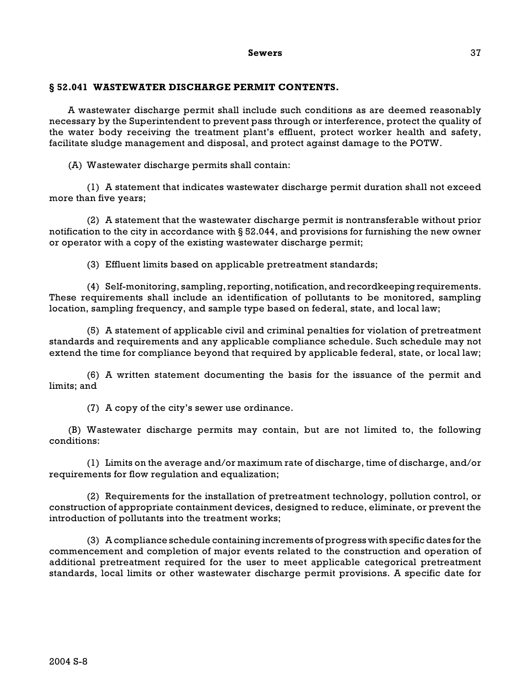# **§ 52.041 WASTEWATER DISCHARGE PERMIT CONTENTS.**

A wastewater discharge permit shall include such conditions as are deemed reasonably necessary by the Superintendent to prevent pass through or interference, protect the quality of the water body receiving the treatment plant's effluent, protect worker health and safety, facilitate sludge management and disposal, and protect against damage to the POTW.

(A) Wastewater discharge permits shall contain:

(1) A statement that indicates wastewater discharge permit duration shall not exceed more than five years;

(2) A statement that the wastewater discharge permit is nontransferable without prior notification to the city in accordance with § 52.044, and provisions for furnishing the new owner or operator with a copy of the existing wastewater discharge permit;

(3) Effluent limits based on applicable pretreatment standards;

(4) Self-monitoring, sampling, reporting, notification, and recordkeeping requirements. These requirements shall include an identification of pollutants to be monitored, sampling location, sampling frequency, and sample type based on federal, state, and local law;

(5) A statement of applicable civil and criminal penalties for violation of pretreatment standards and requirements and any applicable compliance schedule. Such schedule may not extend the time for compliance beyond that required by applicable federal, state, or local law;

(6) A written statement documenting the basis for the issuance of the permit and limits; and

(7) A copy of the city's sewer use ordinance.

(B) Wastewater discharge permits may contain, but are not limited to, the following conditions:

(1) Limits on the average and/or maximum rate of discharge, time of discharge, and/or requirements for flow regulation and equalization;

(2) Requirements for the installation of pretreatment technology, pollution control, or construction of appropriate containment devices, designed to reduce, eliminate, or prevent the introduction of pollutants into the treatment works;

(3) A compliance schedule containing increments of progress with specific dates for the commencement and completion of major events related to the construction and operation of additional pretreatment required for the user to meet applicable categorical pretreatment standards, local limits or other wastewater discharge permit provisions. A specific date for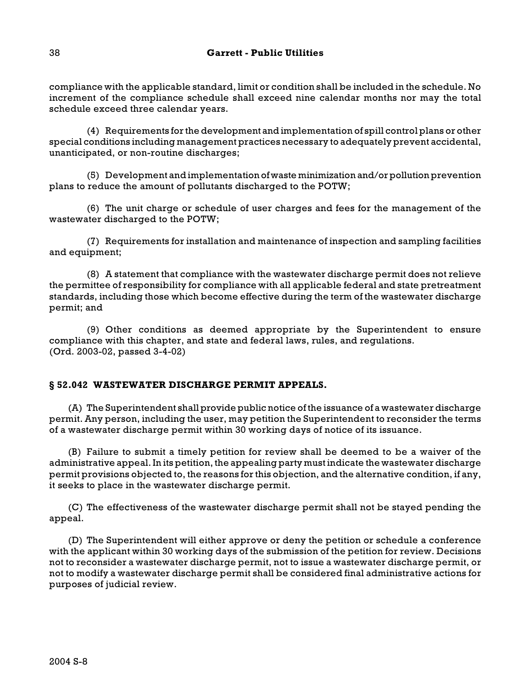compliance with the applicable standard, limit or condition shall be included in the schedule. No increment of the compliance schedule shall exceed nine calendar months nor may the total schedule exceed three calendar years.

(4) Requirements for the development and implementation of spill control plans or other special conditions including management practices necessary to adequately prevent accidental, unanticipated, or non-routine discharges;

(5) Development and implementation of waste minimization and/or pollution prevention plans to reduce the amount of pollutants discharged to the POTW;

(6) The unit charge or schedule of user charges and fees for the management of the wastewater discharged to the POTW;

(7) Requirements for installation and maintenance of inspection and sampling facilities and equipment;

(8) A statement that compliance with the wastewater discharge permit does not relieve the permittee of responsibility for compliance with all applicable federal and state pretreatment standards, including those which become effective during the term of the wastewater discharge permit; and

(9) Other conditions as deemed appropriate by the Superintendent to ensure compliance with this chapter, and state and federal laws, rules, and regulations. (Ord. 2003-02, passed 3-4-02)

# **§ 52.042 WASTEWATER DISCHARGE PERMIT APPEALS.**

(A) The Superintendent shall provide public notice of the issuance of a wastewater discharge permit. Any person, including the user, may petition the Superintendent to reconsider the terms of a wastewater discharge permit within 30 working days of notice of its issuance.

(B) Failure to submit a timely petition for review shall be deemed to be a waiver of the administrative appeal. In its petition, the appealing party must indicate the wastewater discharge permit provisions objected to, the reasons for this objection, and the alternative condition, if any, it seeks to place in the wastewater discharge permit.

(C) The effectiveness of the wastewater discharge permit shall not be stayed pending the appeal.

(D) The Superintendent will either approve or deny the petition or schedule a conference with the applicant within 30 working days of the submission of the petition for review. Decisions not to reconsider a wastewater discharge permit, not to issue a wastewater discharge permit, or not to modify a wastewater discharge permit shall be considered final administrative actions for purposes of judicial review.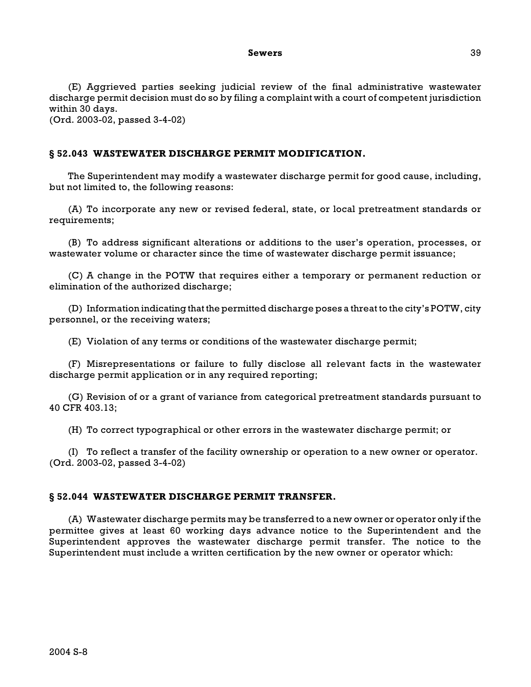(E) Aggrieved parties seeking judicial review of the final administrative wastewater discharge permit decision must do so by filing a complaint with a court of competent jurisdiction within 30 days.

(Ord. 2003-02, passed 3-4-02)

# **§ 52.043 WASTEWATER DISCHARGE PERMIT MODIFICATION.**

The Superintendent may modify a wastewater discharge permit for good cause, including, but not limited to, the following reasons:

(A) To incorporate any new or revised federal, state, or local pretreatment standards or requirements;

(B) To address significant alterations or additions to the user's operation, processes, or wastewater volume or character since the time of wastewater discharge permit issuance;

(C) A change in the POTW that requires either a temporary or permanent reduction or elimination of the authorized discharge;

(D) Information indicating that the permitted discharge poses a threat to the city's POTW, city personnel, or the receiving waters;

(E) Violation of any terms or conditions of the wastewater discharge permit;

(F) Misrepresentations or failure to fully disclose all relevant facts in the wastewater discharge permit application or in any required reporting;

(G) Revision of or a grant of variance from categorical pretreatment standards pursuant to 40 CFR 403.13;

(H) To correct typographical or other errors in the wastewater discharge permit; or

(I) To reflect a transfer of the facility ownership or operation to a new owner or operator. (Ord. 2003-02, passed 3-4-02)

# **§ 52.044 WASTEWATER DISCHARGE PERMIT TRANSFER.**

(A) Wastewater discharge permits may be transferred to a new owner or operator only if the permittee gives at least 60 working days advance notice to the Superintendent and the Superintendent approves the wastewater discharge permit transfer. The notice to the Superintendent must include a written certification by the new owner or operator which: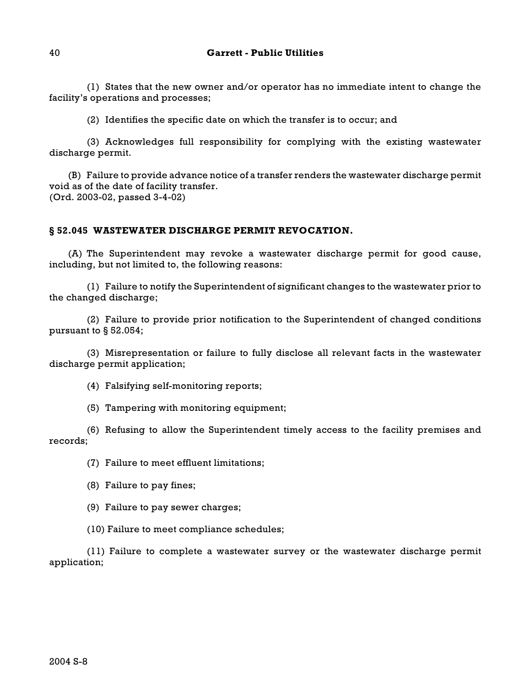(1) States that the new owner and/or operator has no immediate intent to change the facility's operations and processes;

(2) Identifies the specific date on which the transfer is to occur; and

(3) Acknowledges full responsibility for complying with the existing wastewater discharge permit.

(B) Failure to provide advance notice of a transfer renders the wastewater discharge permit void as of the date of facility transfer. (Ord. 2003-02, passed 3-4-02)

### **§ 52.045 WASTEWATER DISCHARGE PERMIT REVOCATION.**

(A) The Superintendent may revoke a wastewater discharge permit for good cause, including, but not limited to, the following reasons:

(1) Failure to notify the Superintendent of significant changes to the wastewater prior to the changed discharge;

(2) Failure to provide prior notification to the Superintendent of changed conditions pursuant to § 52.054;

(3) Misrepresentation or failure to fully disclose all relevant facts in the wastewater discharge permit application;

(4) Falsifying self-monitoring reports;

(5) Tampering with monitoring equipment;

(6) Refusing to allow the Superintendent timely access to the facility premises and records;

(7) Failure to meet effluent limitations;

(8) Failure to pay fines;

(9) Failure to pay sewer charges;

(10) Failure to meet compliance schedules;

(11) Failure to complete a wastewater survey or the wastewater discharge permit application;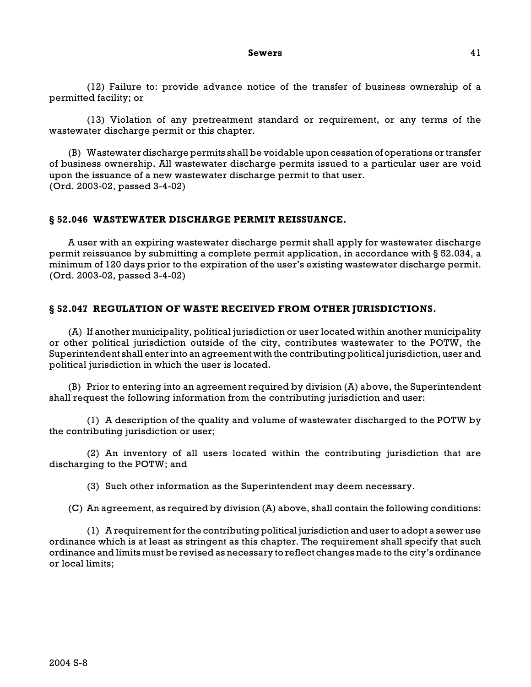(12) Failure to: provide advance notice of the transfer of business ownership of a permitted facility; or

(13) Violation of any pretreatment standard or requirement, or any terms of the wastewater discharge permit or this chapter.

(B) Wastewater discharge permits shall be voidable upon cessation of operations or transfer of business ownership. All wastewater discharge permits issued to a particular user are void upon the issuance of a new wastewater discharge permit to that user. (Ord. 2003-02, passed 3-4-02)

### **§ 52.046 WASTEWATER DISCHARGE PERMIT REISSUANCE.**

A user with an expiring wastewater discharge permit shall apply for wastewater discharge permit reissuance by submitting a complete permit application, in accordance with § 52.034, a minimum of 120 days prior to the expiration of the user's existing wastewater discharge permit. (Ord. 2003-02, passed 3-4-02)

### **§ 52.047 REGULATION OF WASTE RECEIVED FROM OTHER JURISDICTIONS.**

(A) If another municipality, political jurisdiction or user located within another municipality or other political jurisdiction outside of the city, contributes wastewater to the POTW, the Superintendent shall enter into an agreement with the contributing political jurisdiction, user and political jurisdiction in which the user is located.

(B) Prior to entering into an agreement required by division (A) above, the Superintendent shall request the following information from the contributing jurisdiction and user:

(1) A description of the quality and volume of wastewater discharged to the POTW by the contributing jurisdiction or user;

(2) An inventory of all users located within the contributing jurisdiction that are discharging to the POTW; and

(3) Such other information as the Superintendent may deem necessary.

(C) An agreement, as required by division (A) above, shall contain the following conditions:

(1) A requirement for the contributing political jurisdiction and user to adopt a sewer use ordinance which is at least as stringent as this chapter. The requirement shall specify that such ordinance and limits must be revised as necessary to reflect changes made to the city's ordinance or local limits;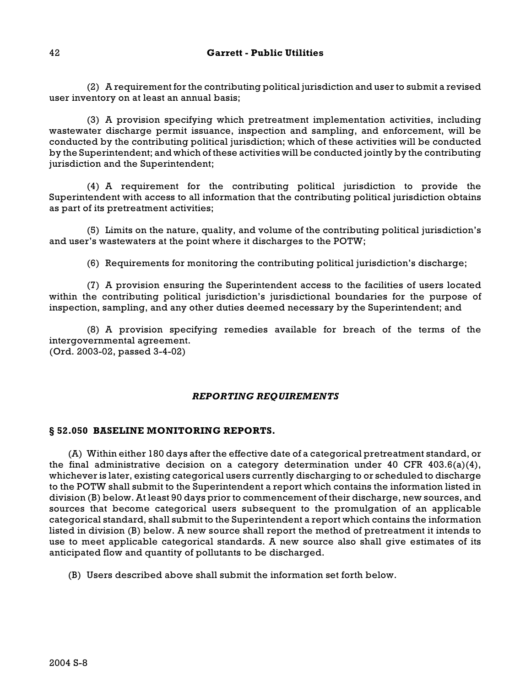(2) A requirement for the contributing political jurisdiction and user to submit a revised user inventory on at least an annual basis;

(3) A provision specifying which pretreatment implementation activities, including wastewater discharge permit issuance, inspection and sampling, and enforcement, will be conducted by the contributing political jurisdiction; which of these activities will be conducted by the Superintendent; and which of these activities will be conducted jointly by the contributing jurisdiction and the Superintendent;

(4) A requirement for the contributing political jurisdiction to provide the Superintendent with access to all information that the contributing political jurisdiction obtains as part of its pretreatment activities;

(5) Limits on the nature, quality, and volume of the contributing political jurisdiction's and user's wastewaters at the point where it discharges to the POTW;

(6) Requirements for monitoring the contributing political jurisdiction's discharge;

(7) A provision ensuring the Superintendent access to the facilities of users located within the contributing political jurisdiction's jurisdictional boundaries for the purpose of inspection, sampling, and any other duties deemed necessary by the Superintendent; and

(8) A provision specifying remedies available for breach of the terms of the intergovernmental agreement. (Ord. 2003-02, passed 3-4-02)

# *REPORTING REQUIREMENTS*

# **§ 52.050 BASELINE MONITORING REPORTS.**

(A) Within either 180 days after the effective date of a categorical pretreatment standard, or the final administrative decision on a category determination under 40 CFR  $403.6(a)(4)$ , whichever is later, existing categorical users currently discharging to or scheduled to discharge to the POTW shall submit to the Superintendent a report which contains the information listed in division (B) below. At least 90 days prior to commencement of their discharge, new sources, and sources that become categorical users subsequent to the promulgation of an applicable categorical standard, shall submit to the Superintendent a report which contains the information listed in division (B) below. A new source shall report the method of pretreatment it intends to use to meet applicable categorical standards. A new source also shall give estimates of its anticipated flow and quantity of pollutants to be discharged.

(B) Users described above shall submit the information set forth below.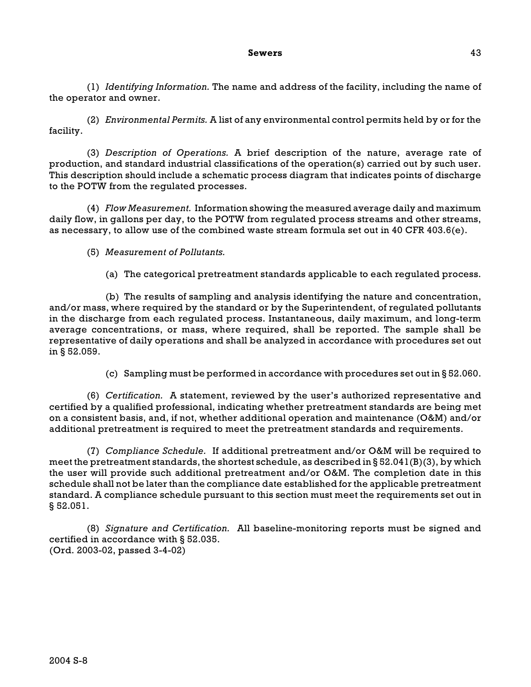(1) *Identifying Information.* The name and address of the facility, including the name of the operator and owner.

(2) *Environmental Permits.* A list of any environmental control permits held by or for the facility.

(3) *Description of Operations.* A brief description of the nature, average rate of production, and standard industrial classifications of the operation(s) carried out by such user. This description should include a schematic process diagram that indicates points of discharge to the POTW from the regulated processes.

(4) *Flow Measurement.* Information showing the measured average daily and maximum daily flow, in gallons per day, to the POTW from regulated process streams and other streams, as necessary, to allow use of the combined waste stream formula set out in 40 CFR 403.6(e).

(5) *Measurement of Pollutants.*

(a) The categorical pretreatment standards applicable to each regulated process.

(b) The results of sampling and analysis identifying the nature and concentration, and/or mass, where required by the standard or by the Superintendent, of regulated pollutants in the discharge from each regulated process. Instantaneous, daily maximum, and long-term average concentrations, or mass, where required, shall be reported. The sample shall be representative of daily operations and shall be analyzed in accordance with procedures set out in § 52.059.

(c) Sampling must be performed in accordance with procedures set out in § 52.060.

(6) *Certification.* A statement, reviewed by the user's authorized representative and certified by a qualified professional, indicating whether pretreatment standards are being met on a consistent basis, and, if not, whether additional operation and maintenance (O&M) and/or additional pretreatment is required to meet the pretreatment standards and requirements.

(7) *Compliance Schedule.* If additional pretreatment and/or O&M will be required to meet the pretreatment standards, the shortest schedule, as described in  $\S 52.041(B)(3)$ , by which the user will provide such additional pretreatment and/or O&M. The completion date in this schedule shall not be later than the compliance date established for the applicable pretreatment standard. A compliance schedule pursuant to this section must meet the requirements set out in § 52.051.

(8) *Signature and Certification.* All baseline-monitoring reports must be signed and certified in accordance with § 52.035. (Ord. 2003-02, passed 3-4-02)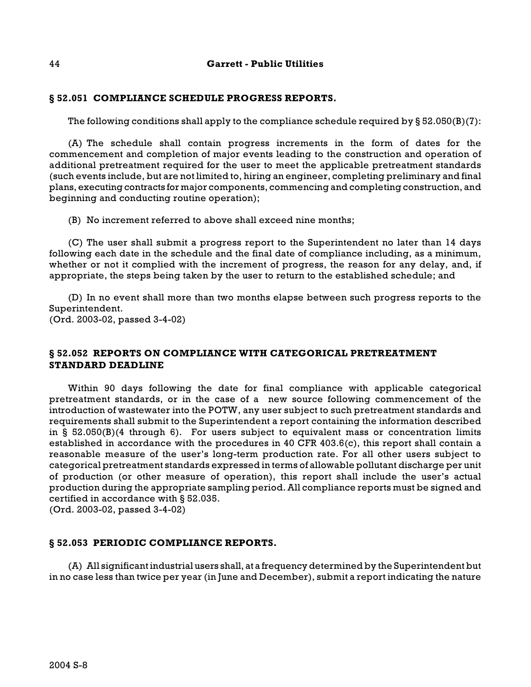### 44 **Garrett - Public Utilities**

### **§ 52.051 COMPLIANCE SCHEDULE PROGRESS REPORTS.**

The following conditions shall apply to the compliance schedule required by  $\S 52.050(B)(7)$ :

(A) The schedule shall contain progress increments in the form of dates for the commencement and completion of major events leading to the construction and operation of additional pretreatment required for the user to meet the applicable pretreatment standards (such events include, but are not limited to, hiring an engineer, completing preliminary and final plans, executing contracts for major components, commencing and completing construction, and beginning and conducting routine operation);

(B) No increment referred to above shall exceed nine months;

(C) The user shall submit a progress report to the Superintendent no later than 14 days following each date in the schedule and the final date of compliance including, as a minimum, whether or not it complied with the increment of progress, the reason for any delay, and, if appropriate, the steps being taken by the user to return to the established schedule; and

(D) In no event shall more than two months elapse between such progress reports to the Superintendent.

(Ord. 2003-02, passed 3-4-02)

# **§ 52.052 REPORTS ON COMPLIANCE WITH CATEGORICAL PRETREATMENT STANDARD DEADLINE**

Within 90 days following the date for final compliance with applicable categorical pretreatment standards, or in the case of a new source following commencement of the introduction of wastewater into the POTW, any user subject to such pretreatment standards and requirements shall submit to the Superintendent a report containing the information described in § 52.050(B)(4 through 6). For users subject to equivalent mass or concentration limits established in accordance with the procedures in 40 CFR 403.6(c), this report shall contain a reasonable measure of the user's long-term production rate. For all other users subject to categorical pretreatment standards expressed in terms of allowable pollutant discharge per unit of production (or other measure of operation), this report shall include the user's actual production during the appropriate sampling period. All compliance reports must be signed and certified in accordance with § 52.035.

(Ord. 2003-02, passed 3-4-02)

### **§ 52.053 PERIODIC COMPLIANCE REPORTS.**

(A) All significant industrial users shall, at a frequency determined by the Superintendent but in no case less than twice per year (in June and December), submit a report indicating the nature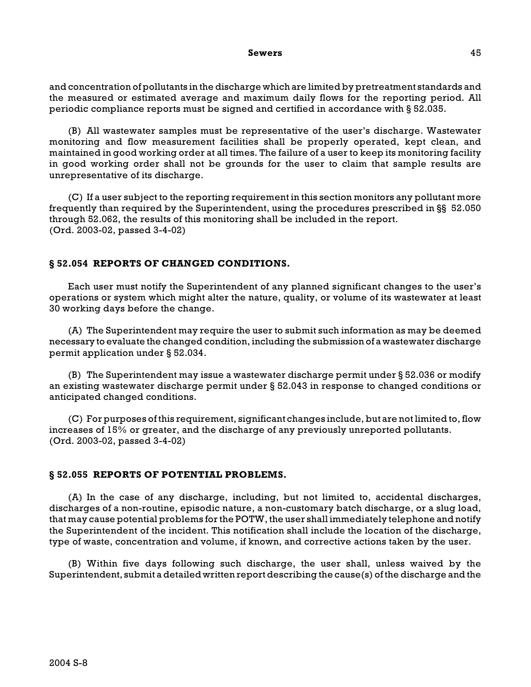and concentration of pollutants in the discharge which are limited by pretreatment standards and the measured or estimated average and maximum daily flows for the reporting period. All periodic compliance reports must be signed and certified in accordance with § 52.035.

(B) All wastewater samples must be representative of the user's discharge. Wastewater monitoring and flow measurement facilities shall be properly operated, kept clean, and maintained in good working order at all times. The failure of a user to keep its monitoring facility in good working order shall not be grounds for the user to claim that sample results are unrepresentative of its discharge.

(C) If a user subject to the reporting requirement in this section monitors any pollutant more frequently than required by the Superintendent, using the procedures prescribed in §§ 52.050 through 52.062, the results of this monitoring shall be included in the report. (Ord. 2003-02, passed 3-4-02)

### **§ 52.054 REPORTS OF CHANGED CONDITIONS.**

Each user must notify the Superintendent of any planned significant changes to the user's operations or system which might alter the nature, quality, or volume of its wastewater at least 30 working days before the change.

(A) The Superintendent may require the user to submit such information as may be deemed necessary to evaluate the changed condition, including the submission of a wastewater discharge permit application under § 52.034.

(B) The Superintendent may issue a wastewater discharge permit under § 52.036 or modify an existing wastewater discharge permit under § 52.043 in response to changed conditions or anticipated changed conditions.

(C) For purposes of this requirement, significant changes include, but are not limited to, flow increases of 15% or greater, and the discharge of any previously unreported pollutants. (Ord. 2003-02, passed 3-4-02)

#### **§ 52.055 REPORTS OF POTENTIAL PROBLEMS.**

(A) In the case of any discharge, including, but not limited to, accidental discharges, discharges of a non-routine, episodic nature, a non-customary batch discharge, or a slug load, that may cause potential problems for the POTW, the user shall immediately telephone and notify the Superintendent of the incident. This notification shall include the location of the discharge, type of waste, concentration and volume, if known, and corrective actions taken by the user.

(B) Within five days following such discharge, the user shall, unless waived by the Superintendent, submit a detailed written report describing the cause(s) of the discharge and the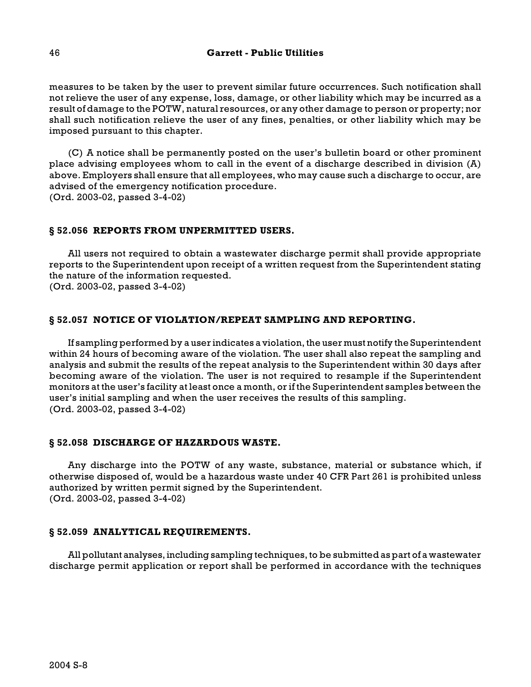measures to be taken by the user to prevent similar future occurrences. Such notification shall not relieve the user of any expense, loss, damage, or other liability which may be incurred as a result of damage to the POTW, natural resources, or any other damage to person or property; nor shall such notification relieve the user of any fines, penalties, or other liability which may be imposed pursuant to this chapter.

(C) A notice shall be permanently posted on the user's bulletin board or other prominent place advising employees whom to call in the event of a discharge described in division (A) above. Employers shall ensure that all employees, who may cause such a discharge to occur, are advised of the emergency notification procedure. (Ord. 2003-02, passed 3-4-02)

# **§ 52.056 REPORTS FROM UNPERMITTED USERS.**

All users not required to obtain a wastewater discharge permit shall provide appropriate reports to the Superintendent upon receipt of a written request from the Superintendent stating the nature of the information requested.

(Ord. 2003-02, passed 3-4-02)

# **§ 52.057 NOTICE OF VIOLATION/REPEAT SAMPLING AND REPORTING.**

If sampling performed by a user indicates a violation, the user must notify the Superintendent within 24 hours of becoming aware of the violation. The user shall also repeat the sampling and analysis and submit the results of the repeat analysis to the Superintendent within 30 days after becoming aware of the violation. The user is not required to resample if the Superintendent monitors at the user's facility at least once a month, or if the Superintendent samples between the user's initial sampling and when the user receives the results of this sampling. (Ord. 2003-02, passed 3-4-02)

### **§ 52.058 DISCHARGE OF HAZARDOUS WASTE.**

Any discharge into the POTW of any waste, substance, material or substance which, if otherwise disposed of, would be a hazardous waste under 40 CFR Part 261 is prohibited unless authorized by written permit signed by the Superintendent. (Ord. 2003-02, passed 3-4-02)

### **§ 52.059 ANALYTICAL REQUIREMENTS.**

All pollutant analyses, including sampling techniques, to be submitted as part of a wastewater discharge permit application or report shall be performed in accordance with the techniques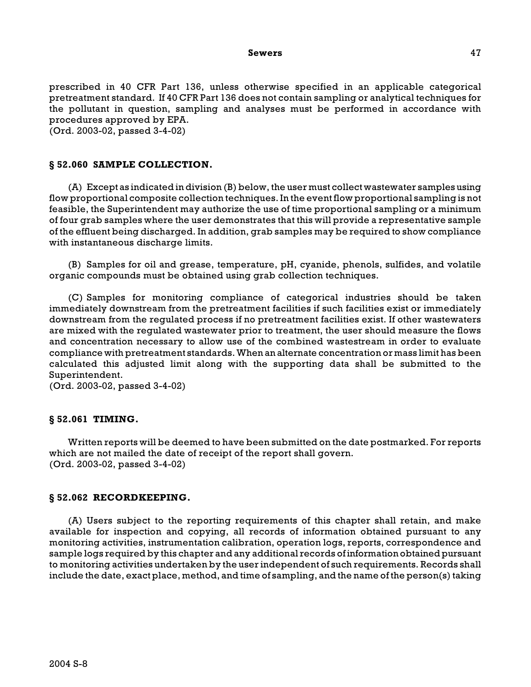prescribed in 40 CFR Part 136, unless otherwise specified in an applicable categorical pretreatment standard. If 40 CFR Part 136 does not contain sampling or analytical techniques for the pollutant in question, sampling and analyses must be performed in accordance with procedures approved by EPA.

(Ord. 2003-02, passed 3-4-02)

# **§ 52.060 SAMPLE COLLECTION.**

(A) Except as indicated in division (B) below, the user must collect wastewater samples using flow proportional composite collection techniques. In the event flow proportional sampling is not feasible, the Superintendent may authorize the use of time proportional sampling or a minimum of four grab samples where the user demonstrates that this will provide a representative sample of the effluent being discharged. In addition, grab samples may be required to show compliance with instantaneous discharge limits.

(B) Samples for oil and grease, temperature, pH, cyanide, phenols, sulfides, and volatile organic compounds must be obtained using grab collection techniques.

(C) Samples for monitoring compliance of categorical industries should be taken immediately downstream from the pretreatment facilities if such facilities exist or immediately downstream from the regulated process if no pretreatment facilities exist. If other wastewaters are mixed with the regulated wastewater prior to treatment, the user should measure the flows and concentration necessary to allow use of the combined wastestream in order to evaluate compliance with pretreatment standards. When an alternate concentration or mass limit has been calculated this adjusted limit along with the supporting data shall be submitted to the Superintendent.

(Ord. 2003-02, passed 3-4-02)

# **§ 52.061 TIMING.**

Written reports will be deemed to have been submitted on the date postmarked. For reports which are not mailed the date of receipt of the report shall govern. (Ord. 2003-02, passed 3-4-02)

# **§ 52.062 RECORDKEEPING.**

(A) Users subject to the reporting requirements of this chapter shall retain, and make available for inspection and copying, all records of information obtained pursuant to any monitoring activities, instrumentation calibration, operation logs, reports, correspondence and sample logs required by this chapter and any additional records of information obtained pursuant to monitoring activities undertaken by the user independent of such requirements. Records shall include the date, exact place, method, and time of sampling, and the name of the person(s) taking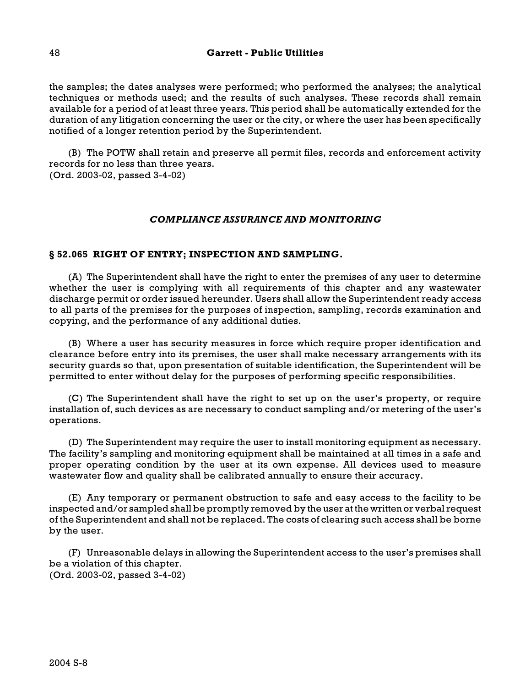the samples; the dates analyses were performed; who performed the analyses; the analytical techniques or methods used; and the results of such analyses. These records shall remain available for a period of at least three years. This period shall be automatically extended for the duration of any litigation concerning the user or the city, or where the user has been specifically notified of a longer retention period by the Superintendent.

(B) The POTW shall retain and preserve all permit files, records and enforcement activity records for no less than three years.

(Ord. 2003-02, passed 3-4-02)

# *COMPLIANCE ASSURANCE AND MONITORING*

# **§ 52.065 RIGHT OF ENTRY; INSPECTION AND SAMPLING.**

(A) The Superintendent shall have the right to enter the premises of any user to determine whether the user is complying with all requirements of this chapter and any wastewater discharge permit or order issued hereunder. Users shall allow the Superintendent ready access to all parts of the premises for the purposes of inspection, sampling, records examination and copying, and the performance of any additional duties.

(B) Where a user has security measures in force which require proper identification and clearance before entry into its premises, the user shall make necessary arrangements with its security guards so that, upon presentation of suitable identification, the Superintendent will be permitted to enter without delay for the purposes of performing specific responsibilities.

(C) The Superintendent shall have the right to set up on the user's property, or require installation of, such devices as are necessary to conduct sampling and/or metering of the user's operations.

(D) The Superintendent may require the user to install monitoring equipment as necessary. The facility's sampling and monitoring equipment shall be maintained at all times in a safe and proper operating condition by the user at its own expense. All devices used to measure wastewater flow and quality shall be calibrated annually to ensure their accuracy.

(E) Any temporary or permanent obstruction to safe and easy access to the facility to be inspected and/or sampled shall be promptly removed by the user at the written or verbal request of the Superintendent and shall not be replaced. The costs of clearing such access shall be borne by the user.

(F) Unreasonable delays in allowing the Superintendent access to the user's premises shall be a violation of this chapter. (Ord. 2003-02, passed 3-4-02)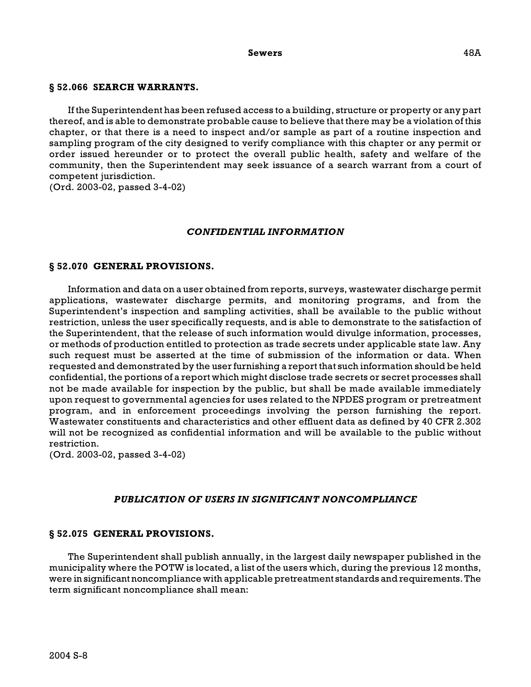# **Sewers** 48A

### **§ 52.066 SEARCH WARRANTS.**

If the Superintendent has been refused access to a building, structure or property or any part thereof, and is able to demonstrate probable cause to believe that there may be a violation of this chapter, or that there is a need to inspect and/or sample as part of a routine inspection and sampling program of the city designed to verify compliance with this chapter or any permit or order issued hereunder or to protect the overall public health, safety and welfare of the community, then the Superintendent may seek issuance of a search warrant from a court of competent jurisdiction.

(Ord. 2003-02, passed 3-4-02)

# *CONFIDENTIAL INFORMATION*

### **§ 52.070 GENERAL PROVISIONS.**

Information and data on a user obtained from reports, surveys, wastewater discharge permit applications, wastewater discharge permits, and monitoring programs, and from the Superintendent's inspection and sampling activities, shall be available to the public without restriction, unless the user specifically requests, and is able to demonstrate to the satisfaction of the Superintendent, that the release of such information would divulge information, processes, or methods of production entitled to protection as trade secrets under applicable state law. Any such request must be asserted at the time of submission of the information or data. When requested and demonstrated by the user furnishing a report that such information should be held confidential, the portions of a report which might disclose trade secrets or secret processes shall not be made available for inspection by the public, but shall be made available immediately upon request to governmental agencies for uses related to the NPDES program or pretreatment program, and in enforcement proceedings involving the person furnishing the report. Wastewater constituents and characteristics and other effluent data as defined by 40 CFR 2.302 will not be recognized as confidential information and will be available to the public without restriction.

(Ord. 2003-02, passed 3-4-02)

# *PUBLICATION OF USERS IN SIGNIFICANT NONCOMPLIANCE*

# **§ 52.075 GENERAL PROVISIONS.**

The Superintendent shall publish annually, in the largest daily newspaper published in the municipality where the POTW is located, a list of the users which, during the previous 12 months, were in significant noncompliance with applicable pretreatment standards and requirements. The term significant noncompliance shall mean: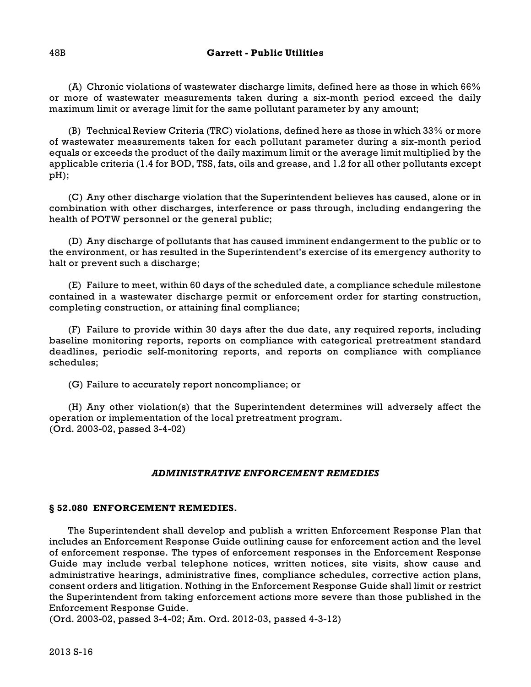(A) Chronic violations of wastewater discharge limits, defined here as those in which 66% or more of wastewater measurements taken during a six-month period exceed the daily maximum limit or average limit for the same pollutant parameter by any amount;

(B) Technical Review Criteria (TRC) violations, defined here as those in which 33% or more of wastewater measurements taken for each pollutant parameter during a six-month period equals or exceeds the product of the daily maximum limit or the average limit multiplied by the applicable criteria (1.4 for BOD, TSS, fats, oils and grease, and 1.2 for all other pollutants except pH);

(C) Any other discharge violation that the Superintendent believes has caused, alone or in combination with other discharges, interference or pass through, including endangering the health of POTW personnel or the general public;

(D) Any discharge of pollutants that has caused imminent endangerment to the public or to the environment, or has resulted in the Superintendent's exercise of its emergency authority to halt or prevent such a discharge;

(E) Failure to meet, within 60 days of the scheduled date, a compliance schedule milestone contained in a wastewater discharge permit or enforcement order for starting construction, completing construction, or attaining final compliance;

(F) Failure to provide within 30 days after the due date, any required reports, including baseline monitoring reports, reports on compliance with categorical pretreatment standard deadlines, periodic self-monitoring reports, and reports on compliance with compliance schedules;

(G) Failure to accurately report noncompliance; or

(H) Any other violation(s) that the Superintendent determines will adversely affect the operation or implementation of the local pretreatment program. (Ord. 2003-02, passed 3-4-02)

### *ADMINISTRATIVE ENFORCEMENT REMEDIES*

### **§ 52.080 ENFORCEMENT REMEDIES.**

The Superintendent shall develop and publish a written Enforcement Response Plan that includes an Enforcement Response Guide outlining cause for enforcement action and the level of enforcement response. The types of enforcement responses in the Enforcement Response Guide may include verbal telephone notices, written notices, site visits, show cause and administrative hearings, administrative fines, compliance schedules, corrective action plans, consent orders and litigation. Nothing in the Enforcement Response Guide shall limit or restrict the Superintendent from taking enforcement actions more severe than those published in the Enforcement Response Guide.

(Ord. 2003-02, passed 3-4-02; Am. Ord. 2012-03, passed 4-3-12)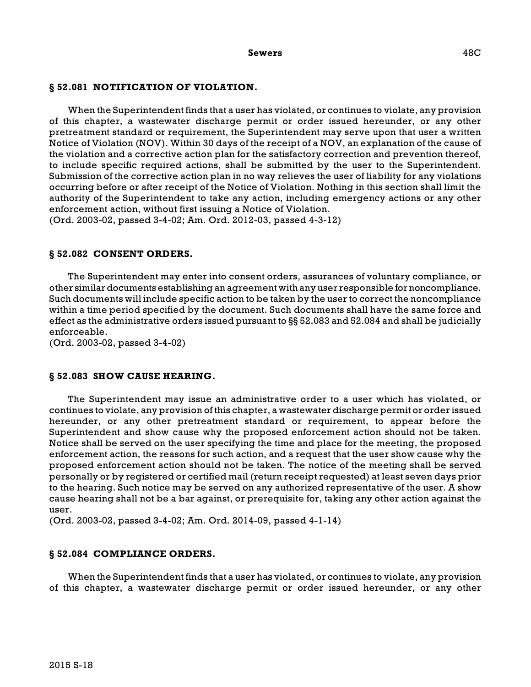### **§ 52.081 NOTIFICATION OF VIOLATION.**

When the Superintendent finds that a user has violated, or continues to violate, any provision of this chapter, a wastewater discharge permit or order issued hereunder, or any other pretreatment standard or requirement, the Superintendent may serve upon that user a written Notice of Violation (NOV). Within 30 days of the receipt of a NOV, an explanation of the cause of the violation and a corrective action plan for the satisfactory correction and prevention thereof, to include specific required actions, shall be submitted by the user to the Superintendent. Submission of the corrective action plan in no way relieves the user of liability for any violations occurring before or after receipt of the Notice of Violation. Nothing in this section shall limit the authority of the Superintendent to take any action, including emergency actions or any other enforcement action, without first issuing a Notice of Violation.

(Ord. 2003-02, passed 3-4-02; Am. Ord. 2012-03, passed 4-3-12)

#### **§ 52.082 CONSENT ORDERS.**

The Superintendent may enter into consent orders, assurances of voluntary compliance, or other similar documents establishing an agreement with any user responsible for noncompliance. Such documents will include specific action to be taken by the user to correct the noncompliance within a time period specified by the document. Such documents shall have the same force and effect as the administrative orders issued pursuant to §§ 52.083 and 52.084 and shall be judicially enforceable.

(Ord. 2003-02, passed 3-4-02)

### **§ 52.083 SHOW CAUSE HEARING.**

The Superintendent may issue an administrative order to a user which has violated, or continues to violate, any provision of this chapter, a wastewater discharge permit or order issued hereunder, or any other pretreatment standard or requirement, to appear before the Superintendent and show cause why the proposed enforcement action should not be taken. Notice shall be served on the user specifying the time and place for the meeting, the proposed enforcement action, the reasons for such action, and a request that the user show cause why the proposed enforcement action should not be taken. The notice of the meeting shall be served personally or by registered or certified mail (return receipt requested) at least seven days prior to the hearing. Such notice may be served on any authorized representative of the user. A show cause hearing shall not be a bar against, or prerequisite for, taking any other action against the user.

(Ord. 2003-02, passed 3-4-02; Am. Ord. 2014-09, passed 4-1-14)

### **§ 52.084 COMPLIANCE ORDERS.**

When the Superintendent finds that a user has violated, or continues to violate, any provision of this chapter, a wastewater discharge permit or order issued hereunder, or any other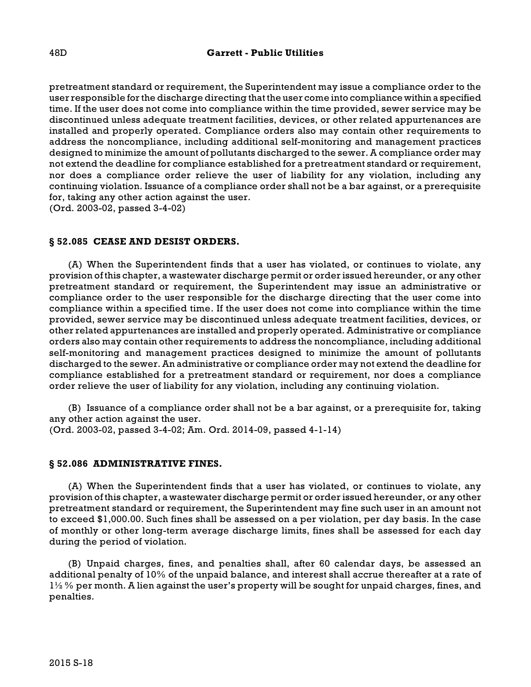pretreatment standard or requirement, the Superintendent may issue a compliance order to the user responsible for the discharge directing that the user come into compliance within a specified time. If the user does not come into compliance within the time provided, sewer service may be discontinued unless adequate treatment facilities, devices, or other related appurtenances are installed and properly operated. Compliance orders also may contain other requirements to address the noncompliance, including additional self-monitoring and management practices designed to minimize the amount of pollutants discharged to the sewer. A compliance order may not extend the deadline for compliance established for a pretreatment standard or requirement, nor does a compliance order relieve the user of liability for any violation, including any continuing violation. Issuance of a compliance order shall not be a bar against, or a prerequisite for, taking any other action against the user.

(Ord. 2003-02, passed 3-4-02)

# **§ 52.085 CEASE AND DESIST ORDERS.**

(A) When the Superintendent finds that a user has violated, or continues to violate, any provision of this chapter, a wastewater discharge permit or order issued hereunder, or any other pretreatment standard or requirement, the Superintendent may issue an administrative or compliance order to the user responsible for the discharge directing that the user come into compliance within a specified time. If the user does not come into compliance within the time provided, sewer service may be discontinued unless adequate treatment facilities, devices, or other related appurtenances are installed and properly operated. Administrative or compliance orders also may contain other requirements to address the noncompliance, including additional self-monitoring and management practices designed to minimize the amount of pollutants discharged to the sewer. An administrative or compliance order may not extend the deadline for compliance established for a pretreatment standard or requirement, nor does a compliance order relieve the user of liability for any violation, including any continuing violation.

(B) Issuance of a compliance order shall not be a bar against, or a prerequisite for, taking any other action against the user.

(Ord. 2003-02, passed 3-4-02; Am. Ord. 2014-09, passed 4-1-14)

# **§ 52.086 ADMINISTRATIVE FINES.**

(A) When the Superintendent finds that a user has violated, or continues to violate, any provision of this chapter, a wastewater discharge permit or order issued hereunder, or any other pretreatment standard or requirement, the Superintendent may fine such user in an amount not to exceed \$1,000.00. Such fines shall be assessed on a per violation, per day basis. In the case of monthly or other long-term average discharge limits, fines shall be assessed for each day during the period of violation.

(B) Unpaid charges, fines, and penalties shall, after 60 calendar days, be assessed an additional penalty of 10% of the unpaid balance, and interest shall accrue thereafter at a rate of  $1\frac{1}{2}$ % per month. A lien against the user's property will be sought for unpaid charges, fines, and penalties.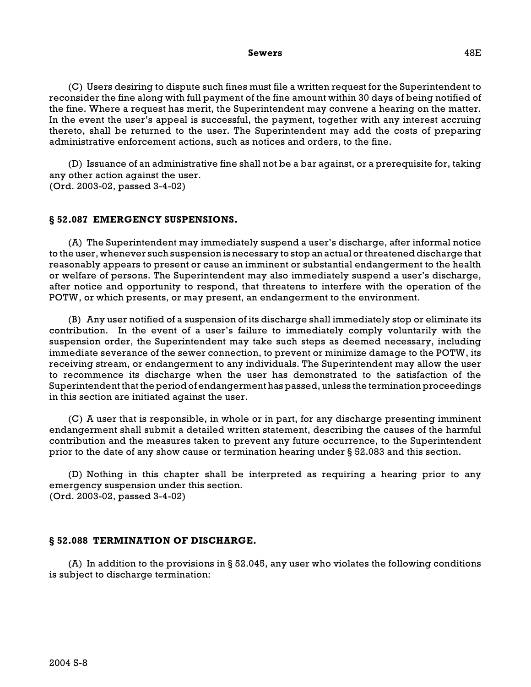### **Sewers** 48E

(C) Users desiring to dispute such fines must file a written request for the Superintendent to reconsider the fine along with full payment of the fine amount within 30 days of being notified of the fine. Where a request has merit, the Superintendent may convene a hearing on the matter. In the event the user's appeal is successful, the payment, together with any interest accruing thereto, shall be returned to the user. The Superintendent may add the costs of preparing administrative enforcement actions, such as notices and orders, to the fine.

(D) Issuance of an administrative fine shall not be a bar against, or a prerequisite for, taking any other action against the user.

(Ord. 2003-02, passed 3-4-02)

### **§ 52.087 EMERGENCY SUSPENSIONS.**

(A) The Superintendent may immediately suspend a user's discharge, after informal notice to the user, whenever such suspension is necessary to stop an actual or threatened discharge that reasonably appears to present or cause an imminent or substantial endangerment to the health or welfare of persons. The Superintendent may also immediately suspend a user's discharge, after notice and opportunity to respond, that threatens to interfere with the operation of the POTW, or which presents, or may present, an endangerment to the environment.

(B) Any user notified of a suspension of its discharge shall immediately stop or eliminate its contribution. In the event of a user's failure to immediately comply voluntarily with the suspension order, the Superintendent may take such steps as deemed necessary, including immediate severance of the sewer connection, to prevent or minimize damage to the POTW, its receiving stream, or endangerment to any individuals. The Superintendent may allow the user to recommence its discharge when the user has demonstrated to the satisfaction of the Superintendent that the period of endangerment has passed, unless the termination proceedings in this section are initiated against the user.

(C) A user that is responsible, in whole or in part, for any discharge presenting imminent endangerment shall submit a detailed written statement, describing the causes of the harmful contribution and the measures taken to prevent any future occurrence, to the Superintendent prior to the date of any show cause or termination hearing under § 52.083 and this section.

(D) Nothing in this chapter shall be interpreted as requiring a hearing prior to any emergency suspension under this section. (Ord. 2003-02, passed 3-4-02)

### **§ 52.088 TERMINATION OF DISCHARGE.**

(A) In addition to the provisions in § 52.045, any user who violates the following conditions is subject to discharge termination: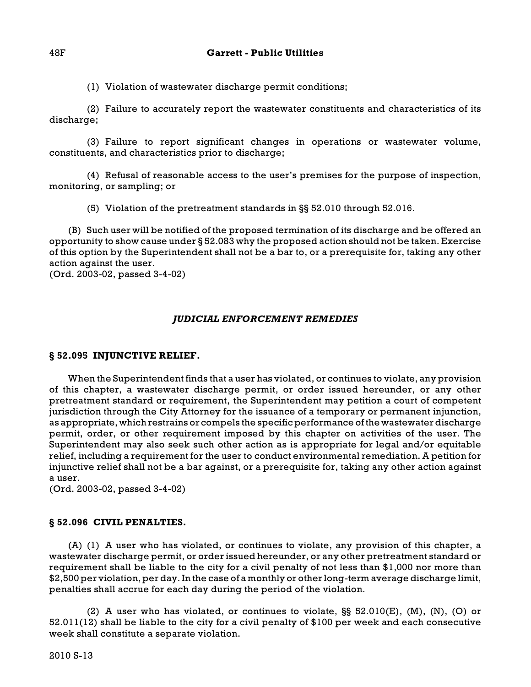(1) Violation of wastewater discharge permit conditions;

(2) Failure to accurately report the wastewater constituents and characteristics of its discharge;

(3) Failure to report significant changes in operations or wastewater volume, constituents, and characteristics prior to discharge;

(4) Refusal of reasonable access to the user's premises for the purpose of inspection, monitoring, or sampling; or

(5) Violation of the pretreatment standards in §§ 52.010 through 52.016.

(B) Such user will be notified of the proposed termination of its discharge and be offered an opportunity to show cause under § 52.083 why the proposed action should not be taken. Exercise of this option by the Superintendent shall not be a bar to, or a prerequisite for, taking any other action against the user.

(Ord. 2003-02, passed 3-4-02)

# *JUDICIAL ENFORCEMENT REMEDIES*

# **§ 52.095 INJUNCTIVE RELIEF.**

When the Superintendent finds that a user has violated, or continues to violate, any provision of this chapter, a wastewater discharge permit, or order issued hereunder, or any other pretreatment standard or requirement, the Superintendent may petition a court of competent jurisdiction through the City Attorney for the issuance of a temporary or permanent injunction, as appropriate, which restrains or compels the specific performance of the wastewater discharge permit, order, or other requirement imposed by this chapter on activities of the user. The Superintendent may also seek such other action as is appropriate for legal and/or equitable relief, including a requirement for the user to conduct environmental remediation. A petition for injunctive relief shall not be a bar against, or a prerequisite for, taking any other action against a user.

(Ord. 2003-02, passed 3-4-02)

# **§ 52.096 CIVIL PENALTIES.**

(A) (1) A user who has violated, or continues to violate, any provision of this chapter, a wastewater discharge permit, or order issued hereunder, or any other pretreatment standard or requirement shall be liable to the city for a civil penalty of not less than \$1,000 nor more than \$2,500 per violation, per day. In the case of a monthly or other long-term average discharge limit, penalties shall accrue for each day during the period of the violation.

(2) A user who has violated, or continues to violate,  $\S$ § 52.010(E), (M), (N), (O) or 52.011(12) shall be liable to the city for a civil penalty of \$100 per week and each consecutive week shall constitute a separate violation.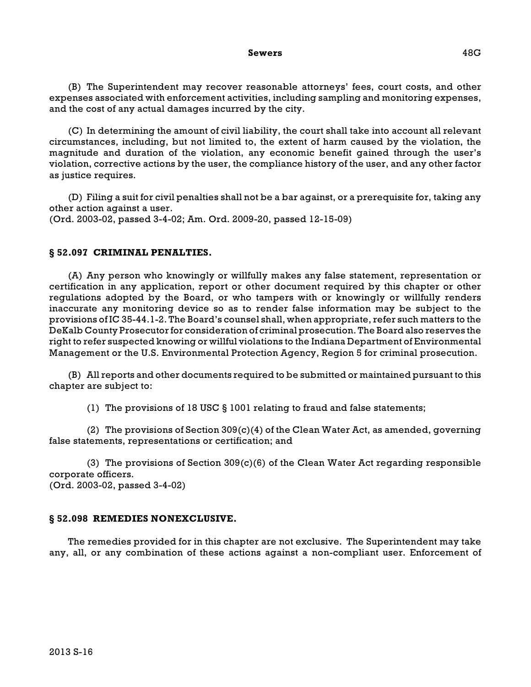(B) The Superintendent may recover reasonable attorneys' fees, court costs, and other expenses associated with enforcement activities, including sampling and monitoring expenses, and the cost of any actual damages incurred by the city.

(C) In determining the amount of civil liability, the court shall take into account all relevant circumstances, including, but not limited to, the extent of harm caused by the violation, the magnitude and duration of the violation, any economic benefit gained through the user's violation, corrective actions by the user, the compliance history of the user, and any other factor as justice requires.

(D) Filing a suit for civil penalties shall not be a bar against, or a prerequisite for, taking any other action against a user.

(Ord. 2003-02, passed 3-4-02; Am. Ord. 2009-20, passed 12-15-09)

# **§ 52.097 CRIMINAL PENALTIES.**

(A) Any person who knowingly or willfully makes any false statement, representation or certification in any application, report or other document required by this chapter or other regulations adopted by the Board, or who tampers with or knowingly or willfully renders inaccurate any monitoring device so as to render false information may be subject to the provisions of IC 35-44.1-2. The Board's counsel shall, when appropriate, refer such matters to the DeKalb County Prosecutor for consideration of criminal prosecution. The Board also reserves the right to refer suspected knowing or willful violations to the Indiana Department of Environmental Management or the U.S. Environmental Protection Agency, Region 5 for criminal prosecution.

(B) All reports and other documents required to be submitted or maintained pursuant to this chapter are subject to:

(1) The provisions of 18 USC § 1001 relating to fraud and false statements;

(2) The provisions of Section  $309(c)(4)$  of the Clean Water Act, as amended, governing false statements, representations or certification; and

(3) The provisions of Section 309(c)(6) of the Clean Water Act regarding responsible corporate officers.

(Ord. 2003-02, passed 3-4-02)

## **§ 52.098 REMEDIES NONEXCLUSIVE.**

The remedies provided for in this chapter are not exclusive. The Superintendent may take any, all, or any combination of these actions against a non-compliant user. Enforcement of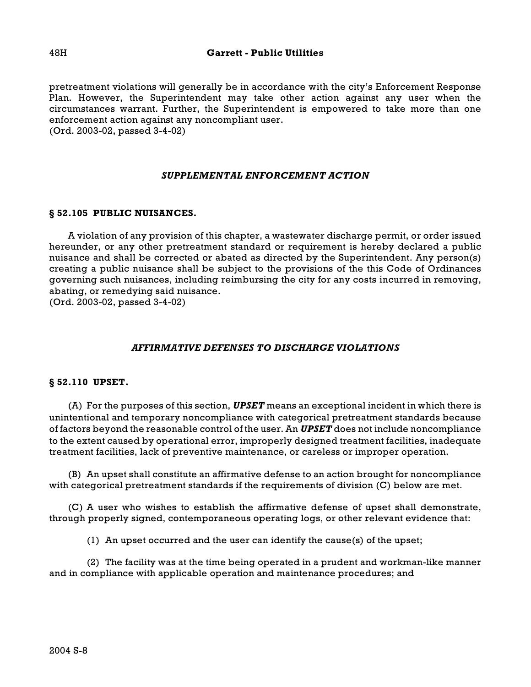pretreatment violations will generally be in accordance with the city's Enforcement Response Plan. However, the Superintendent may take other action against any user when the circumstances warrant. Further, the Superintendent is empowered to take more than one enforcement action against any noncompliant user.

(Ord. 2003-02, passed 3-4-02)

# *SUPPLEMENTAL ENFORCEMENT ACTION*

# **§ 52.105 PUBLIC NUISANCES.**

A violation of any provision of this chapter, a wastewater discharge permit, or order issued hereunder, or any other pretreatment standard or requirement is hereby declared a public nuisance and shall be corrected or abated as directed by the Superintendent. Any person(s) creating a public nuisance shall be subject to the provisions of the this Code of Ordinances governing such nuisances, including reimbursing the city for any costs incurred in removing, abating, or remedying said nuisance.

(Ord. 2003-02, passed 3-4-02)

# *AFFIRMATIVE DEFENSES TO DISCHARGE VIOLATIONS*

# **§ 52.110 UPSET.**

(A) For the purposes of this section, *UPSET* means an exceptional incident in which there is unintentional and temporary noncompliance with categorical pretreatment standards because of factors beyond the reasonable control of the user. An *UPSET* does not include noncompliance to the extent caused by operational error, improperly designed treatment facilities, inadequate treatment facilities, lack of preventive maintenance, or careless or improper operation.

(B) An upset shall constitute an affirmative defense to an action brought for noncompliance with categorical pretreatment standards if the requirements of division (C) below are met.

(C) A user who wishes to establish the affirmative defense of upset shall demonstrate, through properly signed, contemporaneous operating logs, or other relevant evidence that:

(1) An upset occurred and the user can identify the cause(s) of the upset;

(2) The facility was at the time being operated in a prudent and workman-like manner and in compliance with applicable operation and maintenance procedures; and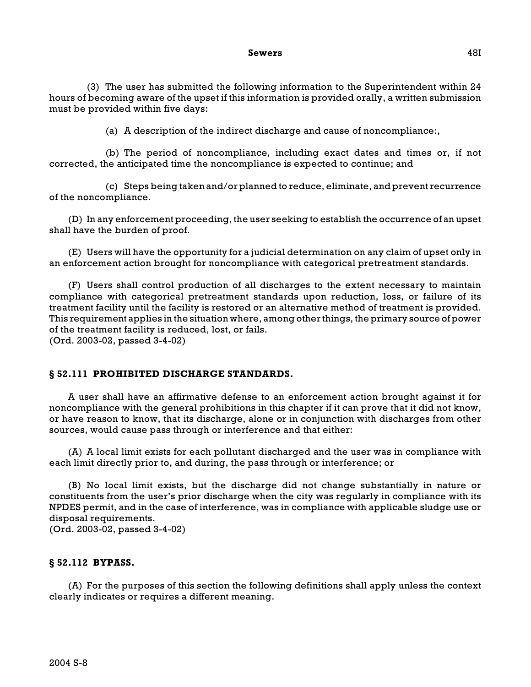(3) The user has submitted the following information to the Superintendent within 24 hours of becoming aware of the upset if this information is provided orally, a written submission must be provided within five days:

(a) A description of the indirect discharge and cause of noncompliance:,

(b) The period of noncompliance, including exact dates and times or, if not corrected, the anticipated time the noncompliance is expected to continue; and

(c) Steps being taken and/or planned to reduce, eliminate, and prevent recurrence of the noncompliance.

(D) In any enforcement proceeding, the user seeking to establish the occurrence of an upset shall have the burden of proof.

(E) Users will have the opportunity for a judicial determination on any claim of upset only in an enforcement action brought for noncompliance with categorical pretreatment standards.

(F) Users shall control production of all discharges to the extent necessary to maintain compliance with categorical pretreatment standards upon reduction, loss, or failure of its treatment facility until the facility is restored or an alternative method of treatment is provided. This requirement applies in the situation where, among other things, the primary source of power of the treatment facility is reduced, lost, or fails. (Ord. 2003-02, passed 3-4-02)

#### **§ 52.111 PROHIBITED DISCHARGE STANDARDS.**

A user shall have an affirmative defense to an enforcement action brought against it for noncompliance with the general prohibitions in this chapter if it can prove that it did not know, or have reason to know, that its discharge, alone or in conjunction with discharges from other sources, would cause pass through or interference and that either:

(A) A local limit exists for each pollutant discharged and the user was in compliance with each limit directly prior to, and during, the pass through or interference; or

(B) No local limit exists, but the discharge did not change substantially in nature or constituents from the user's prior discharge when the city was regularly in compliance with its NPDES permit, and in the case of interference, was in compliance with applicable sludge use or disposal requirements.

(Ord. 2003-02, passed 3-4-02)

## **§ 52.112 BYPASS.**

(A) For the purposes of this section the following definitions shall apply unless the context clearly indicates or requires a different meaning.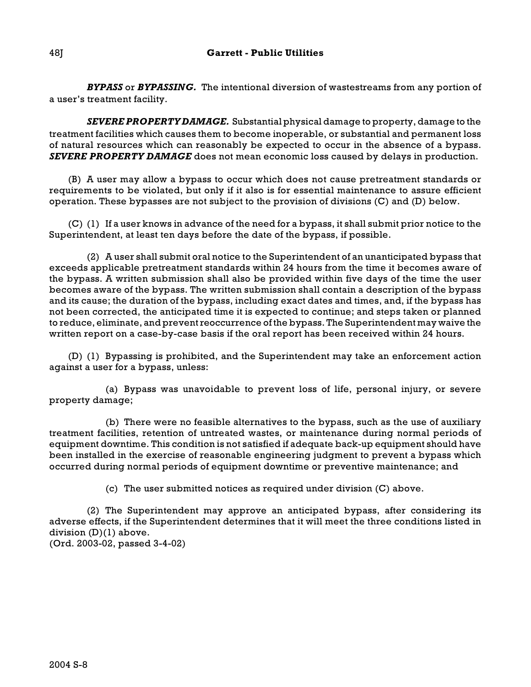*BYPASS* or *BYPASSING.* The intentional diversion of wastestreams from any portion of a user's treatment facility.

*SEVERE PROPERTY DAMAGE.* Substantial physical damage to property, damage to the treatment facilities which causes them to become inoperable, or substantial and permanent loss of natural resources which can reasonably be expected to occur in the absence of a bypass. *SEVERE PROPERTY DAMAGE* does not mean economic loss caused by delays in production.

(B) A user may allow a bypass to occur which does not cause pretreatment standards or requirements to be violated, but only if it also is for essential maintenance to assure efficient operation. These bypasses are not subject to the provision of divisions (C) and (D) below.

(C) (1) If a user knows in advance of the need for a bypass, it shall submit prior notice to the Superintendent, at least ten days before the date of the bypass, if possible.

(2) A user shall submit oral notice to the Superintendent of an unanticipated bypass that exceeds applicable pretreatment standards within 24 hours from the time it becomes aware of the bypass. A written submission shall also be provided within five days of the time the user becomes aware of the bypass. The written submission shall contain a description of the bypass and its cause; the duration of the bypass, including exact dates and times, and, if the bypass has not been corrected, the anticipated time it is expected to continue; and steps taken or planned to reduce, eliminate, and prevent reoccurrence of the bypass. The Superintendent may waive the written report on a case-by-case basis if the oral report has been received within 24 hours.

(D) (1) Bypassing is prohibited, and the Superintendent may take an enforcement action against a user for a bypass, unless:

(a) Bypass was unavoidable to prevent loss of life, personal injury, or severe property damage;

(b) There were no feasible alternatives to the bypass, such as the use of auxiliary treatment facilities, retention of untreated wastes, or maintenance during normal periods of equipment downtime. This condition is not satisfied if adequate back-up equipment should have been installed in the exercise of reasonable engineering judgment to prevent a bypass which occurred during normal periods of equipment downtime or preventive maintenance; and

(c) The user submitted notices as required under division (C) above.

(2) The Superintendent may approve an anticipated bypass, after considering its adverse effects, if the Superintendent determines that it will meet the three conditions listed in division (D)(1) above.

(Ord. 2003-02, passed 3-4-02)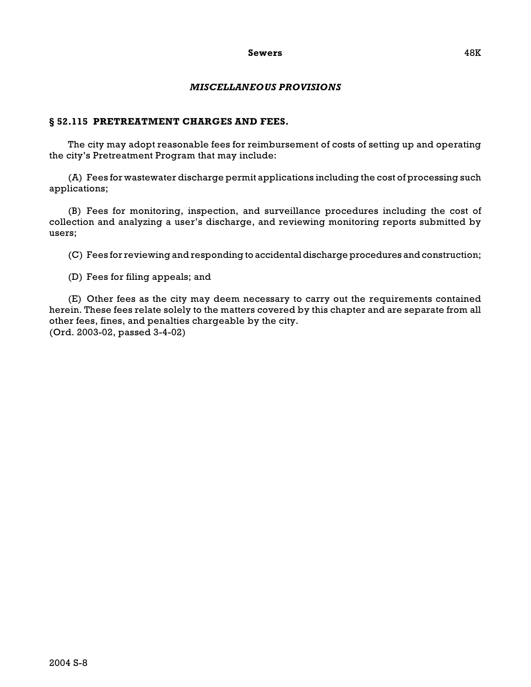#### **Sewers** 48K

# *MISCELLANEOUS PROVISIONS*

## **§ 52.115 PRETREATMENT CHARGES AND FEES.**

The city may adopt reasonable fees for reimbursement of costs of setting up and operating the city's Pretreatment Program that may include:

(A) Fees for wastewater discharge permit applications including the cost of processing such applications;

(B) Fees for monitoring, inspection, and surveillance procedures including the cost of collection and analyzing a user's discharge, and reviewing monitoring reports submitted by users;

(C) Fees for reviewing and responding to accidental discharge procedures and construction;

(D) Fees for filing appeals; and

(E) Other fees as the city may deem necessary to carry out the requirements contained herein. These fees relate solely to the matters covered by this chapter and are separate from all other fees, fines, and penalties chargeable by the city. (Ord. 2003-02, passed 3-4-02)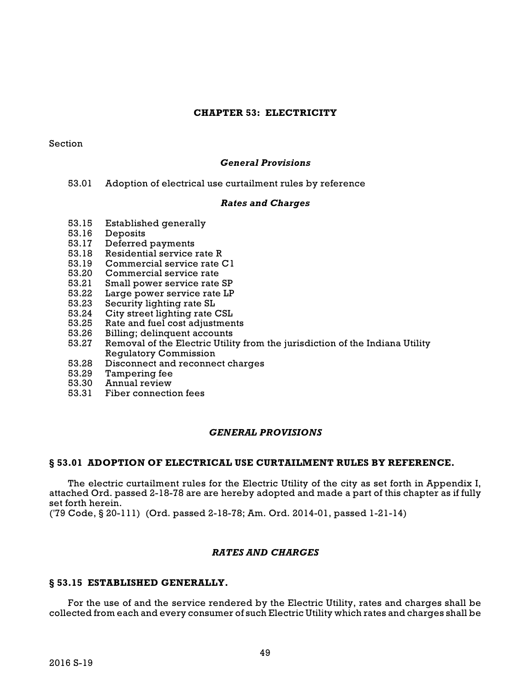## **CHAPTER 53: ELECTRICITY**

#### Section

# *General Provisions*

53.01 Adoption of electrical use curtailment rules by reference

## *Rates and Charges*

- 53.15 Established generally
- 53.16 Deposits
- Deferred payments
- 53.18 Residential service rate R
- 53.19 Commercial service rate C1
- 53.20 Commercial service rate
- 53.21 Small power service rate SP
- 53.22 Large power service rate LP
- Security lighting rate SL
- 53.24 City street lighting rate CSL
- 53.25 Rate and fuel cost adjustments<br>53.26 Billing: delinguent accounts
- 53.26 Billing; delinquent accounts
- 53.27 Removal of the Electric Utility from the jurisdiction of the Indiana Utility Regulatory Commission
- 53.28 Disconnect and reconnect charges
- 53.29 Tampering fee
- 53.30 Annual review
- 53.31 Fiber connection fees

# *GENERAL PROVISIONS*

# **§ 53.01 ADOPTION OF ELECTRICAL USE CURTAILMENT RULES BY REFERENCE.**

The electric curtailment rules for the Electric Utility of the city as set forth in Appendix I, attached Ord. passed 2-18-78 are are hereby adopted and made a part of this chapter as if fully set forth herein.

('79 Code, § 20-111) (Ord. passed 2-18-78; Am. Ord. 2014-01, passed 1-21-14)

# *RATES AND CHARGES*

#### **§ 53.15 ESTABLISHED GENERALLY.**

For the use of and the service rendered by the Electric Utility, rates and charges shall be collected from each and every consumer of such Electric Utility which rates and charges shall be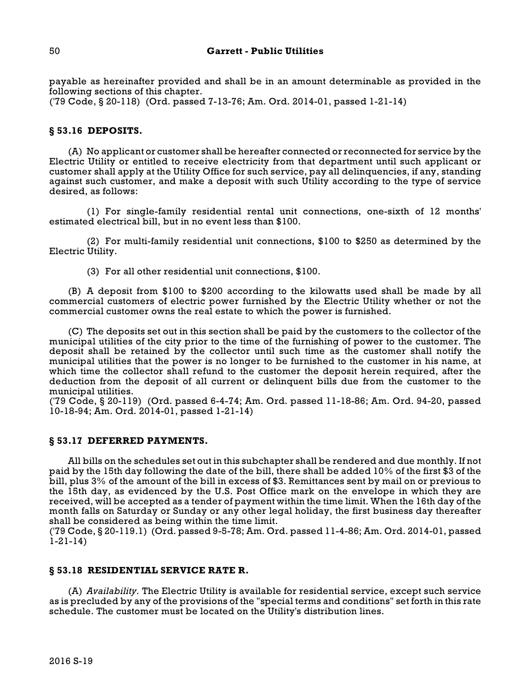payable as hereinafter provided and shall be in an amount determinable as provided in the following sections of this chapter.

('79 Code, § 20-118) (Ord. passed 7-13-76; Am. Ord. 2014-01, passed 1-21-14)

## **§ 53.16 DEPOSITS.**

(A) No applicant or customer shall be hereafter connected or reconnected for service by the Electric Utility or entitled to receive electricity from that department until such applicant or customer shall apply at the Utility Office for such service, pay all delinquencies, if any, standing against such customer, and make a deposit with such Utility according to the type of service desired, as follows:

(1) For single-family residential rental unit connections, one-sixth of 12 months' estimated electrical bill, but in no event less than \$100.

(2) For multi-family residential unit connections, \$100 to \$250 as determined by the Electric Utility.

(3) For all other residential unit connections, \$100.

(B) A deposit from \$100 to \$200 according to the kilowatts used shall be made by all commercial customers of electric power furnished by the Electric Utility whether or not the commercial customer owns the real estate to which the power is furnished.

(C) The deposits set out in this section shall be paid by the customers to the collector of the municipal utilities of the city prior to the time of the furnishing of power to the customer. The deposit shall be retained by the collector until such time as the customer shall notify the municipal utilities that the power is no longer to be furnished to the customer in his name, at which time the collector shall refund to the customer the deposit herein required, after the deduction from the deposit of all current or delinquent bills due from the customer to the municipal utilities.

('79 Code, § 20-119) (Ord. passed 6-4-74; Am. Ord. passed 11-18-86; Am. Ord. 94-20, passed 10-18-94; Am. Ord. 2014-01, passed 1-21-14)

#### **§ 53.17 DEFERRED PAYMENTS.**

All bills on the schedules set out in this subchapter shall be rendered and due monthly. If not paid by the 15th day following the date of the bill, there shall be added 10% of the first \$3 of the bill, plus 3% of the amount of the bill in excess of \$3. Remittances sent by mail on or previous to the 15th day, as evidenced by the U.S. Post Office mark on the envelope in which they are received, will be accepted as a tender of payment within the time limit. When the 16th day of the month falls on Saturday or Sunday or any other legal holiday, the first business day thereafter shall be considered as being within the time limit.

('79 Code, § 20-119.1) (Ord. passed 9-5-78; Am. Ord. passed 11-4-86; Am. Ord. 2014-01, passed 1-21-14)

#### **§ 53.18 RESIDENTIAL SERVICE RATE R.**

(A) *Availability.* The Electric Utility is available for residential service, except such service as is precluded by any of the provisions of the "special terms and conditions" set forth in this rate schedule. The customer must be located on the Utility's distribution lines.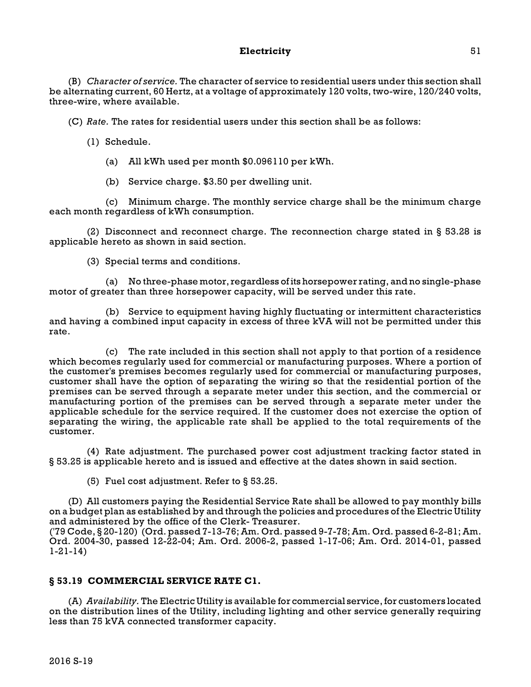# **Electricity** 51

(B) *Character of service.* The character of service to residential users under this section shall be alternating current, 60 Hertz, at a voltage of approximately 120 volts, two-wire, 120/240 volts, three-wire, where available.

(C) *Rate.* The rates for residential users under this section shall be as follows:

(1) Schedule.

- (a) All kWh used per month \$0.096110 per kWh.
- (b) Service charge. \$3.50 per dwelling unit.

(c) Minimum charge. The monthly service charge shall be the minimum charge each month regardless of kWh consumption.

(2) Disconnect and reconnect charge. The reconnection charge stated in § 53.28 is applicable hereto as shown in said section.

(3) Special terms and conditions.

(a) No three-phase motor, regardless of its horsepower rating, and no single-phase motor of greater than three horsepower capacity, will be served under this rate.

(b) Service to equipment having highly fluctuating or intermittent characteristics and having a combined input capacity in excess of three kVA will not be permitted under this rate.

(c) The rate included in this section shall not apply to that portion of a residence which becomes regularly used for commercial or manufacturing purposes. Where a portion of the customer's premises becomes regularly used for commercial or manufacturing purposes, customer shall have the option of separating the wiring so that the residential portion of the premises can be served through a separate meter under this section, and the commercial or manufacturing portion of the premises can be served through a separate meter under the applicable schedule for the service required. If the customer does not exercise the option of separating the wiring, the applicable rate shall be applied to the total requirements of the customer.

(4) Rate adjustment. The purchased power cost adjustment tracking factor stated in § 53.25 is applicable hereto and is issued and effective at the dates shown in said section.

(5) Fuel cost adjustment. Refer to § 53.25.

(D) All customers paying the Residential Service Rate shall be allowed to pay monthly bills on a budget plan as established by and through the policies and procedures of the Electric Utility and administered by the office of the Clerk- Treasurer.

('79 Code, § 20-120) (Ord. passed 7-13-76; Am. Ord. passed 9-7-78; Am. Ord. passed 6-2-81; Am. Ord. 2004-30, passed 12-22-04; Am. Ord. 2006-2, passed 1-17-06; Am. Ord. 2014-01, passed 1-21-14)

# **§ 53.19 COMMERCIAL SERVICE RATE C1.**

(A) *Availability.* The Electric Utility is available for commercial service, for customers located on the distribution lines of the Utility, including lighting and other service generally requiring less than 75 kVA connected transformer capacity.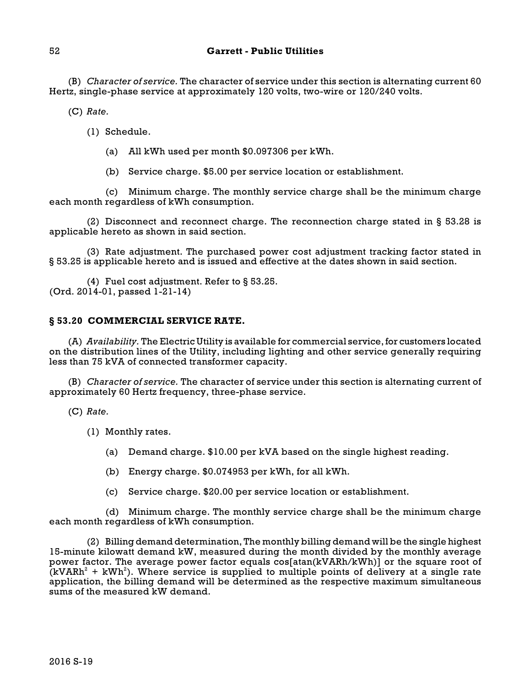(B) *Character of service.* The character of service under this section is alternating current 60 Hertz, single-phase service at approximately 120 volts, two-wire or 120/240 volts.

(C) *Rate.*

- (1) Schedule.
	- (a) All kWh used per month \$0.097306 per kWh.

(b) Service charge. \$5.00 per service location or establishment.

(c) Minimum charge. The monthly service charge shall be the minimum charge each month regardless of kWh consumption.

(2) Disconnect and reconnect charge. The reconnection charge stated in § 53.28 is applicable hereto as shown in said section.

(3) Rate adjustment. The purchased power cost adjustment tracking factor stated in § 53.25 is applicable hereto and is issued and effective at the dates shown in said section.

(4) Fuel cost adjustment. Refer to § 53.25. (Ord. 2014-01, passed 1-21-14)

#### **§ 53.20 COMMERCIAL SERVICE RATE.**

(A) *Availability.* The Electric Utility is available for commercial service, for customers located on the distribution lines of the Utility, including lighting and other service generally requiring less than 75 kVA of connected transformer capacity.

(B) *Character of service.* The character of service under this section is alternating current of approximately 60 Hertz frequency, three-phase service.

(C) *Rate.*

- (1) Monthly rates.
	- (a) Demand charge. \$10.00 per kVA based on the single highest reading.
	- (b) Energy charge. \$0.074953 per kWh, for all kWh.
	- (c) Service charge. \$20.00 per service location or establishment.

(d) Minimum charge. The monthly service charge shall be the minimum charge each month regardless of kWh consumption.

(2) Billing demand determination, The monthly billing demand will be the single highest 15-minute kilowatt demand kW, measured during the month divided by the monthly average power factor. The average power factor equals cos[atan(kVARh/kWh)] or the square root of (kVARh<sup>2</sup> + kWh<sup>2</sup>). Where service is supplied to multiple points of delivery at a single rate application, the billing demand will be determined as the respective maximum simultaneous sums of the measured kW demand.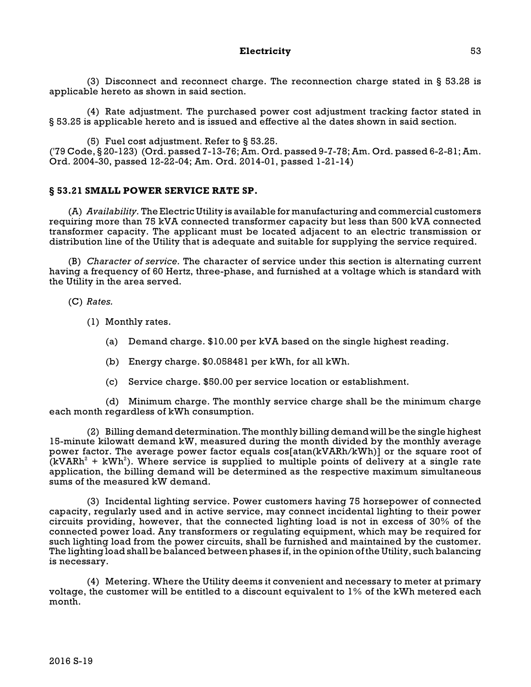(3) Disconnect and reconnect charge. The reconnection charge stated in § 53.28 is applicable hereto as shown in said section.

(4) Rate adjustment. The purchased power cost adjustment tracking factor stated in § 53.25 is applicable hereto and is issued and effective al the dates shown in said section.

(5) Fuel cost adjustment. Refer to § 53.25. ('79 Code, § 20-123) (Ord. passed 7-13-76; Am. Ord. passed 9-7-78; Am. Ord. passed 6-2-81; Am. Ord. 2004-30, passed 12-22-04; Am. Ord. 2014-01, passed 1-21-14)

## **§ 53.21 SMALL POWER SERVICE RATE SP.**

(A) *Availability.* The Electric Utility is available for manufacturing and commercial customers requiring more than 75 kVA connected transformer capacity but less than 500 kVA connected transformer capacity. The applicant must be located adjacent to an electric transmission or distribution line of the Utility that is adequate and suitable for supplying the service required.

(B) *Character of service.* The character of service under this section is alternating current having a frequency of 60 Hertz, three-phase, and furnished at a voltage which is standard with the Utility in the area served.

(C) *Rates.*

- (1) Monthly rates.
	- (a) Demand charge. \$10.00 per kVA based on the single highest reading.
	- (b) Energy charge. \$0.058481 per kWh, for all kWh.
	- (c) Service charge. \$50.00 per service location or establishment.

(d) Minimum charge. The monthly service charge shall be the minimum charge each month regardless of kWh consumption.

(2) Billing demand determination. The monthly billing demand will be the single highest 15-minute kilowatt demand kW, measured during the month divided by the monthly average power factor. The average power factor equals cos[atan(kVARh/kWh)] or the square root of (kVARh<sup>2</sup> + kWh<sup>2</sup>). Where service is supplied to multiple points of delivery at a single rate application, the billing demand will be determined as the respective maximum simultaneous sums of the measured kW demand.

(3) Incidental lighting service. Power customers having 75 horsepower of connected capacity, regularly used and in active service, may connect incidental lighting to their power circuits providing, however, that the connected lighting load is not in excess of 30% of the connected power load. Any transformers or regulating equipment, which may be required for such lighting load from the power circuits, shall be furnished and maintained by the customer. The lighting load shall be balanced between phases if, in the opinion of the Utility, such balancing is necessary.

(4) Metering. Where the Utility deems it convenient and necessary to meter at primary voltage, the customer will be entitled to a discount equivalent to 1% of the kWh metered each month.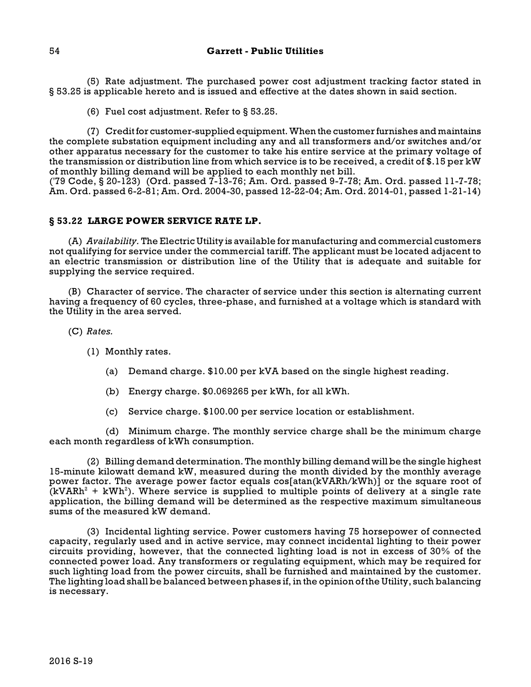(5) Rate adjustment. The purchased power cost adjustment tracking factor stated in § 53.25 is applicable hereto and is issued and effective at the dates shown in said section.

(6) Fuel cost adjustment. Refer to § 53.25.

(7) Credit for customer-supplied equipment. When the customer furnishes and maintains the complete substation equipment including any and all transformers and/or switches and/or other apparatus necessary for the customer to take his entire service at the primary voltage of the transmission or distribution line from which service is to be received, a credit of \$.15 per kW of monthly billing demand will be applied to each monthly net bill.

('79 Code, § 20-123) (Ord. passed 7-13-76; Am. Ord. passed 9-7-78; Am. Ord. passed 11-7-78; Am. Ord. passed 6-2-81; Am. Ord. 2004-30, passed 12-22-04; Am. Ord. 2014-01, passed 1-21-14)

# **§ 53.22 LARGE POWER SERVICE RATE LP.**

(A) *Availability.* The Electric Utility is available for manufacturing and commercial customers not qualifying for service under the commercial tariff. The applicant must be located adjacent to an electric transmission or distribution line of the Utility that is adequate and suitable for supplying the service required.

(B) Character of service. The character of service under this section is alternating current having a frequency of 60 cycles, three-phase, and furnished at a voltage which is standard with the Utility in the area served.

(C) *Rates.*

- (1) Monthly rates.
	- (a) Demand charge. \$10.00 per kVA based on the single highest reading.
	- (b) Energy charge. \$0.069265 per kWh, for all kWh.
	- (c) Service charge. \$100.00 per service location or establishment.

(d) Minimum charge. The monthly service charge shall be the minimum charge each month regardless of kWh consumption.

(2) Billing demand determination. The monthly billing demand will be the single highest 15-minute kilowatt demand kW, measured during the month divided by the monthly average power factor. The average power factor equals cos[atan(kVARh/kWh)] or the square root of  $(kVARh<sup>2</sup> + kWh<sup>2</sup>)$ . Where service is supplied to multiple points of delivery at a single rate application, the billing demand will be determined as the respective maximum simultaneous sums of the measured kW demand.

(3) Incidental lighting service. Power customers having 75 horsepower of connected capacity, regularly used and in active service, may connect incidental lighting to their power circuits providing, however, that the connected lighting load is not in excess of 30% of the connected power load. Any transformers or regulating equipment, which may be required for such lighting load from the power circuits, shall be furnished and maintained by the customer. The lighting load shall be balanced between phases if, in the opinion of the Utility, such balancing is necessary.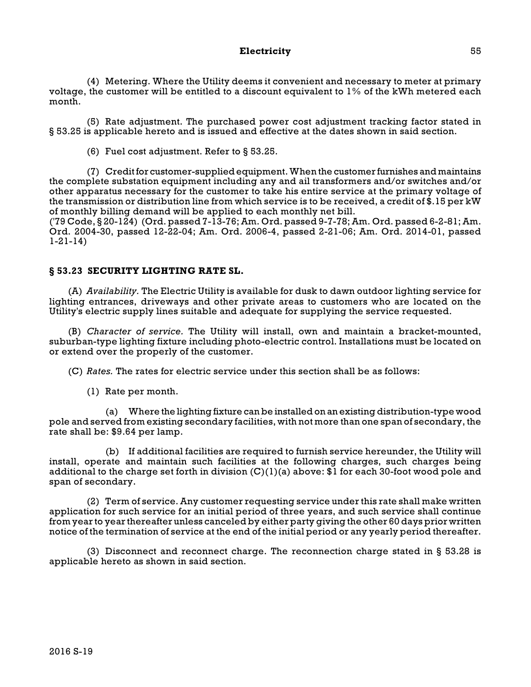# **Electricity** 55

(4) Metering. Where the Utility deems it convenient and necessary to meter at primary voltage, the customer will be entitled to a discount equivalent to 1% of the kWh metered each month.

(5) Rate adjustment. The purchased power cost adjustment tracking factor stated in § 53.25 is applicable hereto and is issued and effective at the dates shown in said section.

(6) Fuel cost adjustment. Refer to § 53.25.

(7) Credit for customer-supplied equipment. When the customer furnishes and maintains the complete substation equipment including any and ail transformers and/or switches and/or other apparatus necessary for the customer to take his entire service at the primary voltage of the transmission or distribution line from which service is to be received, a credit of \$.15 per kW of monthly billing demand will be applied to each monthly net bill.

('79 Code, § 20-124) (Ord. passed 7-13-76; Am. Ord. passed 9-7-78; Am. Ord. passed 6-2-81; Am. Ord. 2004-30, passed 12-22-04; Am. Ord. 2006-4, passed 2-21-06; Am. Ord. 2014-01, passed 1-21-14)

## **§ 53.23 SECURITY LIGHTING RATE SL.**

(A) *Availability.* The Electric Utility is available for dusk to dawn outdoor lighting service for lighting entrances, driveways and other private areas to customers who are located on the Utility's electric supply lines suitable and adequate for supplying the service requested.

(B) *Character of service.* The Utility will install, own and maintain a bracket-mounted, suburban-type lighting fixture including photo-electric control. Installations must be located on or extend over the properly of the customer.

(C) *Rates.* The rates for electric service under this section shall be as follows:

(1) Rate per month.

(a) Where the lighting fixture can be installed on an existing distribution-type wood pole and served from existing secondary facilities, with not more than one span of secondary, the rate shall be: \$9.64 per lamp.

(b) If additional facilities are required to furnish service hereunder, the Utility will install, operate and maintain such facilities at the following charges, such charges being additional to the charge set forth in division  $(C)(1)(a)$  above: \$1 for each 30-foot wood pole and span of secondary.

(2) Term of service. Any customer requesting service under this rate shall make written application for such service for an initial period of three years, and such service shall continue from year to year thereafter unless canceled by either party giving the other 60 days prior written notice of the termination of service at the end of the initial period or any yearly period thereafter.

(3) Disconnect and reconnect charge. The reconnection charge stated in § 53.28 is applicable hereto as shown in said section.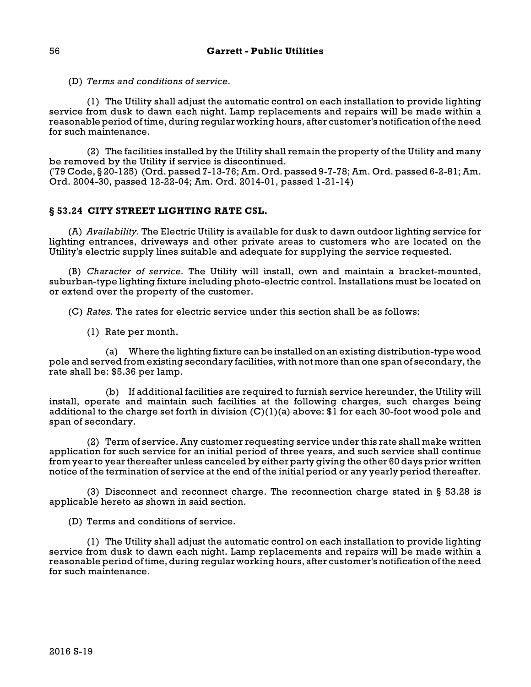(D) *Terms and conditions of service.*

(1) The Utility shall adjust the automatic control on each installation to provide lighting service from dusk to dawn each night. Lamp replacements and repairs will be made within a reasonable period of time, during regular working hours, after customer's notification of the need for such maintenance.

(2) The facilities installed by the Utility shall remain the property of the Utility and many be removed by the Utility if service is discontinued. ('79 Code, § 20-125) (Ord. passed 7-13-76; Am. Ord. passed 9-7-78; Am. Ord. passed 6-2-81; Am. Ord. 2004-30, passed 12-22-04; Am. Ord. 2014-01, passed 1-21-14)

## **§ 53.24 CITY STREET LIGHTING RATE CSL.**

(A) *Availability.* The Electric Utility is available for dusk to dawn outdoor lighting service for lighting entrances, driveways and other private areas to customers who are located on the Utility's electric supply lines suitable and adequate for supplying the service requested.

(B) *Character of service.* The Utility will install, own and maintain a bracket-mounted, suburban-type lighting fixture including photo-electric control. Installations must be located on or extend over the property of the customer.

(C) *Rates.* The rates for electric service under this section shall be as follows:

(1) Rate per month.

(a) Where the lighting fixture can be installed on an existing distribution-type wood pole and served from existing secondary facilities, with not more than one span of secondary, the rate shall be: \$5.36 per lamp.

(b) If additional facilities are required to furnish service hereunder, the Utility will install, operate and maintain such facilities at the following charges, such charges being additional to the charge set forth in division  $(C)(1)(a)$  above: \$1 for each 30-foot wood pole and span of secondary.

(2) Term of service. Any customer requesting service under this rate shall make written application for such service for an initial period of three years, and such service shall continue from year to year thereafter unless canceled by either party giving the other 60 days prior written notice of the termination of service at the end of the initial period or any yearly period thereafter.

(3) Disconnect and reconnect charge. The reconnection charge stated in § 53.28 is applicable hereto as shown in said section.

(D) Terms and conditions of service.

(1) The Utility shall adjust the automatic control on each installation to provide lighting service from dusk to dawn each night. Lamp replacements and repairs will be made within a reasonable period of time, during regular working hours, after customer's notification of the need for such maintenance.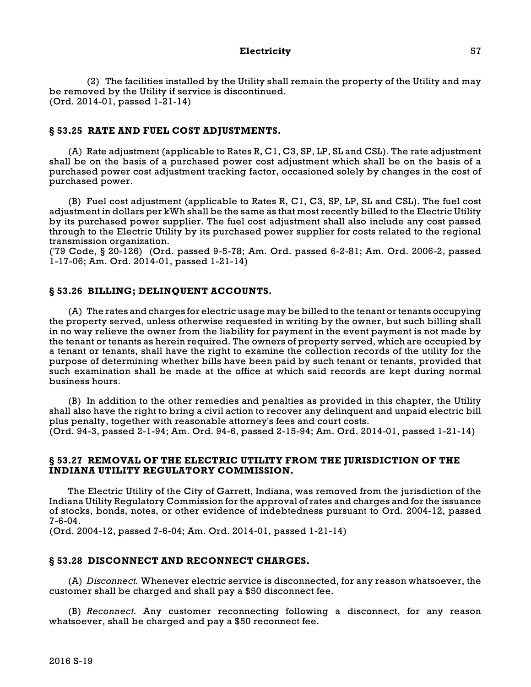(2) The facilities installed by the Utility shall remain the property of the Utility and may be removed by the Utility if service is discontinued. (Ord. 2014-01, passed 1-21-14)

## **§ 53.25 RATE AND FUEL COST ADJUSTMENTS.**

(A) Rate adjustment (applicable to Rates R, C1, C3, SP, LP, SL and CSL). The rate adjustment shall be on the basis of a purchased power cost adjustment which shall be on the basis of a purchased power cost adjustment tracking factor, occasioned solely by changes in the cost of purchased power.

(B) Fuel cost adjustment (applicable to Rates R, C1, C3, SP, LP, SL and CSL). The fuel cost adjustment in dollars per kWh shall be the same as that most recently billed to the Electric Utility by its purchased power supplier. The fuel cost adjustment shall also include any cost passed through to the Electric Utility by its purchased power supplier for costs related to the regional transmission organization.

('79 Code, § 20-126) (Ord. passed 9-5-78; Am. Ord. passed 6-2-81; Am. Ord. 2006-2, passed 1-17-06; Am. Ord. 2014-01, passed 1-21-14)

## **§ 53.26 BILLING; DELINQUENT ACCOUNTS.**

(A) The rates and charges for electric usage may be billed to the tenant or tenants occupying the property served, unless otherwise requested in writing by the owner, but such billing shall in no way relieve the owner from the liability for payment in the event payment is not made by the tenant or tenants as herein required. The owners of property served, which are occupied by a tenant or tenants, shall have the right to examine the collection records of the utility for the purpose of determining whether bills have been paid by such tenant or tenants, provided that such examination shall be made at the office at which said records are kept during normal business hours.

(B) In addition to the other remedies and penalties as provided in this chapter, the Utility shall also have the right to bring a civil action to recover any delinquent and unpaid electric bill plus penalty, together with reasonable attorney's fees and court costs. (Ord. 94-3, passed 2-1-94; Am. Ord. 94-6, passed 2-15-94; Am. Ord. 2014-01, passed 1-21-14)

#### **§ 53.27 REMOVAL OF THE ELECTRIC UTILITY FROM THE JURISDICTION OF THE INDIANA UTILITY REGULATORY COMMISSION.**

The Electric Utility of the City of Garrett, Indiana, was removed from the jurisdiction of the Indiana Utility Regulatory Commission for the approval of rates and charges and for the issuance of stocks, bonds, notes, or other evidence of indebtedness pursuant to Ord. 2004-12, passed 7-6-04.

(Ord. 2004-12, passed 7-6-04; Am. Ord. 2014-01, passed 1-21-14)

#### **§ 53.28 DISCONNECT AND RECONNECT CHARGES.**

(A) *Disconnect.* Whenever electric service is disconnected, for any reason whatsoever, the customer shall be charged and shall pay a \$50 disconnect fee.

(B) *Reconnect.* Any customer reconnecting following a disconnect, for any reason whatsoever, shall be charged and pay a \$50 reconnect fee.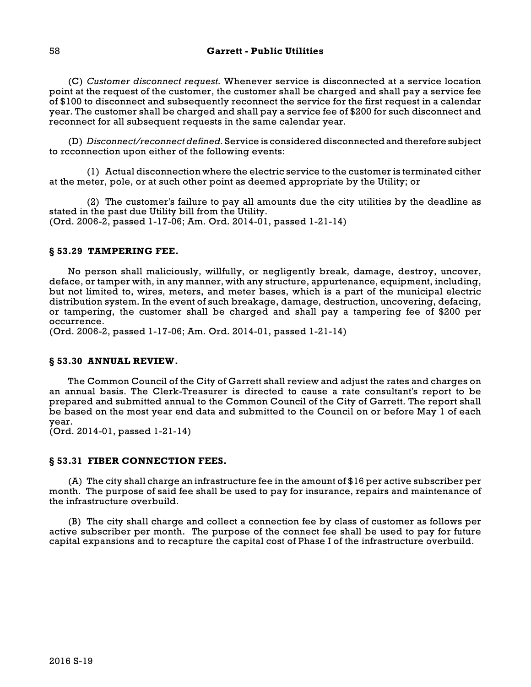(C) *Customer disconnect request.* Whenever service is disconnected at a service location point at the request of the customer, the customer shall be charged and shall pay a service fee of \$100 to disconnect and subsequently reconnect the service for the first request in a calendar year. The customer shall be charged and shall pay a service fee of \$200 for such disconnect and reconnect for all subsequent requests in the same calendar year.

(D) *Disconnect/reconnect defined.* Service is considered disconnected and therefore subject to rcconnection upon either of the following events:

(1) Actual disconnection where the electric service to the customer is terminated cither at the meter, pole, or at such other point as deemed appropriate by the Utility; or

(2) The customer's failure to pay all amounts due the city utilities by the deadline as stated in the past due Utility bill from the Utility. (Ord. 2006-2, passed 1-17-06; Am. Ord. 2014-01, passed 1-21-14)

# **§ 53.29 TAMPERING FEE.**

No person shall maliciously, willfully, or negligently break, damage, destroy, uncover, deface, or tamper with, in any manner, with any structure, appurtenance, equipment, including, but not limited to, wires, meters, and meter bases, which is a part of the municipal electric distribution system. In the event of such breakage, damage, destruction, uncovering, defacing, or tampering, the customer shall be charged and shall pay a tampering fee of \$200 per occurrence.

(Ord. 2006-2, passed 1-17-06; Am. Ord. 2014-01, passed 1-21-14)

#### **§ 53.30 ANNUAL REVIEW.**

The Common Council of the City of Garrett shall review and adjust the rates and charges on an annual basis. The Clerk-Treasurer is directed to cause a rate consultant's report to be prepared and submitted annual to the Common Council of the City of Garrett. The report shall be based on the most year end data and submitted to the Council on or before May 1 of each year.

(Ord. 2014-01, passed 1-21-14)

#### **§ 53.31 FIBER CONNECTION FEES.**

(A) The city shall charge an infrastructure fee in the amount of \$16 per active subscriber per month. The purpose of said fee shall be used to pay for insurance, repairs and maintenance of the infrastructure overbuild.

(B) The city shall charge and collect a connection fee by class of customer as follows per active subscriber per month. The purpose of the connect fee shall be used to pay for future capital expansions and to recapture the capital cost of Phase I of the infrastructure overbuild.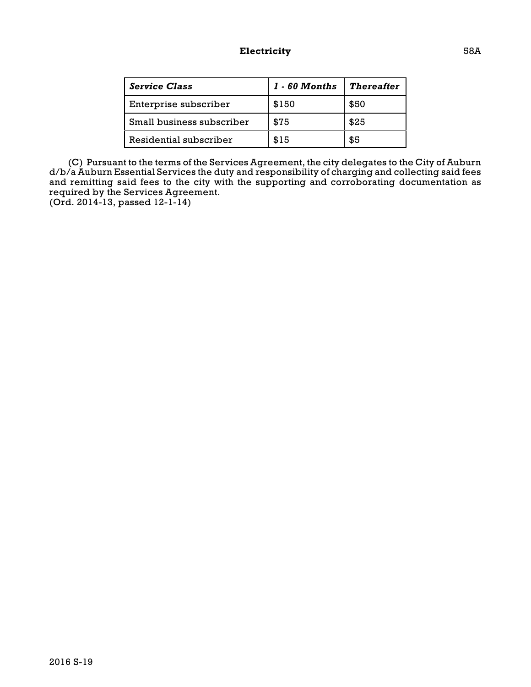| <b>Service Class</b>      | 1 - 60 Months | <b>Thereafter</b> |
|---------------------------|---------------|-------------------|
| Enterprise subscriber     | \$150         | \$50              |
| Small business subscriber | \$75          | \$25              |
| Residential subscriber    | \$15          | \$5               |

(C) Pursuant to the terms of the Services Agreement, the city delegates to the City of Auburn d/b/a Auburn Essential Services the duty and responsibility of charging and collecting said fees and remitting said fees to the city with the supporting and corroborating documentation as required by the Services Agreement.

(Ord. 2014-13, passed 12-1-14)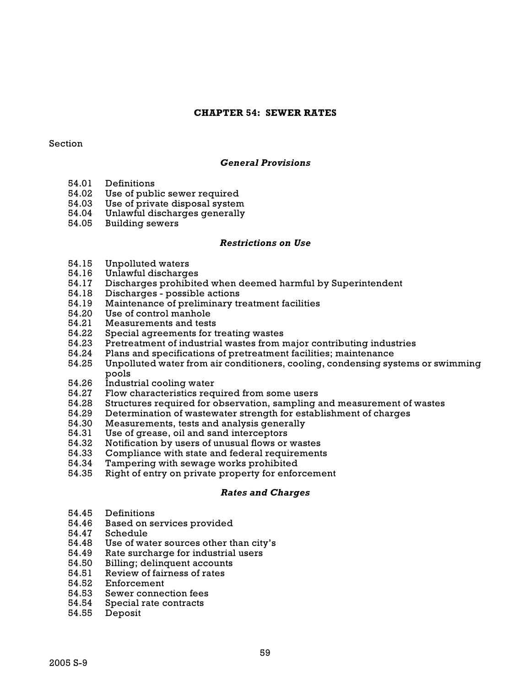## **CHAPTER 54: SEWER RATES**

#### Section

## *General Provisions*

- 54.01 Definitions
- Use of public sewer required
- 54.03 Use of private disposal system
- 54.04 Unlawful discharges generally
- 54.05 Building sewers

#### *Restrictions on Use*

- 54.15 Unpolluted waters
- 54.16 Unlawful discharges
- 54.17 Discharges prohibited when deemed harmful by Superintendent
- 54.18 Discharges possible actions
- 54.19 Maintenance of preliminary treatment facilities
- 54.20 Use of control manhole
- 54.21 Measurements and tests
- Special agreements for treating wastes
- 54.23 Pretreatment of industrial wastes from major contributing industries
- 54.24 Plans and specifications of pretreatment facilities; maintenance
- Unpolluted water from air conditioners, cooling, condensing systems or swimming pools
- 54.26 Industrial cooling water<br>54.27 Flow characteristics reg
- 54.27 Flow characteristics required from some users<br>54.28 Structures required for observation, sampling a
- 54.28 Structures required for observation, sampling and measurement of wastes
- Determination of wastewater strength for establishment of charges
- 54.30 Measurements, tests and analysis generally
- 54.31 Use of grease, oil and sand interceptors
- 54.32 Notification by users of unusual flows or wastes
- 54.33 Compliance with state and federal requirements
- 54.34 Tampering with sewage works prohibited
- Right of entry on private property for enforcement

#### *Rates and Charges*

- 54.45 Definitions
- 54.46 Based on services provided<br>54.47 Schedule
- 54.47 Schedule
- 54.48 Use of water sources other than city's<br>54.49 Rate surcharge for industrial users
- Rate surcharge for industrial users
- 54.50 Billing; delinquent accounts
- 54.51 Review of fairness of rates<br>54.52 Enforcement
- **Enforcement**
- 54.53 Sewer connection fees
- Special rate contracts
- 54.55 Deposit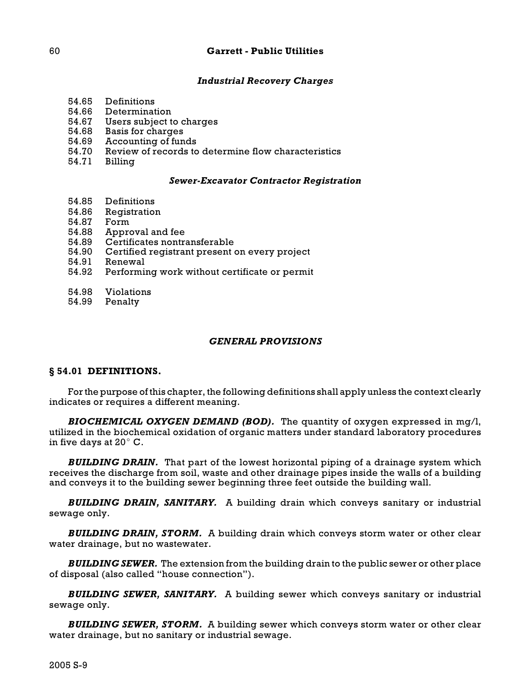## 60 **Garrett - Public Utilities**

#### *Industrial Recovery Charges*

- 54.65 Definitions
- 54.66 Determination
- 54.67 Users subject to charges
- 54.68 Basis for charges
- 54.69 Accounting of funds
- 54.70 Review of records to determine flow characteristics
- 54.71 Billing

## *Sewer-Excavator Contractor Registration*

- 54.85 Definitions
- 54.86 Registration
- 54.87 Form<br>54.88 Appro
- 54.88 Approval and fee
- 54.89 Certificates nontransferable<br>54.90 Certified registrant present
- 54.90 Certified registrant present on every project
- 54.91 Renewal
- Performing work without certificate or permit
- 54.98 Violations
- Penalty

#### *GENERAL PROVISIONS*

## **§ 54.01 DEFINITIONS.**

For the purpose of this chapter, the following definitions shall apply unless the context clearly indicates or requires a different meaning.

*BIOCHEMICAL OXYGEN DEMAND (BOD).* The quantity of oxygen expressed in mg/l, utilized in the biochemical oxidation of organic matters under standard laboratory procedures in five days at  $20^{\circ}$  C.

*BUILDING DRAIN.* That part of the lowest horizontal piping of a drainage system which receives the discharge from soil, waste and other drainage pipes inside the walls of a building and conveys it to the building sewer beginning three feet outside the building wall.

*BUILDING DRAIN, SANITARY.* A building drain which conveys sanitary or industrial sewage only.

*BUILDING DRAIN, STORM.* A building drain which conveys storm water or other clear water drainage, but no wastewater.

*BUILDING SEWER.* The extension from the building drain to the public sewer or other place of disposal (also called "house connection").

*BUILDING SEWER, SANITARY.* A building sewer which conveys sanitary or industrial sewage only.

*BUILDING SEWER, STORM.* A building sewer which conveys storm water or other clear water drainage, but no sanitary or industrial sewage.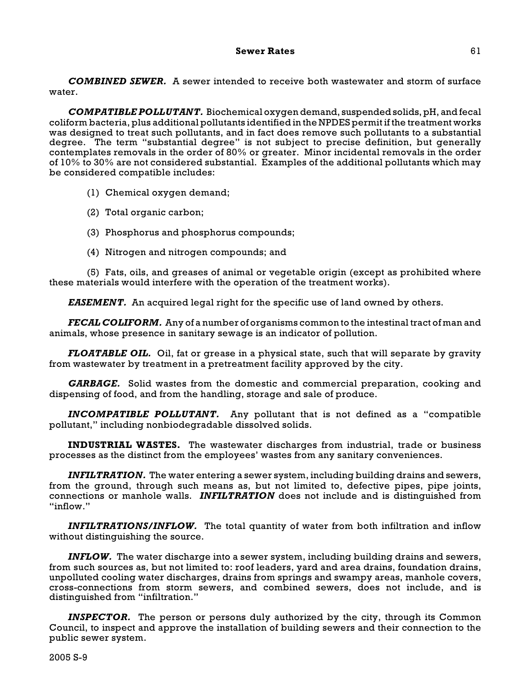## **Sewer Rates** 61

*COMBINED SEWER.* A sewer intended to receive both wastewater and storm of surface water.

*COMPATIBLE POLLUTANT.* Biochemical oxygen demand, suspended solids, pH, and fecal coliform bacteria, plus additional pollutants identified in the NPDES permit if the treatment works was designed to treat such pollutants, and in fact does remove such pollutants to a substantial degree. The term "substantial degree" is not subject to precise definition, but generally contemplates removals in the order of 80% or greater. Minor incidental removals in the order of 10% to 30% are not considered substantial. Examples of the additional pollutants which may be considered compatible includes:

(1) Chemical oxygen demand;

(2) Total organic carbon;

(3) Phosphorus and phosphorus compounds;

(4) Nitrogen and nitrogen compounds; and

(5) Fats, oils, and greases of animal or vegetable origin (except as prohibited where these materials would interfere with the operation of the treatment works).

*EASEMENT.* An acquired legal right for the specific use of land owned by others.

*FECAL COLIFORM.* Any of a number of organisms common to the intestinal tract of man and animals, whose presence in sanitary sewage is an indicator of pollution.

*FLOATABLE OIL.* Oil, fat or grease in a physical state, such that will separate by gravity from wastewater by treatment in a pretreatment facility approved by the city.

*GARBAGE.* Solid wastes from the domestic and commercial preparation, cooking and dispensing of food, and from the handling, storage and sale of produce.

*INCOMPATIBLE POLLUTANT.* Any pollutant that is not defined as a "compatible pollutant," including nonbiodegradable dissolved solids.

**INDUSTRIAL WASTES.**The wastewater discharges from industrial, trade or business processes as the distinct from the employees' wastes from any sanitary conveniences.

*INFILTRATION.* The water entering a sewer system, including building drains and sewers, from the ground, through such means as, but not limited to, defective pipes, pipe joints, connections or manhole walls. *INFILTRATION* does not include and is distinguished from "inflow."

*INFILTRATIONS/INFLOW.* The total quantity of water from both infiltration and inflow without distinguishing the source.

*INFLOW.* The water discharge into a sewer system, including building drains and sewers, from such sources as, but not limited to: roof leaders, yard and area drains, foundation drains, unpolluted cooling water discharges, drains from springs and swampy areas, manhole covers, cross-connections from storm sewers, and combined sewers, does not include, and is distinguished from "infiltration."

**INSPECTOR.** The person or persons duly authorized by the city, through its Common Council, to inspect and approve the installation of building sewers and their connection to the public sewer system.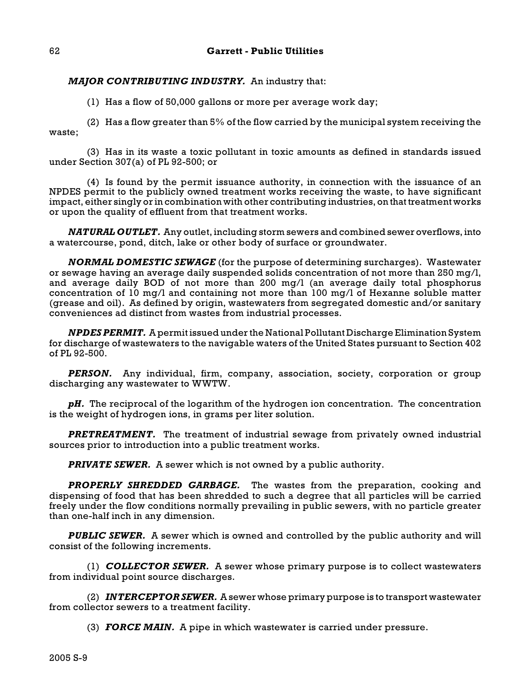# *MAJOR CONTRIBUTING INDUSTRY.* An industry that:

(1) Has a flow of 50,000 gallons or more per average work day;

(2) Has a flow greater than 5% of the flow carried by the municipal system receiving the waste;

(3) Has in its waste a toxic pollutant in toxic amounts as defined in standards issued under Section 307(a) of PL 92-500; or

(4) Is found by the permit issuance authority, in connection with the issuance of an NPDES permit to the publicly owned treatment works receiving the waste, to have significant impact, either singly or in combination with other contributing industries, on that treatment works or upon the quality of effluent from that treatment works.

*NATURAL OUTLET.* Any outlet, including storm sewers and combined sewer overflows, into a watercourse, pond, ditch, lake or other body of surface or groundwater.

*NORMAL DOMESTIC SEWAGE* (for the purpose of determining surcharges). Wastewater or sewage having an average daily suspended solids concentration of not more than 250 mg/l, and average daily BOD of not more than 200 mg/l (an average daily total phosphorus concentration of 10 mg/l and containing not more than 100 mg/l of Hexanne soluble matter (grease and oil). As defined by origin, wastewaters from segregated domestic and/or sanitary conveniences ad distinct from wastes from industrial processes.

*NPDES PERMIT.* A permit issued under the National Pollutant Discharge Elimination System for discharge of wastewaters to the navigable waters of the United States pursuant to Section 402 of PL 92-500.

*PERSON.* Any individual, firm, company, association, society, corporation or group discharging any wastewater to WWTW.

*pH.* The reciprocal of the logarithm of the hydrogen ion concentration. The concentration is the weight of hydrogen ions, in grams per liter solution.

**PRETREATMENT.** The treatment of industrial sewage from privately owned industrial sources prior to introduction into a public treatment works.

*PRIVATE SEWER.* A sewer which is not owned by a public authority.

*PROPERLY SHREDDED GARBAGE.* The wastes from the preparation, cooking and dispensing of food that has been shredded to such a degree that all particles will be carried freely under the flow conditions normally prevailing in public sewers, with no particle greater than one-half inch in any dimension.

**PUBLIC SEWER.** A sewer which is owned and controlled by the public authority and will consist of the following increments.

(1) *COLLECTOR SEWER.* A sewer whose primary purpose is to collect wastewaters from individual point source discharges.

(2) *INTERCEPTOR SEWER.* A sewer whose primary purpose is to transport wastewater from collector sewers to a treatment facility.

(3) *FORCE MAIN.* A pipe in which wastewater is carried under pressure.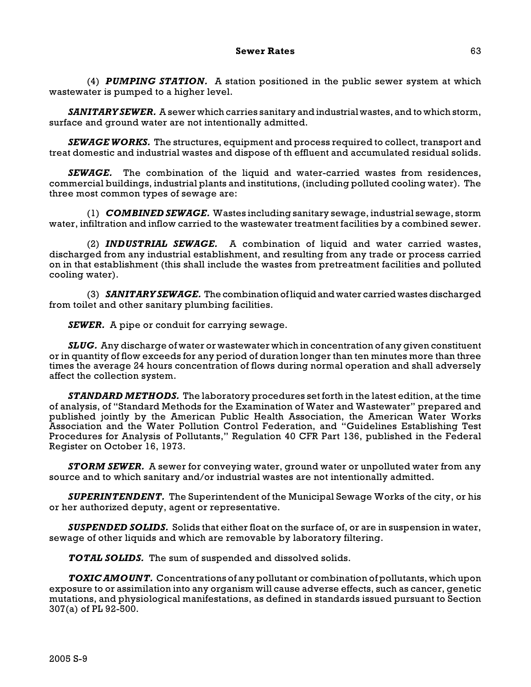#### **Sewer Rates** 63

(4) *PUMPING STATION.* A station positioned in the public sewer system at which wastewater is pumped to a higher level.

*SANITARY SEWER.* A sewer which carries sanitary and industrial wastes, and to which storm, surface and ground water are not intentionally admitted.

*SEWAGE WORKS.* The structures, equipment and process required to collect, transport and treat domestic and industrial wastes and dispose of th effluent and accumulated residual solids.

*SEWAGE.* The combination of the liquid and water-carried wastes from residences, commercial buildings, industrial plants and institutions, (including polluted cooling water). The three most common types of sewage are:

(1) *COMBINED SEWAGE.* Wastes including sanitary sewage, industrial sewage, storm water, infiltration and inflow carried to the wastewater treatment facilities by a combined sewer.

(2) *INDUSTRIAL SEWAGE.* A combination of liquid and water carried wastes, discharged from any industrial establishment, and resulting from any trade or process carried on in that establishment (this shall include the wastes from pretreatment facilities and polluted cooling water).

(3) *SANITARY SEWAGE.* The combination of liquid and water carried wastes discharged from toilet and other sanitary plumbing facilities.

*SEWER.* A pipe or conduit for carrying sewage.

*SLUG.* Any discharge of water or wastewater which in concentration of any given constituent or in quantity of flow exceeds for any period of duration longer than ten minutes more than three times the average 24 hours concentration of flows during normal operation and shall adversely affect the collection system.

*STANDARD METHODS.* The laboratory procedures set forth in the latest edition, at the time of analysis, of "Standard Methods for the Examination of Water and Wastewater" prepared and published jointly by the American Public Health Association, the American Water Works Association and the Water Pollution Control Federation, and "Guidelines Establishing Test Procedures for Analysis of Pollutants," Regulation 40 CFR Part 136, published in the Federal Register on October 16, 1973.

*STORM SEWER.* A sewer for conveying water, ground water or unpolluted water from any source and to which sanitary and/or industrial wastes are not intentionally admitted.

*SUPERINTENDENT.* The Superintendent of the Municipal Sewage Works of the city, or his or her authorized deputy, agent or representative.

*SUSPENDED SOLIDS.* Solids that either float on the surface of, or are in suspension in water, sewage of other liquids and which are removable by laboratory filtering.

*TOTAL SOLIDS.* The sum of suspended and dissolved solids.

*TOXIC AMOUNT.* Concentrations of any pollutant or combination of pollutants, which upon exposure to or assimilation into any organism will cause adverse effects, such as cancer, genetic mutations, and physiological manifestations, as defined in standards issued pursuant to Section 307(a) of PL 92-500.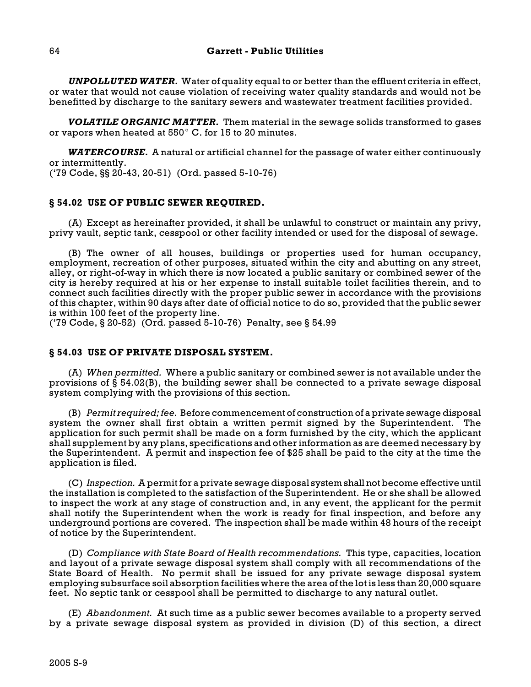*UNPOLLUTED WATER.* Water of quality equal to or better than the effluent criteria in effect, or water that would not cause violation of receiving water quality standards and would not be benefitted by discharge to the sanitary sewers and wastewater treatment facilities provided.

*VOLATILE ORGANIC MATTER.* Them material in the sewage solids transformed to gases or vapors when heated at  $550^{\circ}$  C. for 15 to 20 minutes.

*WATERCOURSE.* A natural or artificial channel for the passage of water either continuously or intermittently. ('79 Code, §§ 20-43, 20-51) (Ord. passed 5-10-76)

## **§ 54.02 USE OF PUBLIC SEWER REQUIRED.**

(A) Except as hereinafter provided, it shall be unlawful to construct or maintain any privy, privy vault, septic tank, cesspool or other facility intended or used for the disposal of sewage.

(B) The owner of all houses, buildings or properties used for human occupancy, employment, recreation of other purposes, situated within the city and abutting on any street, alley, or right-of-way in which there is now located a public sanitary or combined sewer of the city is hereby required at his or her expense to install suitable toilet facilities therein, and to connect such facilities directly with the proper public sewer in accordance with the provisions of this chapter, within 90 days after date of official notice to do so, provided that the public sewer is within 100 feet of the property line.

('79 Code, § 20-52) (Ord. passed 5-10-76) Penalty, see § 54.99

#### **§ 54.03 USE OF PRIVATE DISPOSAL SYSTEM.**

(A) *When permitted.* Where a public sanitary or combined sewer is not available under the provisions of § 54.02(B), the building sewer shall be connected to a private sewage disposal system complying with the provisions of this section.

(B) *Permit required; fee.* Before commencement of construction of a private sewage disposal system the owner shall first obtain a written permit signed by the Superintendent. The application for such permit shall be made on a form furnished by the city, which the applicant shall supplement by any plans, specifications and other information as are deemed necessary by the Superintendent. A permit and inspection fee of \$25 shall be paid to the city at the time the application is filed.

(C) *Inspection.* A permit for a private sewage disposal system shall not become effective until the installation is completed to the satisfaction of the Superintendent. He or she shall be allowed to inspect the work at any stage of construction and, in any event, the applicant for the permit shall notify the Superintendent when the work is ready for final inspection, and before any underground portions are covered. The inspection shall be made within 48 hours of the receipt of notice by the Superintendent.

(D) *Compliance with State Board of Health recommendations.* This type, capacities, location and layout of a private sewage disposal system shall comply with all recommendations of the State Board of Health. No permit shall be issued for any private sewage disposal system employing subsurface soil absorption facilities where the area of the lot is less than 20,000 square feet. No septic tank or cesspool shall be permitted to discharge to any natural outlet.

(E) *Abandonment.* At such time as a public sewer becomes available to a property served by a private sewage disposal system as provided in division (D) of this section, a direct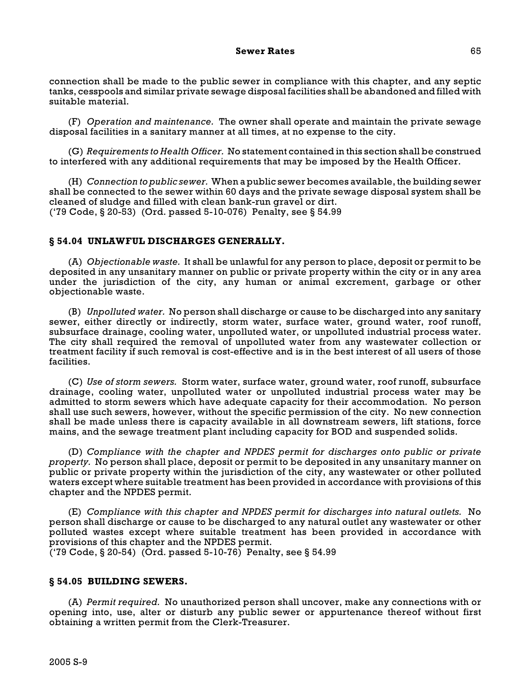connection shall be made to the public sewer in compliance with this chapter, and any septic tanks, cesspools and similar private sewage disposal facilities shall be abandoned and filled with suitable material.

(F) *Operation and maintenance.* The owner shall operate and maintain the private sewage disposal facilities in a sanitary manner at all times, at no expense to the city.

(G) *Requirements to Health Officer.* No statement contained in this section shall be construed to interfered with any additional requirements that may be imposed by the Health Officer.

(H) *Connection to public sewer.* When a public sewer becomes available, the building sewer shall be connected to the sewer within 60 days and the private sewage disposal system shall be cleaned of sludge and filled with clean bank-run gravel or dirt. ('79 Code, § 20-53) (Ord. passed 5-10-076) Penalty, see § 54.99

#### **§ 54.04 UNLAWFUL DISCHARGES GENERALLY.**

(A) *Objectionable waste.* It shall be unlawful for any person to place, deposit or permit to be deposited in any unsanitary manner on public or private property within the city or in any area under the jurisdiction of the city, any human or animal excrement, garbage or other objectionable waste.

(B) *Unpolluted water.* No person shall discharge or cause to be discharged into any sanitary sewer, either directly or indirectly, storm water, surface water, ground water, roof runoff, subsurface drainage, cooling water, unpolluted water, or unpolluted industrial process water. The city shall required the removal of unpolluted water from any wastewater collection or treatment facility if such removal is cost-effective and is in the best interest of all users of those facilities.

(C) *Use of storm sewers.* Storm water, surface water, ground water, roof runoff, subsurface drainage, cooling water, unpolluted water or unpolluted industrial process water may be admitted to storm sewers which have adequate capacity for their accommodation. No person shall use such sewers, however, without the specific permission of the city. No new connection shall be made unless there is capacity available in all downstream sewers, lift stations, force mains, and the sewage treatment plant including capacity for BOD and suspended solids.

(D) *Compliance with the chapter and NPDES permit for discharges onto public or private property.* No person shall place, deposit or permit to be deposited in any unsanitary manner on public or private property within the jurisdiction of the city, any wastewater or other polluted waters except where suitable treatment has been provided in accordance with provisions of this chapter and the NPDES permit.

(E) *Compliance with this chapter and NPDES permit for discharges into natural outlets.* No person shall discharge or cause to be discharged to any natural outlet any wastewater or other polluted wastes except where suitable treatment has been provided in accordance with provisions of this chapter and the NPDES permit.

('79 Code, § 20-54) (Ord. passed 5-10-76) Penalty, see § 54.99

#### **§ 54.05 BUILDING SEWERS.**

(A) *Permit required.* No unauthorized person shall uncover, make any connections with or opening into, use, alter or disturb any public sewer or appurtenance thereof without first obtaining a written permit from the Clerk-Treasurer.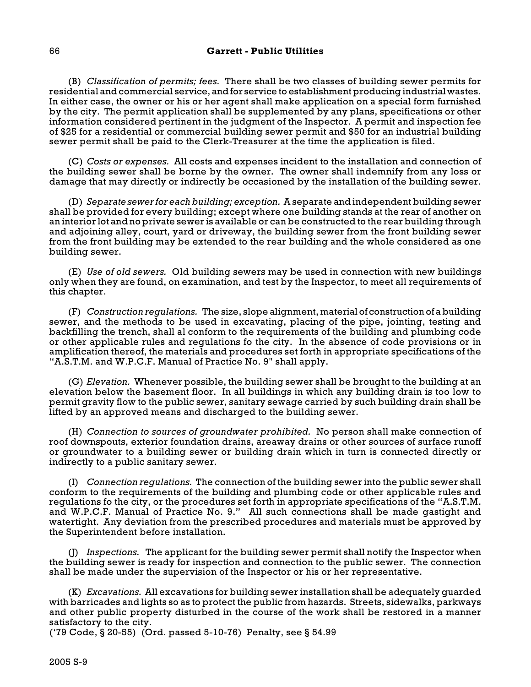(B) *Classification of permits; fees.* There shall be two classes of building sewer permits for residential and commercial service, and for service to establishment producing industrial wastes. In either case, the owner or his or her agent shall make application on a special form furnished by the city. The permit application shall be supplemented by any plans, specifications or other information considered pertinent in the judgment of the Inspector. A permit and inspection fee of \$25 for a residential or commercial building sewer permit and \$50 for an industrial building sewer permit shall be paid to the Clerk-Treasurer at the time the application is filed.

(C) *Costs or expenses.* All costs and expenses incident to the installation and connection of the building sewer shall be borne by the owner. The owner shall indemnify from any loss or damage that may directly or indirectly be occasioned by the installation of the building sewer.

(D) *Separate sewer for each building; exception.* A separate and independent building sewer shall be provided for every building; except where one building stands at the rear of another on an interior lot and no private sewer is available or can be constructed to the rear building through and adjoining alley, court, yard or driveway, the building sewer from the front building sewer from the front building may be extended to the rear building and the whole considered as one building sewer.

(E) *Use of old sewers.* Old building sewers may be used in connection with new buildings only when they are found, on examination, and test by the Inspector, to meet all requirements of this chapter.

(F) *Construction regulations.* The size, slope alignment, material of construction of a building sewer, and the methods to be used in excavating, placing of the pipe, jointing, testing and backfilling the trench, shall al conform to the requirements of the building and plumbing code or other applicable rules and regulations fo the city. In the absence of code provisions or in amplification thereof, the materials and procedures set forth in appropriate specifications of the "A.S.T.M. and W.P.C.F. Manual of Practice No. 9" shall apply.

(G) *Elevation.* Whenever possible, the building sewer shall be brought to the building at an elevation below the basement floor. In all buildings in which any building drain is too low to permit gravity flow to the public sewer, sanitary sewage carried by such building drain shall be lifted by an approved means and discharged to the building sewer.

(H) *Connection to sources of groundwater prohibited.* No person shall make connection of roof downspouts, exterior foundation drains, areaway drains or other sources of surface runoff or groundwater to a building sewer or building drain which in turn is connected directly or indirectly to a public sanitary sewer.

(I) *Connection regulations.* The connection of the building sewer into the public sewer shall conform to the requirements of the building and plumbing code or other applicable rules and regulations fo the city, or the procedures set forth in appropriate specifications of the "A.S.T.M. and W.P.C.F. Manual of Practice No. 9." All such connections shall be made gastight and watertight. Any deviation from the prescribed procedures and materials must be approved by the Superintendent before installation.

(J) *Inspections.* The applicant for the building sewer permit shall notify the Inspector when the building sewer is ready for inspection and connection to the public sewer. The connection shall be made under the supervision of the Inspector or his or her representative.

(K) *Excavations.* All excavations for building sewer installation shall be adequately guarded with barricades and lights so as to protect the public from hazards. Streets, sidewalks, parkways and other public property disturbed in the course of the work shall be restored in a manner satisfactory to the city.

('79 Code, § 20-55) (Ord. passed 5-10-76) Penalty, see § 54.99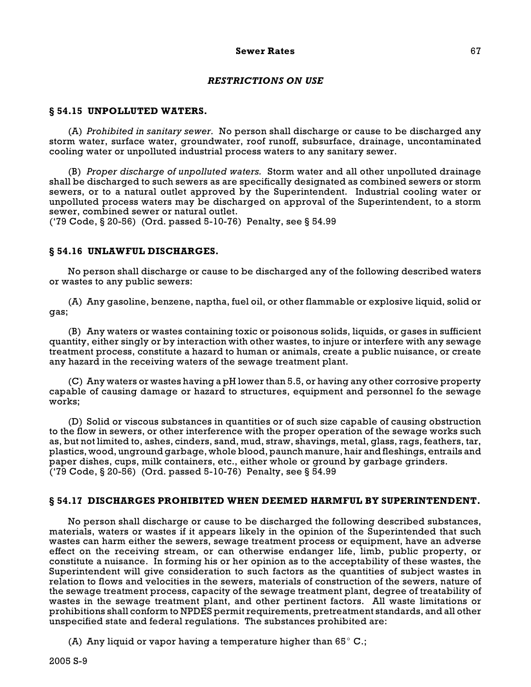## *RESTRICTIONS ON USE*

#### **§ 54.15 UNPOLLUTED WATERS.**

(A) *Prohibited in sanitary sewer.* No person shall discharge or cause to be discharged any storm water, surface water, groundwater, roof runoff, subsurface, drainage, uncontaminated cooling water or unpolluted industrial process waters to any sanitary sewer.

(B) *Proper discharge of unpolluted waters.* Storm water and all other unpolluted drainage shall be discharged to such sewers as are specifically designated as combined sewers or storm sewers, or to a natural outlet approved by the Superintendent. Industrial cooling water or unpolluted process waters may be discharged on approval of the Superintendent, to a storm sewer, combined sewer or natural outlet.

('79 Code, § 20-56) (Ord. passed 5-10-76) Penalty, see § 54.99

#### **§ 54.16 UNLAWFUL DISCHARGES.**

No person shall discharge or cause to be discharged any of the following described waters or wastes to any public sewers:

(A) Any gasoline, benzene, naptha, fuel oil, or other flammable or explosive liquid, solid or gas;

(B) Any waters or wastes containing toxic or poisonous solids, liquids, or gases in sufficient quantity, either singly or by interaction with other wastes, to injure or interfere with any sewage treatment process, constitute a hazard to human or animals, create a public nuisance, or create any hazard in the receiving waters of the sewage treatment plant.

(C) Any waters or wastes having a pH lower than 5.5, or having any other corrosive property capable of causing damage or hazard to structures, equipment and personnel fo the sewage works;

(D) Solid or viscous substances in quantities or of such size capable of causing obstruction to the flow in sewers, or other interference with the proper operation of the sewage works such as, but not limited to, ashes, cinders, sand, mud, straw, shavings, metal, glass, rags, feathers, tar, plastics, wood, unground garbage, whole blood, paunch manure, hair and fleshings, entrails and paper dishes, cups, milk containers, etc., either whole or ground by garbage grinders. ('79 Code, § 20-56) (Ord. passed 5-10-76) Penalty, see § 54.99

#### **§ 54.17 DISCHARGES PROHIBITED WHEN DEEMED HARMFUL BY SUPERINTENDENT.**

No person shall discharge or cause to be discharged the following described substances, materials, waters or wastes if it appears likely in the opinion of the Superintended that such wastes can harm either the sewers, sewage treatment process or equipment, have an adverse effect on the receiving stream, or can otherwise endanger life, limb, public property, or constitute a nuisance. In forming his or her opinion as to the acceptability of these wastes, the Superintendent will give consideration to such factors as the quantities of subject wastes in relation to flows and velocities in the sewers, materials of construction of the sewers, nature of the sewage treatment process, capacity of the sewage treatment plant, degree of treatability of wastes in the sewage treatment plant, and other pertinent factors. All waste limitations or prohibitions shall conform to NPDES permit requirements, pretreatment standards, and all other unspecified state and federal regulations. The substances prohibited are:

(A) Any liquid or vapor having a temperature higher than  $65^{\circ}$  C.;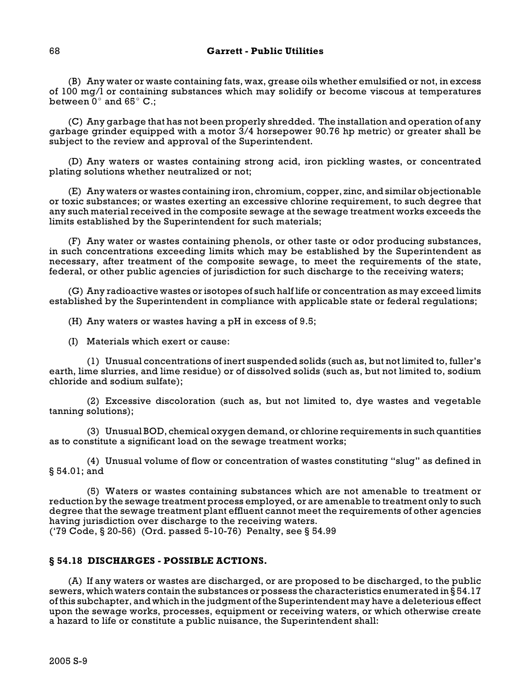(B) Any water or waste containing fats, wax, grease oils whether emulsified or not, in excess of 100 mg/l or containing substances which may solidify or become viscous at temperatures between  $0^{\circ}$  and 65 $^{\circ}$  C.:

(C) Any garbage that has not been properly shredded. The installation and operation of any garbage grinder equipped with a motor 3/4 horsepower 90.76 hp metric) or greater shall be subject to the review and approval of the Superintendent.

(D) Any waters or wastes containing strong acid, iron pickling wastes, or concentrated plating solutions whether neutralized or not;

(E) Any waters or wastes containing iron, chromium, copper, zinc, and similar objectionable or toxic substances; or wastes exerting an excessive chlorine requirement, to such degree that any such material received in the composite sewage at the sewage treatment works exceeds the limits established by the Superintendent for such materials;

(F) Any water or wastes containing phenols, or other taste or odor producing substances, in such concentrations exceeding limits which may be established by the Superintendent as necessary, after treatment of the composite sewage, to meet the requirements of the state, federal, or other public agencies of jurisdiction for such discharge to the receiving waters;

(G) Any radioactive wastes or isotopes of such half life or concentration as may exceed limits established by the Superintendent in compliance with applicable state or federal regulations;

(H) Any waters or wastes having a pH in excess of 9.5;

(I) Materials which exert or cause:

(1) Unusual concentrations of inert suspended solids (such as, but not limited to, fuller's earth, lime slurries, and lime residue) or of dissolved solids (such as, but not limited to, sodium chloride and sodium sulfate);

(2) Excessive discoloration (such as, but not limited to, dye wastes and vegetable tanning solutions);

(3) Unusual BOD, chemical oxygen demand, or chlorine requirements in such quantities as to constitute a significant load on the sewage treatment works;

(4) Unusual volume of flow or concentration of wastes constituting "slug" as defined in § 54.01; and

(5) Waters or wastes containing substances which are not amenable to treatment or reduction by the sewage treatment process employed, or are amenable to treatment only to such degree that the sewage treatment plant effluent cannot meet the requirements of other agencies having jurisdiction over discharge to the receiving waters.

('79 Code, § 20-56) (Ord. passed 5-10-76) Penalty, see § 54.99

# **§ 54.18 DISCHARGES - POSSIBLE ACTIONS.**

(A) If any waters or wastes are discharged, or are proposed to be discharged, to the public sewers, which waters contain the substances or possess the characteristics enumerated in  $\S 54.17$ of this subchapter, and which in the judgment of the Superintendent may have a deleterious effect upon the sewage works, processes, equipment or receiving waters, or which otherwise create a hazard to life or constitute a public nuisance, the Superintendent shall: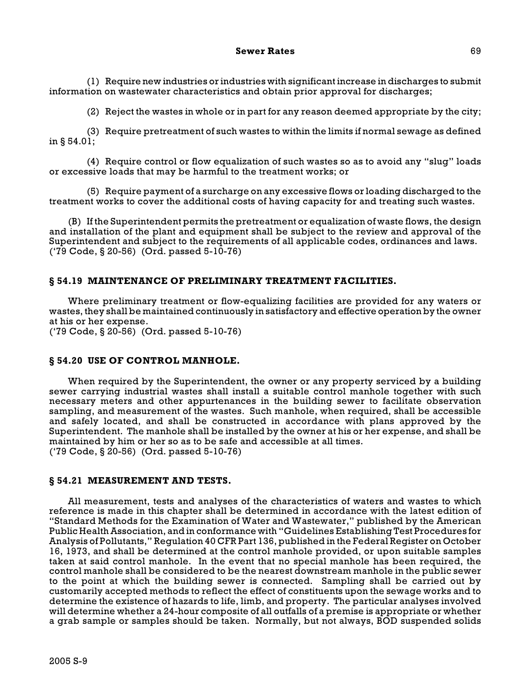#### **Sewer Rates** 69

(1) Require new industries or industries with significant increase in discharges to submit information on wastewater characteristics and obtain prior approval for discharges;

(2) Reject the wastes in whole or in part for any reason deemed appropriate by the city;

(3) Require pretreatment of such wastes to within the limits if normal sewage as defined in § 54.01;

(4) Require control or flow equalization of such wastes so as to avoid any "slug" loads or excessive loads that may be harmful to the treatment works; or

(5) Require payment of a surcharge on any excessive flows or loading discharged to the treatment works to cover the additional costs of having capacity for and treating such wastes.

(B) If the Superintendent permits the pretreatment or equalization of waste flows, the design and installation of the plant and equipment shall be subject to the review and approval of the Superintendent and subject to the requirements of all applicable codes, ordinances and laws. ('79 Code, § 20-56) (Ord. passed 5-10-76)

#### **§ 54.19 MAINTENANCE OF PRELIMINARY TREATMENT FACILITIES.**

Where preliminary treatment or flow-equalizing facilities are provided for any waters or wastes, they shall be maintained continuously in satisfactory and effective operation by the owner at his or her expense.

('79 Code, § 20-56) (Ord. passed 5-10-76)

#### **§ 54.20 USE OF CONTROL MANHOLE.**

When required by the Superintendent, the owner or any property serviced by a building sewer carrying industrial wastes shall install a suitable control manhole together with such necessary meters and other appurtenances in the building sewer to facilitate observation sampling, and measurement of the wastes. Such manhole, when required, shall be accessible and safely located, and shall be constructed in accordance with plans approved by the Superintendent. The manhole shall be installed by the owner at his or her expense, and shall be maintained by him or her so as to be safe and accessible at all times. ('79 Code, § 20-56) (Ord. passed 5-10-76)

#### **§ 54.21 MEASUREMENT AND TESTS.**

All measurement, tests and analyses of the characteristics of waters and wastes to which reference is made in this chapter shall be determined in accordance with the latest edition of "Standard Methods for the Examination of Water and Wastewater," published by the American Public Health Association, and in conformance with "Guidelines Establishing Test Procedures for Analysis of Pollutants," Regulation 40 CFR Part 136, published in the Federal Register on October 16, 1973, and shall be determined at the control manhole provided, or upon suitable samples taken at said control manhole. In the event that no special manhole has been required, the control manhole shall be considered to be the nearest downstream manhole in the public sewer to the point at which the building sewer is connected. Sampling shall be carried out by customarily accepted methods to reflect the effect of constituents upon the sewage works and to determine the existence of hazards to life, limb, and property. The particular analyses involved will determine whether a 24-hour composite of all outfalls of a premise is appropriate or whether a grab sample or samples should be taken. Normally, but not always, BOD suspended solids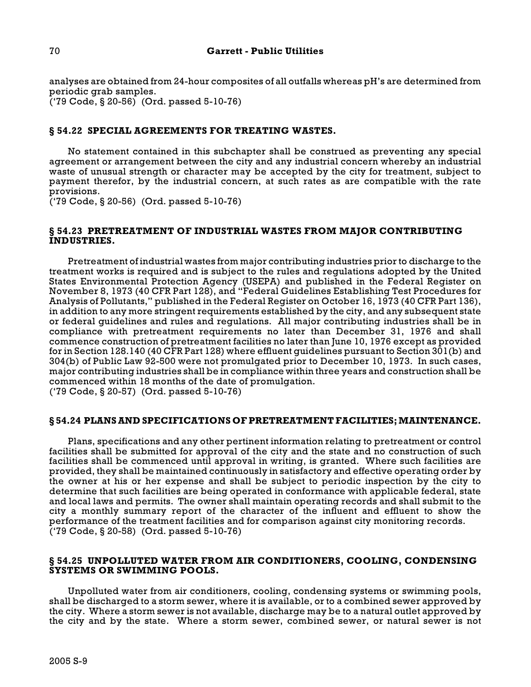analyses are obtained from 24-hour composites of all outfalls whereas pH's are determined from periodic grab samples.  $(179 \text{ Code}, \S 20-56)$  (Ord. passed 5-10-76)

#### **§ 54.22 SPECIAL AGREEMENTS FOR TREATING WASTES.**

No statement contained in this subchapter shall be construed as preventing any special agreement or arrangement between the city and any industrial concern whereby an industrial waste of unusual strength or character may be accepted by the city for treatment, subject to payment therefor, by the industrial concern, at such rates as are compatible with the rate provisions.

('79 Code, § 20-56) (Ord. passed 5-10-76)

#### **§ 54.23 PRETREATMENT OF INDUSTRIAL WASTES FROM MAJOR CONTRIBUTING INDUSTRIES.**

Pretreatment of industrial wastes from major contributing industries prior to discharge to the treatment works is required and is subject to the rules and regulations adopted by the United States Environmental Protection Agency (USEPA) and published in the Federal Register on November 8, 1973 (40 CFR Part 128), and "Federal Guidelines Establishing Test Procedures for Analysis of Pollutants," published in the Federal Register on October 16, 1973 (40 CFR Part 136), in addition to any more stringent requirements established by the city, and any subsequent state or federal guidelines and rules and regulations. All major contributing industries shall be in compliance with pretreatment requirements no later than December 31, 1976 and shall commence construction of pretreatment facilities no later than June 10, 1976 except as provided for in Section 128.140 (40 CFR Part 128) where effluent guidelines pursuant to Section 301(b) and 304(b) of Public Law 92-500 were not promulgated prior to December 10, 1973. In such cases, major contributing industries shall be in compliance within three years and construction shall be commenced within 18 months of the date of promulgation.

('79 Code, § 20-57) (Ord. passed 5-10-76)

#### **§ 54.24 PLANS AND SPECIFICATIONS OF PRETREATMENT FACILITIES; MAINTENANCE.**

Plans, specifications and any other pertinent information relating to pretreatment or control facilities shall be submitted for approval of the city and the state and no construction of such facilities shall be commenced until approval in writing, is granted. Where such facilities are provided, they shall be maintained continuously in satisfactory and effective operating order by the owner at his or her expense and shall be subject to periodic inspection by the city to determine that such facilities are being operated in conformance with applicable federal, state and local laws and permits. The owner shall maintain operating records and shall submit to the city a monthly summary report of the character of the influent and effluent to show the performance of the treatment facilities and for comparison against city monitoring records. ('79 Code, § 20-58) (Ord. passed 5-10-76)

#### **§ 54.25 UNPOLLUTED WATER FROM AIR CONDITIONERS, COOLING, CONDENSING SYSTEMS OR SWIMMING POOLS.**

Unpolluted water from air conditioners, cooling, condensing systems or swimming pools, shall be discharged to a storm sewer, where it is available, or to a combined sewer approved by the city. Where a storm sewer is not available, discharge may be to a natural outlet approved by the city and by the state. Where a storm sewer, combined sewer, or natural sewer is not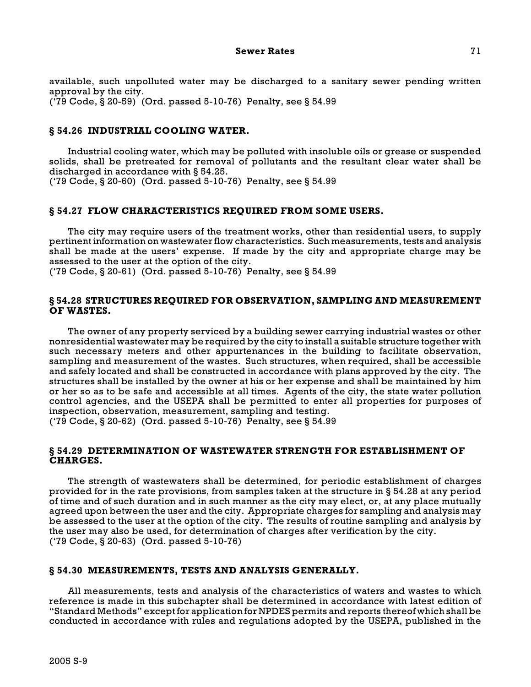available, such unpolluted water may be discharged to a sanitary sewer pending written approval by the city. ('79 Code, § 20-59) (Ord. passed 5-10-76) Penalty, see § 54.99

#### **§ 54.26 INDUSTRIAL COOLING WATER.**

Industrial cooling water, which may be polluted with insoluble oils or grease or suspended solids, shall be pretreated for removal of pollutants and the resultant clear water shall be discharged in accordance with § 54.25.

('79 Code, § 20-60) (Ord. passed 5-10-76) Penalty, see § 54.99

#### **§ 54.27 FLOW CHARACTERISTICS REQUIRED FROM SOME USERS.**

The city may require users of the treatment works, other than residential users, to supply pertinent information on wastewater flow characteristics. Such measurements, tests and analysis shall be made at the users' expense. If made by the city and appropriate charge may be assessed to the user at the option of the city.

('79 Code, § 20-61) (Ord. passed 5-10-76) Penalty, see § 54.99

#### **§ 54.28 STRUCTURES REQUIRED FOR OBSERVATION, SAMPLING AND MEASUREMENT OF WASTES.**

The owner of any property serviced by a building sewer carrying industrial wastes or other nonresidential wastewater may be required by the city to install a suitable structure together with such necessary meters and other appurtenances in the building to facilitate observation, sampling and measurement of the wastes. Such structures, when required, shall be accessible and safely located and shall be constructed in accordance with plans approved by the city. The structures shall be installed by the owner at his or her expense and shall be maintained by him or her so as to be safe and accessible at all times. Agents of the city, the state water pollution control agencies, and the USEPA shall be permitted to enter all properties for purposes of inspection, observation, measurement, sampling and testing.

('79 Code, § 20-62) (Ord. passed 5-10-76) Penalty, see § 54.99

#### **§ 54.29 DETERMINATION OF WASTEWATER STRENGTH FOR ESTABLISHMENT OF CHARGES.**

The strength of wastewaters shall be determined, for periodic establishment of charges provided for in the rate provisions, from samples taken at the structure in § 54.28 at any period of time and of such duration and in such manner as the city may elect, or, at any place mutually agreed upon between the user and the city. Appropriate charges for sampling and analysis may be assessed to the user at the option of the city. The results of routine sampling and analysis by the user may also be used, for determination of charges after verification by the city. ('79 Code, § 20-63) (Ord. passed 5-10-76)

#### **§ 54.30 MEASUREMENTS, TESTS AND ANALYSIS GENERALLY.**

All measurements, tests and analysis of the characteristics of waters and wastes to which reference is made in this subchapter shall be determined in accordance with latest edition of "Standard Methods" except for application for NPDES permits and reports thereof which shall be conducted in accordance with rules and regulations adopted by the USEPA, published in the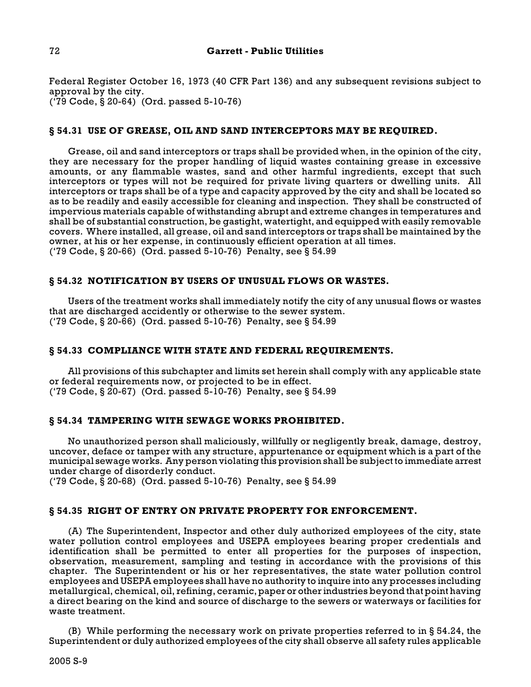Federal Register October 16, 1973 (40 CFR Part 136) and any subsequent revisions subject to approval by the city. ('79 Code, § 20-64) (Ord. passed 5-10-76)

# **§ 54.31 USE OF GREASE, OIL AND SAND INTERCEPTORS MAY BE REQUIRED.**

Grease, oil and sand interceptors or traps shall be provided when, in the opinion of the city, they are necessary for the proper handling of liquid wastes containing grease in excessive amounts, or any flammable wastes, sand and other harmful ingredients, except that such interceptors or types will not be required for private living quarters or dwelling units. All interceptors or traps shall be of a type and capacity approved by the city and shall be located so as to be readily and easily accessible for cleaning and inspection. They shall be constructed of impervious materials capable of withstanding abrupt and extreme changes in temperatures and shall be of substantial construction, be gastight, watertight, and equipped with easily removable covers. Where installed, all grease, oil and sand interceptors or traps shall be maintained by the owner, at his or her expense, in continuously efficient operation at all times. ('79 Code, § 20-66) (Ord. passed 5-10-76) Penalty, see § 54.99

# **§ 54.32 NOTIFICATION BY USERS OF UNUSUAL FLOWS OR WASTES.**

Users of the treatment works shall immediately notify the city of any unusual flows or wastes that are discharged accidently or otherwise to the sewer system. ('79 Code, § 20-66) (Ord. passed 5-10-76) Penalty, see § 54.99

# **§ 54.33 COMPLIANCE WITH STATE AND FEDERAL REQUIREMENTS.**

All provisions of this subchapter and limits set herein shall comply with any applicable state or federal requirements now, or projected to be in effect. ('79 Code, § 20-67) (Ord. passed 5-10-76) Penalty, see § 54.99

# **§ 54.34 TAMPERING WITH SEWAGE WORKS PROHIBITED.**

No unauthorized person shall maliciously, willfully or negligently break, damage, destroy, uncover, deface or tamper with any structure, appurtenance or equipment which is a part of the municipal sewage works. Any person violating this provision shall be subject to immediate arrest under charge of disorderly conduct.

('79 Code, § 20-68) (Ord. passed 5-10-76) Penalty, see § 54.99

# **§ 54.35 RIGHT OF ENTRY ON PRIVATE PROPERTY FOR ENFORCEMENT.**

(A) The Superintendent, Inspector and other duly authorized employees of the city, state water pollution control employees and USEPA employees bearing proper credentials and identification shall be permitted to enter all properties for the purposes of inspection, observation, measurement, sampling and testing in accordance with the provisions of this chapter. The Superintendent or his or her representatives, the state water pollution control employees and USEPA employees shall have no authority to inquire into any processes including metallurgical, chemical, oil, refining, ceramic, paper or other industries beyond that point having a direct bearing on the kind and source of discharge to the sewers or waterways or facilities for waste treatment.

(B) While performing the necessary work on private properties referred to in § 54.24, the Superintendent or duly authorized employees of the city shall observe all safety rules applicable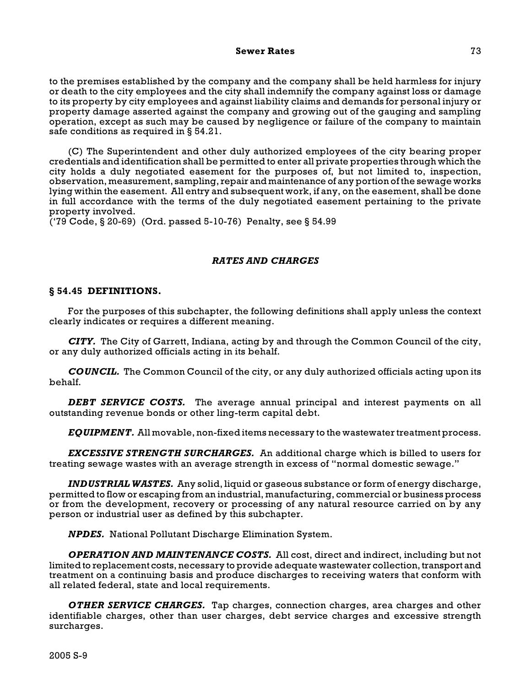#### **Sewer Rates** 73

to the premises established by the company and the company shall be held harmless for injury or death to the city employees and the city shall indemnify the company against loss or damage to its property by city employees and against liability claims and demands for personal injury or property damage asserted against the company and growing out of the gauging and sampling operation, except as such may be caused by negligence or failure of the company to maintain safe conditions as required in § 54.21.

(C) The Superintendent and other duly authorized employees of the city bearing proper credentials and identification shall be permitted to enter all private properties through which the city holds a duly negotiated easement for the purposes of, but not limited to, inspection, observation, measurement, sampling, repair and maintenance of any portion of the sewage works lying within the easement. All entry and subsequent work, if any, on the easement, shall be done in full accordance with the terms of the duly negotiated easement pertaining to the private property involved.

('79 Code, § 20-69) (Ord. passed 5-10-76) Penalty, see § 54.99

#### *RATES AND CHARGES*

#### **§ 54.45 DEFINITIONS.**

For the purposes of this subchapter, the following definitions shall apply unless the context clearly indicates or requires a different meaning.

*CITY.* The City of Garrett, Indiana, acting by and through the Common Council of the city, or any duly authorized officials acting in its behalf.

*COUNCIL.* The Common Council of the city, or any duly authorized officials acting upon its behalf.

*DEBT SERVICE COSTS.* The average annual principal and interest payments on all outstanding revenue bonds or other ling-term capital debt.

*EQUIPMENT.* All movable, non-fixed items necessary to the wastewater treatment process.

*EXCESSIVE STRENGTH SURCHARGES.* An additional charge which is billed to users for treating sewage wastes with an average strength in excess of "normal domestic sewage."

*INDUSTRIAL WASTES.* Any solid, liquid or gaseous substance or form of energy discharge, permitted to flow or escaping from an industrial, manufacturing, commercial or business process or from the development, recovery or processing of any natural resource carried on by any person or industrial user as defined by this subchapter.

*NPDES.* National Pollutant Discharge Elimination System.

*OPERATION AND MAINTENANCE COSTS.* All cost, direct and indirect, including but not limited to replacement costs, necessary to provide adequate wastewater collection, transport and treatment on a continuing basis and produce discharges to receiving waters that conform with all related federal, state and local requirements.

*OTHER SERVICE CHARGES.* Tap charges, connection charges, area charges and other identifiable charges, other than user charges, debt service charges and excessive strength surcharges.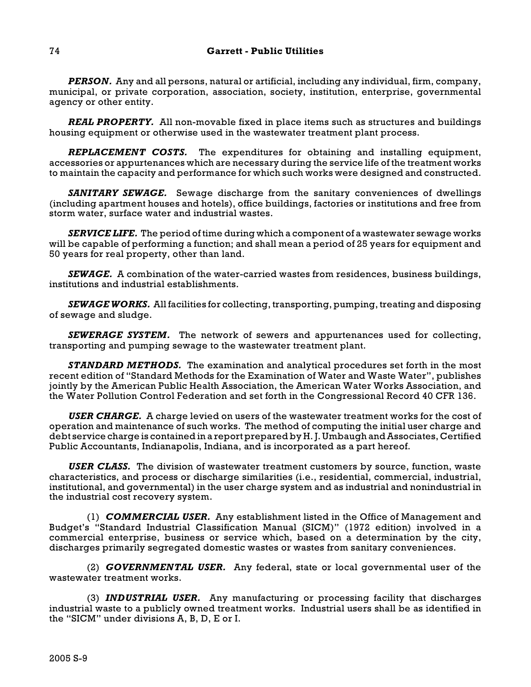*PERSON.* Any and all persons, natural or artificial, including any individual, firm, company, municipal, or private corporation, association, society, institution, enterprise, governmental agency or other entity.

*REAL PROPERTY.* All non-movable fixed in place items such as structures and buildings housing equipment or otherwise used in the wastewater treatment plant process.

*REPLACEMENT COSTS.* The expenditures for obtaining and installing equipment, accessories or appurtenances which are necessary during the service life of the treatment works to maintain the capacity and performance for which such works were designed and constructed.

*SANITARY SEWAGE.* Sewage discharge from the sanitary conveniences of dwellings (including apartment houses and hotels), office buildings, factories or institutions and free from storm water, surface water and industrial wastes.

*SERVICE LIFE.* The period of time during which a component of a wastewater sewage works will be capable of performing a function; and shall mean a period of 25 years for equipment and 50 years for real property, other than land.

*SEWAGE.* A combination of the water-carried wastes from residences, business buildings, institutions and industrial establishments.

*SEWAGE WORKS.* All facilities for collecting, transporting, pumping, treating and disposing of sewage and sludge.

*SEWERAGE SYSTEM.* The network of sewers and appurtenances used for collecting, transporting and pumping sewage to the wastewater treatment plant.

*STANDARD METHODS.* The examination and analytical procedures set forth in the most recent edition of "Standard Methods for the Examination of Water and Waste Water", publishes jointly by the American Public Health Association, the American Water Works Association, and the Water Pollution Control Federation and set forth in the Congressional Record 40 CFR 136.

*USER CHARGE.* A charge levied on users of the wastewater treatment works for the cost of operation and maintenance of such works. The method of computing the initial user charge and debt service charge is contained in a report prepared by H. J. Umbaugh and Associates, Certified Public Accountants, Indianapolis, Indiana, and is incorporated as a part hereof.

*USER CLASS.* The division of wastewater treatment customers by source, function, waste characteristics, and process or discharge similarities (i.e., residential, commercial, industrial, institutional, and governmental) in the user charge system and as industrial and nonindustrial in the industrial cost recovery system.

(1) *COMMERCIAL USER.* Any establishment listed in the Office of Management and Budget's "Standard Industrial Classification Manual (SICM)" (1972 edition) involved in a commercial enterprise, business or service which, based on a determination by the city, discharges primarily segregated domestic wastes or wastes from sanitary conveniences.

(2) *GOVERNMENTAL USER.* Any federal, state or local governmental user of the wastewater treatment works.

(3) *INDUSTRIAL USER.* Any manufacturing or processing facility that discharges industrial waste to a publicly owned treatment works. Industrial users shall be as identified in the "SICM" under divisions A, B, D, E or I.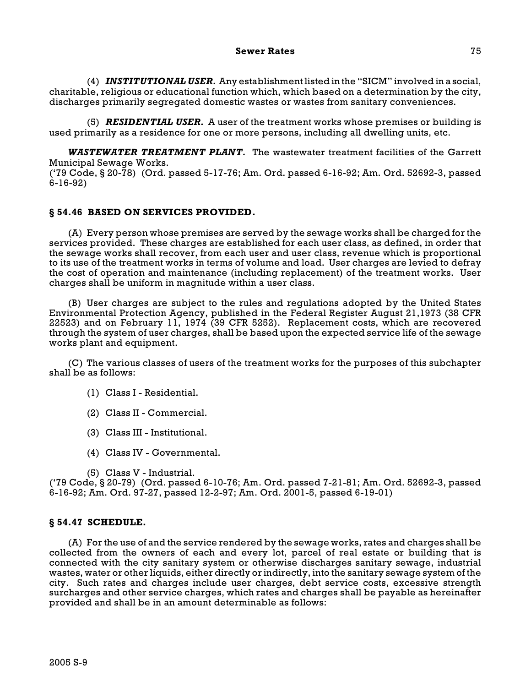(4) *INSTITUTIONAL USER.* Any establishment listed in the "SICM" involved in a social, charitable, religious or educational function which, which based on a determination by the city, discharges primarily segregated domestic wastes or wastes from sanitary conveniences.

(5) *RESIDENTIAL USER.* A user of the treatment works whose premises or building is used primarily as a residence for one or more persons, including all dwelling units, etc.

*WASTEWATER TREATMENT PLANT.* The wastewater treatment facilities of the Garrett Municipal Sewage Works. ('79 Code, § 20-78) (Ord. passed 5-17-76; Am. Ord. passed 6-16-92; Am. Ord. 52692-3, passed

6-16-92)

## **§ 54.46 BASED ON SERVICES PROVIDED.**

(A) Every person whose premises are served by the sewage works shall be charged for the services provided. These charges are established for each user class, as defined, in order that the sewage works shall recover, from each user and user class, revenue which is proportional to its use of the treatment works in terms of volume and load. User charges are levied to defray the cost of operation and maintenance (including replacement) of the treatment works. User charges shall be uniform in magnitude within a user class.

(B) User charges are subject to the rules and regulations adopted by the United States Environmental Protection Agency, published in the Federal Register August 21,1973 (38 CFR 22523) and on February 11, 1974 (39 CFR 5252). Replacement costs, which are recovered through the system of user charges, shall be based upon the expected service life of the sewage works plant and equipment.

(C) The various classes of users of the treatment works for the purposes of this subchapter shall be as follows:

- (1) Class I Residential.
- (2) Class II Commercial.
- (3) Class III Institutional.
- (4) Class IV Governmental.

(5) Class V - Industrial.

('79 Code, § 20-79) (Ord. passed 6-10-76; Am. Ord. passed 7-21-81; Am. Ord. 52692-3, passed 6-16-92; Am. Ord. 97-27, passed 12-2-97; Am. Ord. 2001-5, passed 6-19-01)

#### **§ 54.47 SCHEDULE.**

(A) For the use of and the service rendered by the sewage works, rates and charges shall be collected from the owners of each and every lot, parcel of real estate or building that is connected with the city sanitary system or otherwise discharges sanitary sewage, industrial wastes, water or other liquids, either directly or indirectly, into the sanitary sewage system of the city. Such rates and charges include user charges, debt service costs, excessive strength surcharges and other service charges, which rates and charges shall be payable as hereinafter provided and shall be in an amount determinable as follows: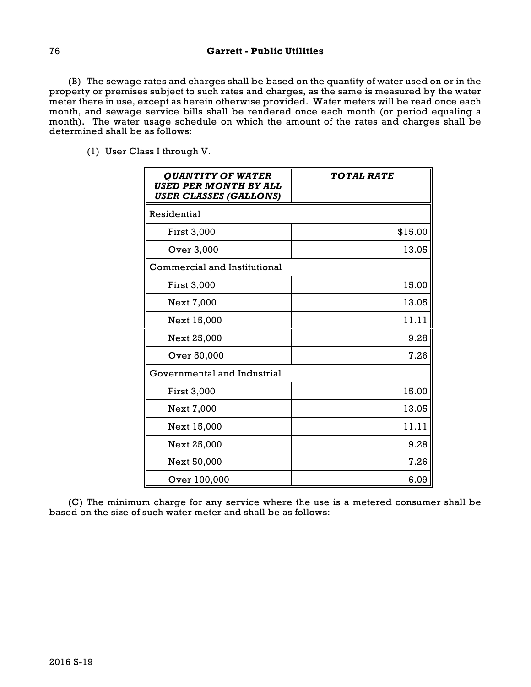(B) The sewage rates and charges shall be based on the quantity of water used on or in the property or premises subject to such rates and charges, as the same is measured by the water meter there in use, except as herein otherwise provided. Water meters will be read once each month, and sewage service bills shall be rendered once each month (or period equaling a month). The water usage schedule on which the amount of the rates and charges shall be determined shall be as follows:

(1) User Class I through V.

| <b>QUANTITY OF WATER</b><br>USED PER MONTH BY ALL<br><b>USER CLASSES (GALLONS)</b> | <b>TOTAL RATE</b> |
|------------------------------------------------------------------------------------|-------------------|
| Residential                                                                        |                   |
| <b>First 3,000</b>                                                                 | \$15.00           |
| Over 3,000                                                                         | 13.05             |
| Commercial and Institutional                                                       |                   |
| <b>First 3,000</b>                                                                 | 15.00             |
| Next 7,000                                                                         | 13.05             |
| Next 15,000                                                                        | 11.11             |
| Next 25,000                                                                        | 9.28              |
| Over 50,000                                                                        | 7.26              |
| Governmental and Industrial                                                        |                   |
| <b>First 3,000</b>                                                                 | 15.00             |
| Next 7,000                                                                         | 13.05             |
| Next 15,000                                                                        | 11.11             |
| Next 25,000                                                                        | 9.28              |
| Next 50,000                                                                        | 7.26              |
| Over 100,000                                                                       | 6.09              |

(C) The minimum charge for any service where the use is a metered consumer shall be based on the size of such water meter and shall be as follows: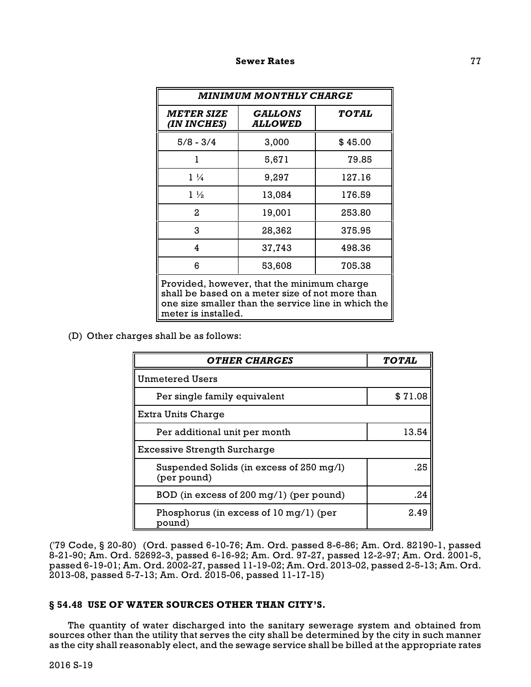| <i><b>MINIMUM MONTHLY CHARGE</b></i>       |                                                |         |
|--------------------------------------------|------------------------------------------------|---------|
| <i><b>METER SIZE</b></i><br>(IN INCHES)    | <i><b>GALLONS</b></i><br><i><b>ALLOWED</b></i> | TOTAL   |
| $5/8 - 3/4$                                | 3,000                                          | \$45.00 |
| 1                                          | 5,671                                          | 79.85   |
| $1\frac{1}{4}$                             | 9,297                                          | 127.16  |
| $1\frac{1}{2}$                             | 13,084                                         | 176.59  |
| 2                                          | 19,001                                         | 253.80  |
| 3                                          | 28,362                                         | 375.95  |
| 4                                          | 37,743                                         | 498.36  |
| 6                                          | 53,608                                         | 705.38  |
| Provided, however, that the minimum charge |                                                |         |

shall be based on a meter size of not more than one size smaller than the service line in which the meter is installed.

(D) Other charges shall be as follows:

| <b>OTHER CHARGES</b>                                        | TOTAL   |  |
|-------------------------------------------------------------|---------|--|
| <b>Unmetered Users</b>                                      |         |  |
| Per single family equivalent                                | \$71.08 |  |
| Extra Units Charge                                          |         |  |
| Per additional unit per month                               | 13.54   |  |
| <b>Excessive Strength Surcharge</b>                         |         |  |
| Suspended Solids (in excess of 250 mg/l)<br>(per pound)     | .25     |  |
| BOD (in excess of 200 mg/l) (per pound)                     | .24     |  |
| Phosphorus (in excess of $10 \text{ mg/l}$ ) (per<br>pound) | 2.49    |  |

('79 Code, § 20-80) (Ord. passed 6-10-76; Am. Ord. passed 8-6-86; Am. Ord. 82190-1, passed 8-21-90; Am. Ord. 52692-3, passed 6-16-92; Am. Ord. 97-27, passed 12-2-97; Am. Ord. 2001-5, passed 6-19-01; Am. Ord. 2002-27, passed 11-19-02; Am. Ord. 2013-02, passed 2-5-13; Am. Ord. 2013-08, passed 5-7-13; Am. Ord. 2015-06, passed 11-17-15)

## **§ 54.48 USE OF WATER SOURCES OTHER THAN CITY'S.**

The quantity of water discharged into the sanitary sewerage system and obtained from sources other than the utility that serves the city shall be determined by the city in such manner as the city shall reasonably elect, and the sewage service shall be billed at the appropriate rates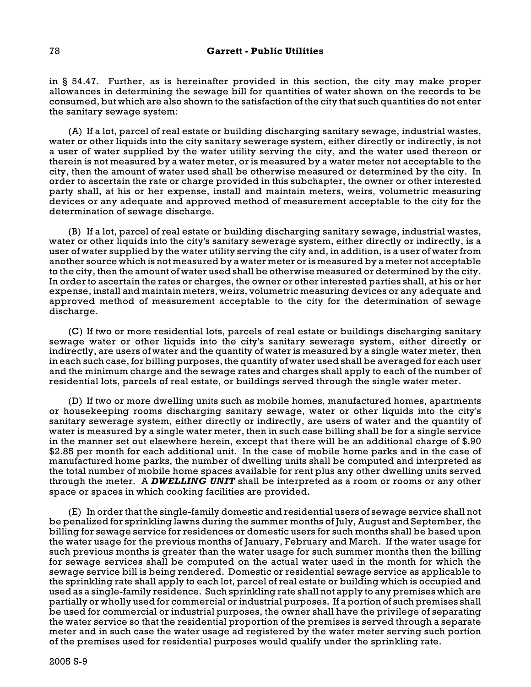### 78 **Garrett - Public Utilities**

in § 54.47. Further, as is hereinafter provided in this section, the city may make proper allowances in determining the sewage bill for quantities of water shown on the records to be consumed, but which are also shown to the satisfaction of the city that such quantities do not enter the sanitary sewage system:

(A) If a lot, parcel of real estate or building discharging sanitary sewage, industrial wastes, water or other liquids into the city sanitary sewerage system, either directly or indirectly, is not a user of water supplied by the water utility serving the city, and the water used thereon or therein is not measured by a water meter, or is measured by a water meter not acceptable to the city, then the amount of water used shall be otherwise measured or determined by the city. In order to ascertain the rate or charge provided in this subchapter, the owner or other interested party shall, at his or her expense, install and maintain meters, weirs, volumetric measuring devices or any adequate and approved method of measurement acceptable to the city for the determination of sewage discharge.

(B) If a lot, parcel of real estate or building discharging sanitary sewage, industrial wastes, water or other liquids into the city's sanitary sewerage system, either directly or indirectly, is a user of water supplied by the water utility serving the city and, in addition, is a user of water from another source which is not measured by a water meter or is measured by a meter not acceptable to the city, then the amount of water used shall be otherwise measured or determined by the city. In order to ascertain the rates or charges, the owner or other interested parties shall, at his or her expense, install and maintain meters, weirs, volumetric measuring devices or any adequate and approved method of measurement acceptable to the city for the determination of sewage discharge.

(C) If two or more residential lots, parcels of real estate or buildings discharging sanitary sewage water or other liquids into the city's sanitary sewerage system, either directly or indirectly, are users of water and the quantity of water is measured by a single water meter, then in each such case, for billing purposes, the quantity of water used shall be averaged for each user and the minimum charge and the sewage rates and charges shall apply to each of the number of residential lots, parcels of real estate, or buildings served through the single water meter.

(D) If two or more dwelling units such as mobile homes, manufactured homes, apartments or housekeeping rooms discharging sanitary sewage, water or other liquids into the city's sanitary sewerage system, either directly or indirectly, are users of water and the quantity of water is measured by a single water meter, then in such case billing shall be for a single service in the manner set out elsewhere herein, except that there will be an additional charge of \$.90 \$2.85 per month for each additional unit. In the case of mobile home parks and in the case of manufactured home parks, the number of dwelling units shall be computed and interpreted as the total number of mobile home spaces available for rent plus any other dwelling units served through the meter. A *DWELLING UNIT* shall be interpreted as a room or rooms or any other space or spaces in which cooking facilities are provided.

(E) In order that the single-family domestic and residential users of sewage service shall not be penalized for sprinkling lawns during the summer months of July, August and September, the billing for sewage service for residences or domestic users for such months shall be based upon the water usage for the previous months of January, February and March. If the water usage for such previous months is greater than the water usage for such summer months then the billing for sewage services shall be computed on the actual water used in the month for which the sewage service bill is being rendered. Domestic or residential sewage service as applicable to the sprinkling rate shall apply to each lot, parcel of real estate or building which is occupied and used as a single-family residence. Such sprinkling rate shall not apply to any premises which are partially or wholly used for commercial or industrial purposes. If a portion of such premises shall be used for commercial or industrial purposes, the owner shall have the privilege of separating the water service so that the residential proportion of the premises is served through a separate meter and in such case the water usage ad registered by the water meter serving such portion of the premises used for residential purposes would qualify under the sprinkling rate.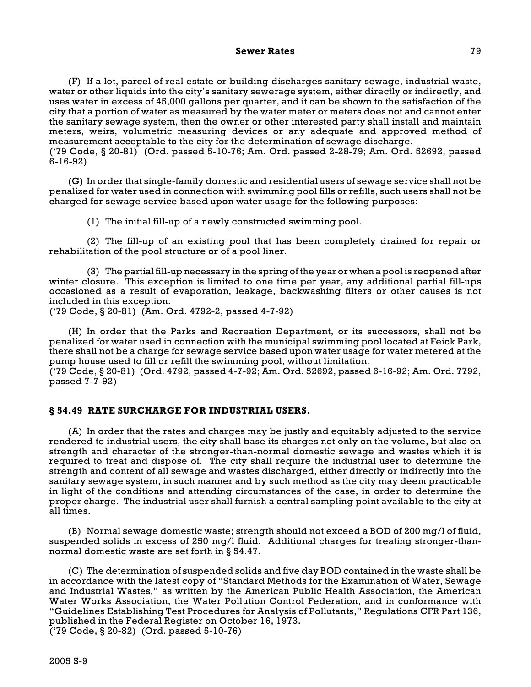(F) If a lot, parcel of real estate or building discharges sanitary sewage, industrial waste, water or other liquids into the city's sanitary sewerage system, either directly or indirectly, and uses water in excess of 45,000 gallons per quarter, and it can be shown to the satisfaction of the city that a portion of water as measured by the water meter or meters does not and cannot enter the sanitary sewage system, then the owner or other interested party shall install and maintain meters, weirs, volumetric measuring devices or any adequate and approved method of measurement acceptable to the city for the determination of sewage discharge.

('79 Code, § 20-81) (Ord. passed 5-10-76; Am. Ord. passed 2-28-79; Am. Ord. 52692, passed 6-16-92)

(G) In order that single-family domestic and residential users of sewage service shall not be penalized for water used in connection with swimming pool fills or refills, such users shall not be charged for sewage service based upon water usage for the following purposes:

(1) The initial fill-up of a newly constructed swimming pool.

(2) The fill-up of an existing pool that has been completely drained for repair or rehabilitation of the pool structure or of a pool liner.

(3) The partial fill-up necessary in the spring of the year or when a pool is reopened after winter closure. This exception is limited to one time per year, any additional partial fill-ups occasioned as a result of evaporation, leakage, backwashing filters or other causes is not included in this exception.

('79 Code, § 20-81) (Am. Ord. 4792-2, passed 4-7-92)

(H) In order that the Parks and Recreation Department, or its successors, shall not be penalized for water used in connection with the municipal swimming pool located at Feick Park, there shall not be a charge for sewage service based upon water usage for water metered at the pump house used to fill or refill the swimming pool, without limitation.

('79 Code, § 20-81) (Ord. 4792, passed 4-7-92; Am. Ord. 52692, passed 6-16-92; Am. Ord. 7792, passed 7-7-92)

#### **§ 54.49 RATE SURCHARGE FOR INDUSTRIAL USERS.**

(A) In order that the rates and charges may be justly and equitably adjusted to the service rendered to industrial users, the city shall base its charges not only on the volume, but also on strength and character of the stronger-than-normal domestic sewage and wastes which it is required to treat and dispose of. The city shall require the industrial user to determine the strength and content of all sewage and wastes discharged, either directly or indirectly into the sanitary sewage system, in such manner and by such method as the city may deem practicable in light of the conditions and attending circumstances of the case, in order to determine the proper charge. The industrial user shall furnish a central sampling point available to the city at all times.

(B) Normal sewage domestic waste; strength should not exceed a BOD of 200 mg/l of fluid, suspended solids in excess of 250 mg/l fluid. Additional charges for treating stronger-thannormal domestic waste are set forth in § 54.47.

(C) The determination of suspended solids and five day BOD contained in the waste shall be in accordance with the latest copy of "Standard Methods for the Examination of Water, Sewage and Industrial Wastes," as written by the American Public Health Association, the American Water Works Association, the Water Pollution Control Federation, and in conformance with "Guidelines Establishing Test Procedures for Analysis of Pollutants," Regulations CFR Part 136, published in the Federal Register on October 16, 1973. ('79 Code, § 20-82) (Ord. passed 5-10-76)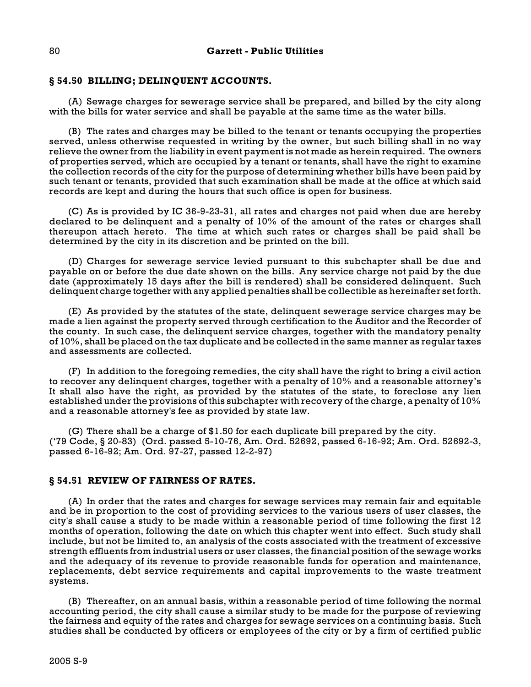## **§ 54.50 BILLING; DELINQUENT ACCOUNTS.**

(A) Sewage charges for sewerage service shall be prepared, and billed by the city along with the bills for water service and shall be payable at the same time as the water bills.

(B) The rates and charges may be billed to the tenant or tenants occupying the properties served, unless otherwise requested in writing by the owner, but such billing shall in no way relieve the owner from the liability in event payment is not made as herein required. The owners of properties served, which are occupied by a tenant or tenants, shall have the right to examine the collection records of the city for the purpose of determining whether bills have been paid by such tenant or tenants, provided that such examination shall be made at the office at which said records are kept and during the hours that such office is open for business.

(C) As is provided by IC 36-9-23-31, all rates and charges not paid when due are hereby declared to be delinquent and a penalty of 10% of the amount of the rates or charges shall thereupon attach hereto. The time at which such rates or charges shall be paid shall be determined by the city in its discretion and be printed on the bill.

(D) Charges for sewerage service levied pursuant to this subchapter shall be due and payable on or before the due date shown on the bills. Any service charge not paid by the due date (approximately 15 days after the bill is rendered) shall be considered delinquent. Such delinquent charge together with any applied penalties shall be collectible as hereinafter set forth.

(E) As provided by the statutes of the state, delinquent sewerage service charges may be made a lien against the property served through certification to the Auditor and the Recorder of the county. In such case, the delinquent service charges, together with the mandatory penalty of 10%, shall be placed on the tax duplicate and be collected in the same manner as regular taxes and assessments are collected.

(F) In addition to the foregoing remedies, the city shall have the right to bring a civil action to recover any delinquent charges, together with a penalty of 10% and a reasonable attorney's It shall also have the right, as provided by the statutes of the state, to foreclose any lien established under the provisions of this subchapter with recovery of the charge, a penalty of  $10\%$ and a reasonable attorney's fee as provided by state law.

(G) There shall be a charge of \$1.50 for each duplicate bill prepared by the city. ('79 Code, § 20-83) (Ord. passed 5-10-76, Am. Ord. 52692, passed 6-16-92; Am. Ord. 52692-3, passed 6-16-92; Am. Ord. 97-27, passed 12-2-97)

#### **§ 54.51 REVIEW OF FAIRNESS OF RATES.**

(A) In order that the rates and charges for sewage services may remain fair and equitable and be in proportion to the cost of providing services to the various users of user classes, the city's shall cause a study to be made within a reasonable period of time following the first 12 months of operation, following the date on which this chapter went into effect. Such study shall include, but not be limited to, an analysis of the costs associated with the treatment of excessive strength effluents from industrial users or user classes, the financial position of the sewage works and the adequacy of its revenue to provide reasonable funds for operation and maintenance, replacements, debt service requirements and capital improvements to the waste treatment systems.

(B) Thereafter, on an annual basis, within a reasonable period of time following the normal accounting period, the city shall cause a similar study to be made for the purpose of reviewing the fairness and equity of the rates and charges for sewage services on a continuing basis. Such studies shall be conducted by officers or employees of the city or by a firm of certified public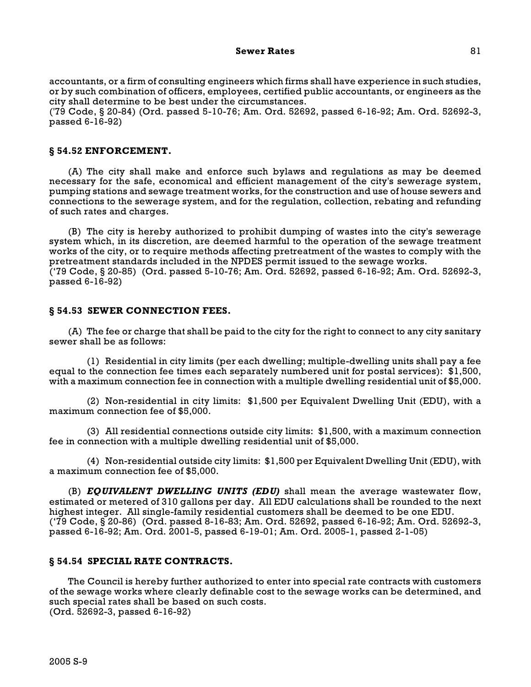accountants, or a firm of consulting engineers which firms shall have experience in such studies, or by such combination of officers, employees, certified public accountants, or engineers as the city shall determine to be best under the circumstances.

('79 Code, § 20-84) (Ord. passed 5-10-76; Am. Ord. 52692, passed 6-16-92; Am. Ord. 52692-3, passed 6-16-92)

## **§ 54.52 ENFORCEMENT.**

(A) The city shall make and enforce such bylaws and regulations as may be deemed necessary for the safe, economical and efficient management of the city's sewerage system, pumping stations and sewage treatment works, for the construction and use of house sewers and connections to the sewerage system, and for the regulation, collection, rebating and refunding of such rates and charges.

(B) The city is hereby authorized to prohibit dumping of wastes into the city's sewerage system which, in its discretion, are deemed harmful to the operation of the sewage treatment works of the city, or to require methods affecting pretreatment of the wastes to comply with the pretreatment standards included in the NPDES permit issued to the sewage works. ('79 Code, § 20-85) (Ord. passed 5-10-76; Am. Ord. 52692, passed 6-16-92; Am. Ord. 52692-3, passed 6-16-92)

#### **§ 54.53 SEWER CONNECTION FEES.**

(A) The fee or charge that shall be paid to the city for the right to connect to any city sanitary sewer shall be as follows:

(1) Residential in city limits (per each dwelling; multiple-dwelling units shall pay a fee equal to the connection fee times each separately numbered unit for postal services): \$1,500, with a maximum connection fee in connection with a multiple dwelling residential unit of \$5,000.

(2) Non-residential in city limits: \$1,500 per Equivalent Dwelling Unit (EDU), with a maximum connection fee of \$5,000.

(3) All residential connections outside city limits: \$1,500, with a maximum connection fee in connection with a multiple dwelling residential unit of \$5,000.

(4) Non-residential outside city limits: \$1,500 per Equivalent Dwelling Unit (EDU), with a maximum connection fee of \$5,000.

(B) *EQUIVALENT DWELLING UNITS (EDU)* shall mean the average wastewater flow, estimated or metered of 310 gallons per day. All EDU calculations shall be rounded to the next highest integer. All single-family residential customers shall be deemed to be one EDU. ('79 Code, § 20-86) (Ord. passed 8-16-83; Am. Ord. 52692, passed 6-16-92; Am. Ord. 52692-3, passed 6-16-92; Am. Ord. 2001-5, passed 6-19-01; Am. Ord. 2005-1, passed 2-1-05)

#### **§ 54.54 SPECIAL RATE CONTRACTS.**

The Council is hereby further authorized to enter into special rate contracts with customers of the sewage works where clearly definable cost to the sewage works can be determined, and such special rates shall be based on such costs. (Ord. 52692-3, passed 6-16-92)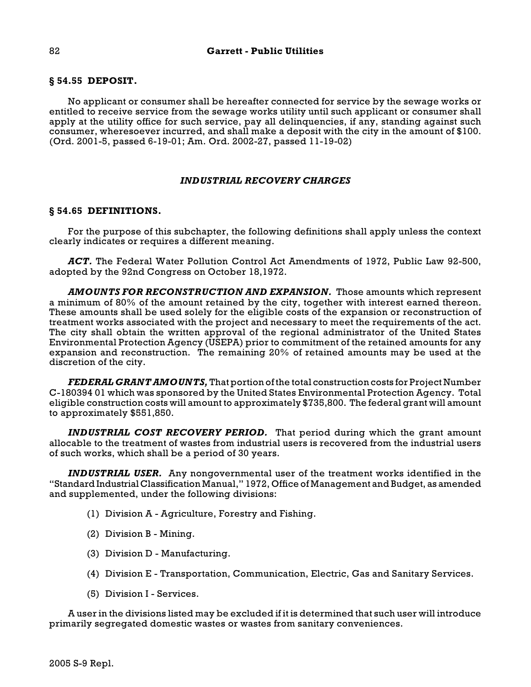# **§ 54.55 DEPOSIT.**

No applicant or consumer shall be hereafter connected for service by the sewage works or entitled to receive service from the sewage works utility until such applicant or consumer shall apply at the utility office for such service, pay all delinquencies, if any, standing against such consumer, wheresoever incurred, and shall make a deposit with the city in the amount of \$100. (Ord. 2001-5, passed 6-19-01; Am. Ord. 2002-27, passed 11-19-02)

# *INDUSTRIAL RECOVERY CHARGES*

## **§ 54.65 DEFINITIONS.**

For the purpose of this subchapter, the following definitions shall apply unless the context clearly indicates or requires a different meaning.

*ACT.* The Federal Water Pollution Control Act Amendments of 1972, Public Law 92-500, adopted by the 92nd Congress on October 18,1972.

*AMOUNTS FOR RECONSTRUCTION AND EXPANSION.* Those amounts which represent a minimum of 80% of the amount retained by the city, together with interest earned thereon. These amounts shall be used solely for the eligible costs of the expansion or reconstruction of treatment works associated with the project and necessary to meet the requirements of the act. The city shall obtain the written approval of the regional administrator of the United States Environmental Protection Agency (USEPA) prior to commitment of the retained amounts for any expansion and reconstruction. The remaining 20% of retained amounts may be used at the discretion of the city.

*FEDERAL GRANT AMOUNTS,* That portion of the total construction costs for Project Number C-180394 01 which was sponsored by the United States Environmental Protection Agency. Total eligible construction costs will amount to approximately \$735,800. The federal grant will amount to approximately \$551,850.

*INDUSTRIAL COST RECOVERY PERIOD.* That period during which the grant amount allocable to the treatment of wastes from industrial users is recovered from the industrial users of such works, which shall be a period of 30 years.

*INDUSTRIAL USER.* Any nongovernmental user of the treatment works identified in the "Standard Industrial Classification Manual," 1972, Office of Management and Budget, as amended and supplemented, under the following divisions:

- (1) Division A Agriculture, Forestry and Fishing.
- (2) Division B Mining.
- (3) Division D Manufacturing.
- (4) Division E Transportation, Communication, Electric, Gas and Sanitary Services.
- (5) Division I Services.

A user in the divisions listed may be excluded if it is determined that such user will introduce primarily segregated domestic wastes or wastes from sanitary conveniences.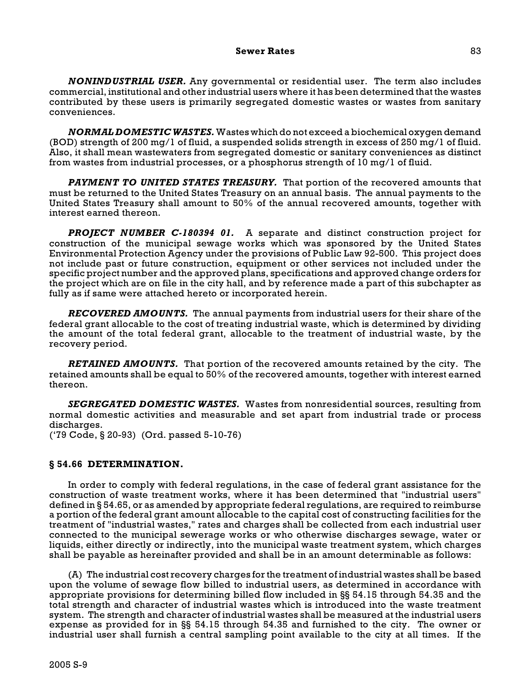*NONINDUSTRIAL USER.* Any governmental or residential user. The term also includes commercial, institutional and other industrial users where it has been determined that the wastes contributed by these users is primarily segregated domestic wastes or wastes from sanitary conveniences.

*NORMAL DOMESTIC WASTES.* Wastes which do not exceed a biochemical oxygen demand (BOD) strength of 200 mg/1 of fluid, a suspended solids strength in excess of 250 mg/1 of fluid. Also, it shall mean wastewaters from segregated domestic or sanitary conveniences as distinct from wastes from industrial processes, or a phosphorus strength of 10 mg/1 of fluid.

*PAYMENT TO UNITED STATES TREASURY.* That portion of the recovered amounts that must be returned to the United States Treasury on an annual basis. The annual payments to the United States Treasury shall amount to 50% of the annual recovered amounts, together with interest earned thereon.

*PROJECT NUMBER C-180394 01.* A separate and distinct construction project for construction of the municipal sewage works which was sponsored by the United States Environmental Protection Agency under the provisions of Public Law 92-500. This project does not include past or future construction, equipment or other services not included under the specific project number and the approved plans, specifications and approved change orders for the project which are on file in the city hall, and by reference made a part of this subchapter as fully as if same were attached hereto or incorporated herein.

*RECOVERED AMOUNTS.* The annual payments from industrial users for their share of the federal grant allocable to the cost of treating industrial waste, which is determined by dividing the amount of the total federal grant, allocable to the treatment of industrial waste, by the recovery period.

*RETAINED AMOUNTS.* That portion of the recovered amounts retained by the city. The retained amounts shall be equal to 50% of the recovered amounts, together with interest earned thereon.

*SEGREGATED DOMESTIC WASTES.* Wastes from nonresidential sources, resulting from normal domestic activities and measurable and set apart from industrial trade or process discharges. ('79 Code, § 20-93) (Ord. passed 5-10-76)

# **§ 54.66 DETERMINATION.**

In order to comply with federal regulations, in the case of federal grant assistance for the construction of waste treatment works, where it has been determined that "industrial users" defined in § 54.65, or as amended by appropriate federal regulations, are required to reimburse a portion of the federal grant amount allocable to the capital cost of constructing facilities for the treatment of "industrial wastes," rates and charges shall be collected from each industrial user connected to the municipal sewerage works or who otherwise discharges sewage, water or liquids, either directly or indirectly, into the municipal waste treatment system, which charges shall be payable as hereinafter provided and shall be in an amount determinable as follows:

(A) The industrial cost recovery charges for the treatment of industrial wastes shall be based upon the volume of sewage flow billed to industrial users, as determined in accordance with appropriate provisions for determining billed flow included in §§ 54.15 through 54.35 and the total strength and character of industrial wastes which is introduced into the waste treatment system. The strength and character of industrial wastes shall be measured at the industrial users expense as provided for in §§ 54.15 through 54.35 and furnished to the city. The owner or industrial user shall furnish a central sampling point available to the city at all times. If the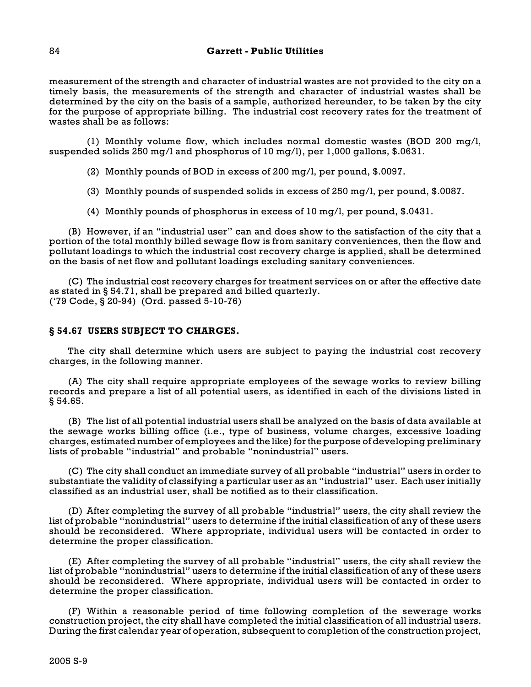measurement of the strength and character of industrial wastes are not provided to the city on a timely basis, the measurements of the strength and character of industrial wastes shall be determined by the city on the basis of a sample, authorized hereunder, to be taken by the city for the purpose of appropriate billing. The industrial cost recovery rates for the treatment of wastes shall be as follows:

(1) Monthly volume flow, which includes normal domestic wastes (BOD 200 mg/l, suspended solids 250 mg/l and phosphorus of 10 mg/l), per 1,000 gallons, \$.0631.

- (2) Monthly pounds of BOD in excess of 200 mg/l, per pound, \$.0097.
- (3) Monthly pounds of suspended solids in excess of 250 mg/l, per pound, \$.0087.
- (4) Monthly pounds of phosphorus in excess of 10 mg/l, per pound, \$.0431.

(B) However, if an "industrial user" can and does show to the satisfaction of the city that a portion of the total monthly billed sewage flow is from sanitary conveniences, then the flow and pollutant loadings to which the industrial cost recovery charge is applied, shall be determined on the basis of net flow and pollutant loadings excluding sanitary conveniences.

(C) The industrial cost recovery charges for treatment services on or after the effective date as stated in § 54.71, shall be prepared and billed quarterly. ('79 Code, § 20-94) (Ord. passed 5-10-76)

## **§ 54.67 USERS SUBJECT TO CHARGES.**

The city shall determine which users are subject to paying the industrial cost recovery charges, in the following manner.

(A) The city shall require appropriate employees of the sewage works to review billing records and prepare a list of all potential users, as identified in each of the divisions listed in § 54.65.

(B) The list of all potential industrial users shall be analyzed on the basis of data available at the sewage works billing office (i.e., type of business, volume charges, excessive loading charges, estimated number of employees and the like) for the purpose of developing preliminary lists of probable "industrial" and probable "nonindustrial" users.

(C) The city shall conduct an immediate survey of all probable "industrial" users in order to substantiate the validity of classifying a particular user as an "industrial" user. Each user initially classified as an industrial user, shall be notified as to their classification.

(D) After completing the survey of all probable "industrial" users, the city shall review the list of probable "nonindustrial" users to determine if the initial classification of any of these users should be reconsidered. Where appropriate, individual users will be contacted in order to determine the proper classification.

(E) After completing the survey of all probable "industrial" users, the city shall review the list of probable "nonindustrial" users to determine if the initial classification of any of these users should be reconsidered. Where appropriate, individual users will be contacted in order to determine the proper classification.

(F) Within a reasonable period of time following completion of the sewerage works construction project, the city shall have completed the initial classification of all industrial users. During the first calendar year of operation, subsequent to completion of the construction project,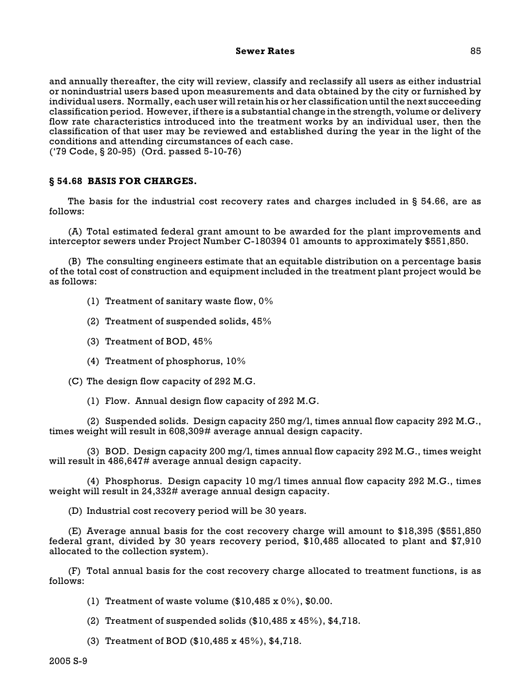and annually thereafter, the city will review, classify and reclassify all users as either industrial or nonindustrial users based upon measurements and data obtained by the city or furnished by individual users. Normally, each user will retain his or her classification until the next succeeding classification period. However, if there is a substantial change in the strength, volume or delivery flow rate characteristics introduced into the treatment works by an individual user, then the classification of that user may be reviewed and established during the year in the light of the conditions and attending circumstances of each case.

('79 Code, § 20-95) (Ord. passed 5-10-76)

## **§ 54.68 BASIS FOR CHARGES.**

The basis for the industrial cost recovery rates and charges included in § 54.66, are as follows:

(A) Total estimated federal grant amount to be awarded for the plant improvements and interceptor sewers under Project Number C-180394 01 amounts to approximately \$551,850.

(B) The consulting engineers estimate that an equitable distribution on a percentage basis of the total cost of construction and equipment included in the treatment plant project would be as follows:

- (1) Treatment of sanitary waste flow, 0%
- (2) Treatment of suspended solids, 45%
- (3) Treatment of BOD, 45%
- (4) Treatment of phosphorus, 10%

(C) The design flow capacity of 292 M.G.

(1) Flow. Annual design flow capacity of 292 M.G.

(2) Suspended solids. Design capacity 250 mg/l, times annual flow capacity 292 M.G., times weight will result in 608,309# average annual design capacity.

(3) BOD. Design capacity 200 mg/l, times annual flow capacity 292 M.G., times weight will result in 486,647# average annual design capacity.

(4) Phosphorus. Design capacity 10 mg/l times annual flow capacity 292 M.G., times weight will result in 24,332# average annual design capacity.

(D) Industrial cost recovery period will be 30 years.

(E) Average annual basis for the cost recovery charge will amount to \$18,395 (\$551,850 federal grant, divided by 30 years recovery period, \$10,485 allocated to plant and \$7,910 allocated to the collection system).

(F) Total annual basis for the cost recovery charge allocated to treatment functions, is as follows:

(1) Treatment of waste volume (\$10,485 x 0%), \$0.00.

- (2) Treatment of suspended solids (\$10,485 x 45%), \$4,718.
- (3) Treatment of BOD (\$10,485 x 45%), \$4,718.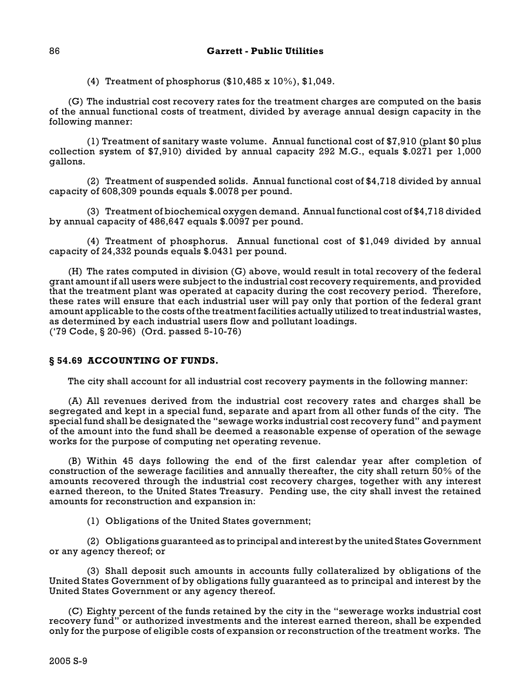(4) Treatment of phosphorus (\$10,485 x 10%), \$1,049.

(G) The industrial cost recovery rates for the treatment charges are computed on the basis of the annual functional costs of treatment, divided by average annual design capacity in the following manner:

(1) Treatment of sanitary waste volume. Annual functional cost of \$7,910 (plant \$0 plus collection system of \$7,910) divided by annual capacity 292 M.G., equals \$.0271 per 1,000 gallons.

(2) Treatment of suspended solids. Annual functional cost of \$4,718 divided by annual capacity of 608,309 pounds equals \$.0078 per pound.

(3) Treatment of biochemical oxygen demand. Annual functional cost of \$4,718 divided by annual capacity of 486,647 equals \$.0097 per pound.

(4) Treatment of phosphorus. Annual functional cost of \$1,049 divided by annual capacity of 24,332 pounds equals \$.0431 per pound.

(H) The rates computed in division (G) above, would result in total recovery of the federal grant amount if all users were subject to the industrial cost recovery requirements, and provided that the treatment plant was operated at capacity during the cost recovery period. Therefore, these rates will ensure that each industrial user will pay only that portion of the federal grant amount applicable to the costs of the treatment facilities actually utilized to treat industrial wastes, as determined by each industrial users flow and pollutant loadings. ('79 Code, § 20-96) (Ord. passed 5-10-76)

## **§ 54.69 ACCOUNTING OF FUNDS.**

The city shall account for all industrial cost recovery payments in the following manner:

(A) All revenues derived from the industrial cost recovery rates and charges shall be segregated and kept in a special fund, separate and apart from all other funds of the city. The special fund shall be designated the "sewage works industrial cost recovery fund" and payment of the amount into the fund shall be deemed a reasonable expense of operation of the sewage works for the purpose of computing net operating revenue.

(B) Within 45 days following the end of the first calendar year after completion of construction of the sewerage facilities and annually thereafter, the city shall return 50% of the amounts recovered through the industrial cost recovery charges, together with any interest earned thereon, to the United States Treasury. Pending use, the city shall invest the retained amounts for reconstruction and expansion in:

(1) Obligations of the United States government;

(2) Obligations guaranteed as to principal and interest by the united States Government or any agency thereof; or

(3) Shall deposit such amounts in accounts fully collateralized by obligations of the United States Government of by obligations fully guaranteed as to principal and interest by the United States Government or any agency thereof.

(C) Eighty percent of the funds retained by the city in the "sewerage works industrial cost recovery fund" or authorized investments and the interest earned thereon, shall be expended only for the purpose of eligible costs of expansion or reconstruction of the treatment works. The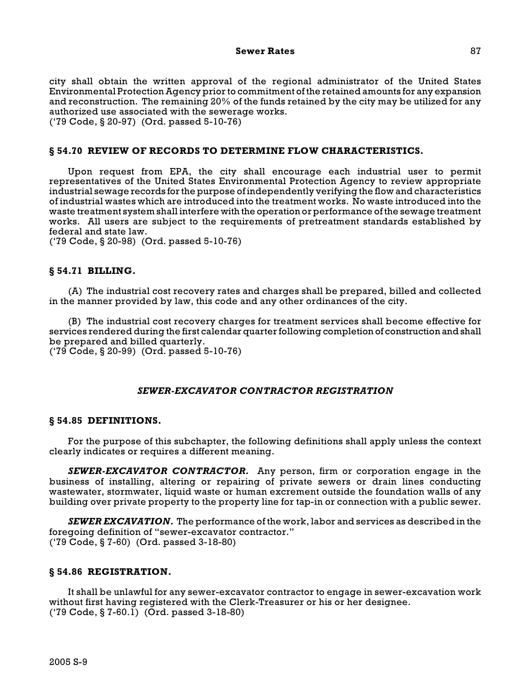city shall obtain the written approval of the regional administrator of the United States Environmental Protection Agency prior to commitment of the retained amounts for any expansion and reconstruction. The remaining 20% of the funds retained by the city may be utilized for any authorized use associated with the sewerage works. ('79 Code, § 20-97) (Ord. passed 5-10-76)

## **§ 54.70 REVIEW OF RECORDS TO DETERMINE FLOW CHARACTERISTICS.**

Upon request from EPA, the city shall encourage each industrial user to permit representatives of the United States Environmental Protection Agency to review appropriate industrial sewage records for the purpose of independently verifying the flow and characteristics of industrial wastes which are introduced into the treatment works. No waste introduced into the waste treatment system shall interfere with the operation or performance of the sewage treatment works. All users are subject to the requirements of pretreatment standards established by federal and state law.

('79 Code, § 20-98) (Ord. passed 5-10-76)

#### **§ 54.71 BILLING.**

(A) The industrial cost recovery rates and charges shall be prepared, billed and collected in the manner provided by law, this code and any other ordinances of the city.

(B) The industrial cost recovery charges for treatment services shall become effective for services rendered during the first calendar quarter following completion of construction and shall be prepared and billed quarterly.

('79 Code, § 20-99) (Ord. passed 5-10-76)

#### *SEWER-EXCAVATOR CONTRACTOR REGISTRATION*

#### **§ 54.85 DEFINITIONS.**

For the purpose of this subchapter, the following definitions shall apply unless the context clearly indicates or requires a different meaning.

*SEWER-EXCAVATOR CONTRACTOR.* Any person, firm or corporation engage in the business of installing, altering or repairing of private sewers or drain lines conducting wastewater, stormwater, liquid waste or human excrement outside the foundation walls of any building over private property to the property line for tap-in or connection with a public sewer.

*SEWER EXCAVATION.* The performance of the work, labor and services as described in the foregoing definition of "sewer-excavator contractor." ('79 Code, § 7-60) (Ord. passed 3-18-80)

#### **§ 54.86 REGISTRATION.**

It shall be unlawful for any sewer-excavator contractor to engage in sewer-excavation work without first having registered with the Clerk-Treasurer or his or her designee. ('79 Code, § 7-60.1) (Ord. passed 3-18-80)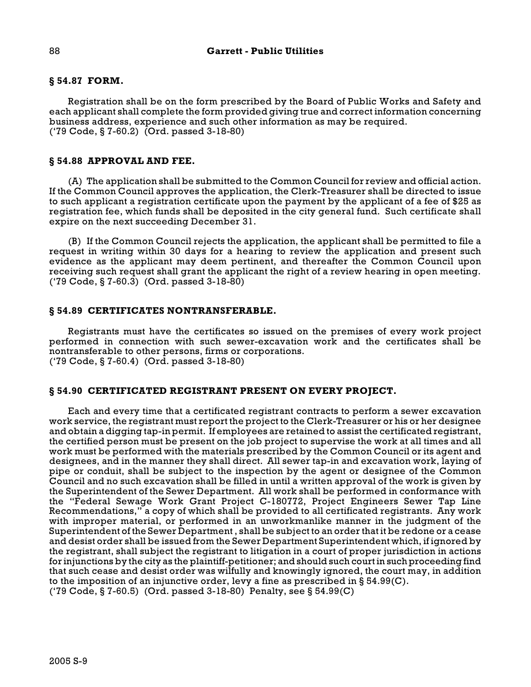# **§ 54.87 FORM.**

Registration shall be on the form prescribed by the Board of Public Works and Safety and each applicant shall complete the form provided giving true and correct information concerning business address, experience and such other information as may be required. ('79 Code, § 7-60.2) (Ord. passed 3-18-80)

# **§ 54.88 APPROVAL AND FEE.**

(A) The application shall be submitted to the Common Council for review and official action. If the Common Council approves the application, the Clerk-Treasurer shall be directed to issue to such applicant a registration certificate upon the payment by the applicant of a fee of \$25 as registration fee, which funds shall be deposited in the city general fund. Such certificate shall expire on the next succeeding December 31.

(B) If the Common Council rejects the application, the applicant shall be permitted to file a request in writing within 30 days for a hearing to review the application and present such evidence as the applicant may deem pertinent, and thereafter the Common Council upon receiving such request shall grant the applicant the right of a review hearing in open meeting. ('79 Code, § 7-60.3) (Ord. passed 3-18-80)

## **§ 54.89 CERTIFICATES NONTRANSFERABLE.**

Registrants must have the certificates so issued on the premises of every work project performed in connection with such sewer-excavation work and the certificates shall be nontransferable to other persons, firms or corporations. ('79 Code, § 7-60.4) (Ord. passed 3-18-80)

# **§ 54.90 CERTIFICATED REGISTRANT PRESENT ON EVERY PROJECT.**

Each and every time that a certificated registrant contracts to perform a sewer excavation work service, the registrant must report the project to the Clerk-Treasurer or his or her designee and obtain a digging tap-in permit. If employees are retained to assist the certificated registrant, the certified person must be present on the job project to supervise the work at all times and all work must be performed with the materials prescribed by the Common Council or its agent and designees, and in the manner they shall direct. All sewer tap-in and excavation work, laying of pipe or conduit, shall be subject to the inspection by the agent or designee of the Common Council and no such excavation shall be filled in until a written approval of the work is given by the Superintendent of the Sewer Department. All work shall be performed in conformance with the "Federal Sewage Work Grant Project C-180772, Project Engineers Sewer Tap Line Recommendations," a copy of which shall be provided to all certificated registrants. Any work with improper material, or performed in an unworkmanlike manner in the judgment of the Superintendent of the Sewer Department , shall be subject to an order that it be redone or a cease and desist order shall be issued from the Sewer Department Superintendent which, if ignored by the registrant, shall subject the registrant to litigation in a court of proper jurisdiction in actions for injunctions by the city as the plaintiff-petitioner; and should such court in such proceeding find that such cease and desist order was wilfully and knowingly ignored, the court may, in addition to the imposition of an injunctive order, levy a fine as prescribed in  $\S 54.99(C)$ . ('79 Code, § 7-60.5) (Ord. passed 3-18-80) Penalty, see § 54.99(C)